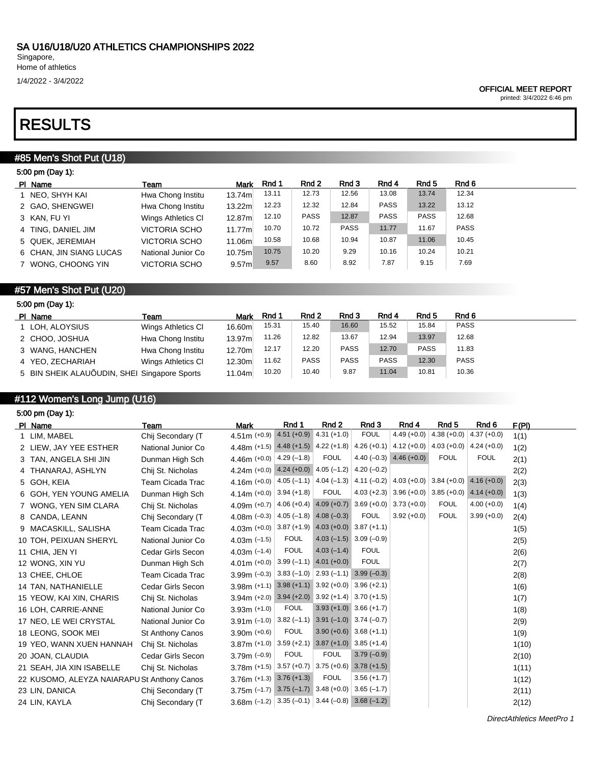1/4/2022 - 3/4/2022

#### OFFICIAL MEET REPORT

printed: 3/4/2022 6:46 pm

# RESULTS

## #85 Men's Shot Put (U18)

| 5:00 pm (Day 1):        |                      |             |       |             |             |             |             |       |
|-------------------------|----------------------|-------------|-------|-------------|-------------|-------------|-------------|-------|
| PI Name                 | Team                 | <b>Mark</b> | Rnd 1 | Rnd 2       | Rnd 3       | Rnd 4       | Rnd 5       | Rnd 6 |
| 1 NEO, SHYH KAI         | Hwa Chong Institu    | 13.74m      | 13.11 | 12.73       | 12.56       | 13.08       | 13.74       | 12.34 |
| 2 GAO, SHENGWEI         | Hwa Chong Institu    | 13.22m      | 12.23 | 12.32       | 12.84       | <b>PASS</b> | 13.22       | 13.12 |
| 3 KAN, FU YI            | Wings Athletics CI   | 12.87m      | 12.10 | <b>PASS</b> | 12.87       | <b>PASS</b> | <b>PASS</b> | 12.68 |
| 4 TING, DANIEL JIM      | <b>VICTORIA SCHO</b> | 11.77m      | 10.70 | 10.72       | <b>PASS</b> | 11.77       | 11.67       | PASS  |
| 5 QUEK, JEREMIAH        | <b>VICTORIA SCHO</b> | 11.06m      | 10.58 | 10.68       | 10.94       | 10.87       | 11.06       | 10.45 |
| 6 CHAN, JIN SIANG LUCAS | National Junior Co   | 10.75m      | 10.75 | 10.20       | 9.29        | 10.16       | 10.24       | 10.21 |
| 7 WONG, CHOONG YIN      | <b>VICTORIA SCHO</b> | 9.57m       | 9.57  | 8.60        | 8.92        | 7.87        | 9.15        | 7.69  |
|                         |                      |             |       |             |             |             |             |       |

## #57 Men's Shot Put (U20)

| 5:00 pm (Day 1):                             |                    |        |       |             |             |             |             |             |  |
|----------------------------------------------|--------------------|--------|-------|-------------|-------------|-------------|-------------|-------------|--|
| PI Name                                      | Team               | Mark   | Rnd 1 | Rnd 2       | Rnd 3       | Rnd 4       | Rnd 5       | Rnd 6       |  |
| 1 LOH, ALOYSIUS                              | Wings Athletics CI | 16.60m | 15.31 | 15.40       | 16.60       | 15.52       | 15.84       | <b>PASS</b> |  |
| 2 CHOO, JOSHUA                               | Hwa Chong Institu  | 13.97m | 11.26 | 12.82       | 13.67       | 12.94       | 13.97       | 12.68       |  |
| 3 WANG, HANCHEN                              | Hwa Chong Institu  | 12.70m | 12.17 | 12.20       | <b>PASS</b> | 12.70       | <b>PASS</b> | 11.83       |  |
| 4 YEO, ZECHARIAH                             | Wings Athletics CI | 12.30m | 11.62 | <b>PASS</b> | <b>PASS</b> | <b>PASS</b> | 12.30       | <b>PASS</b> |  |
| 5 BIN SHEIK ALAUÕUDIN, SHEI Singapore Sports |                    | 11.04m | 10.20 | 10.40       | 9.87        | 11.04       | 10.81       | 10.36       |  |

# #112 Women's Long Jump (U16)

5:00 pm (Day 1):

| PI Name                                     | Team                    | <b>Mark</b>                                                                           | Rnd 1         | Rnd 2                                           | Rnd 3                      | Rnd 4                                 | Rnd 5         | Rnd 6         | F(PI) |
|---------------------------------------------|-------------------------|---------------------------------------------------------------------------------------|---------------|-------------------------------------------------|----------------------------|---------------------------------------|---------------|---------------|-------|
| 1 LIM, MABEL                                | Chij Secondary (T       | 4.51m $(+0.9)$                                                                        | $4.51 (+0.9)$ | $4.31 (+1.0)$                                   | <b>FOUL</b>                | $4.49 (+0.0)$                         | $4.38 (+0.0)$ | $4.37 (+0.0)$ | 1(1)  |
| 2 LIEW, JAY YEE ESTHER                      | National Junior Co      | 4.48m (+1.5) $4.48$ (+1.5) $4.22$ (+1.8) $ 4.26$ (+0.1) $ 4.12$ (+0.0) $ 4.03$ (+0.0) |               |                                                 |                            |                                       |               | $4.24(+0.0)$  | 1(2)  |
| 3 TAN, ANGELA SHI JIN                       | Dunman High Sch         | 4.46m $(+0.0)$                                                                        | $4.29(-1.8)$  | <b>FOUL</b>                                     |                            | 4.40 $(-0.3)$ 4.46 $(+0.0)$           | <b>FOUL</b>   | <b>FOUL</b>   | 2(1)  |
| 4 THANARAJ, ASHLYN                          | Chij St. Nicholas       | 4.24m (+0.0) 4.24 (+0.0) 4.05 (-1.2) 4.20 (-0.2)                                      |               |                                                 |                            |                                       |               |               | 2(2)  |
| 5 GOH, KEIA                                 | Team Cicada Trac        | 4.16m (+0.0) $ 4.05(-1.1) 4.04(-1.3) 4.11(-0.2) 4.03(+0.0) 3.84(+0.0) $               |               |                                                 |                            |                                       |               | $4.16 (+0.0)$ | 2(3)  |
| 6 GOH, YEN YOUNG AMELIA                     | Dunman High Sch         | 4.14m $(+0.0)$ 3.94 $(+1.8)$                                                          |               | <b>FOUL</b>                                     |                            | $4.03 (+2.3)$ 3.96 (+0.0) 3.85 (+0.0) |               | $4.14 (+0.0)$ | 1(3)  |
| 7 WONG, YEN SIM CLARA                       | Chij St. Nicholas       | 4.09m $(+0.7)$                                                                        |               | 4.06 (+0.4) 4.09 (+0.7) 3.69 (+0.0) 3.73 (+0.0) |                            |                                       | <b>FOUL</b>   | $4.00 (+0.0)$ | 1(4)  |
| 8 CANDA, LEANN                              | Chij Secondary (T       | 4.08m $(-0.3)$ 4.05 $(-1.8)$ 4.08 $(-0.3)$                                            |               |                                                 | <b>FOUL</b>                | $3.92 (+0.0)$                         | <b>FOUL</b>   | $3.99 (+0.0)$ | 2(4)  |
| 9 MACASKILL, SALISHA                        | Team Cicada Trac        | 4.03m (+0.0) 3.87 (+1.9) 4.03 (+0.0) 3.87 (+1.1)                                      |               |                                                 |                            |                                       |               |               | 1(5)  |
| 10 TOH, PEIXUAN SHERYL                      | National Junior Co      | 4.03m $(-1.5)$                                                                        | <b>FOUL</b>   |                                                 | $4.03(-1.5)$ 3.09 $(-0.9)$ |                                       |               |               | 2(5)  |
| 11 CHIA, JEN YI                             | Cedar Girls Secon       | 4.03 $m$ (-1.4)                                                                       | <b>FOUL</b>   | $4.03(-1.4)$                                    | <b>FOUL</b>                |                                       |               |               | 2(6)  |
| 12 WONG, XIN YU                             | Dunman High Sch         | 4.01m $(+0.0)$                                                                        |               | $3.99(-1.1)$ 4.01 (+0.0)                        | <b>FOUL</b>                |                                       |               |               | 2(7)  |
| 13 CHEE, CHLOE                              | Team Cicada Trac        | 3.99m $(-0.3)$                                                                        |               | $3.83(-1.0)$ $2.93(-1.1)$ $3.99(-0.3)$          |                            |                                       |               |               | 2(8)  |
| 14 TAN, NATHANIELLE                         | Cedar Girls Secon       | $3.98m$ (+1.1) $3.98$ (+1.1) $3.92$ (+0.0) $3.96$ (+2.1)                              |               |                                                 |                            |                                       |               |               | 1(6)  |
| 15 YEOW, KAI XIN, CHARIS                    | Chij St. Nicholas       | $3.94m$ (+2.0) $3.94$ (+2.0) $3.92$ (+1.4) $3.70$ (+1.5)                              |               |                                                 |                            |                                       |               |               | 1(7)  |
| 16 LOH, CARRIE-ANNE                         | National Junior Co      | $3.93m (+1.0)$                                                                        | <b>FOUL</b>   |                                                 | $3.93 (+1.0) 3.66 (+1.7)$  |                                       |               |               | 1(8)  |
| 17 NEO, LE WEI CRYSTAL                      | National Junior Co      | 3.91m $(-1.0)$ 3.82 $(-1.1)$ 3.91 $(-1.0)$ 3.74 $(-0.7)$                              |               |                                                 |                            |                                       |               |               | 2(9)  |
| 18 LEONG, SOOK MEI                          | <b>St Anthony Canos</b> | $3.90m (+0.6)$                                                                        | <b>FOUL</b>   |                                                 | $3.90 (+0.6) 3.68 (+1.1)$  |                                       |               |               | 1(9)  |
| 19 YEO, WANN XUEN HANNAH                    | Chij St. Nicholas       | $3.87$ m (+1.0) 3.59 (+2.1) 3.87 (+1.0) 3.85 (+1.4)                                   |               |                                                 |                            |                                       |               |               | 1(10) |
| 20 JOAN, CLAUDIA                            | Cedar Girls Secon       | $3.79m (-0.9)$                                                                        | <b>FOUL</b>   | <b>FOUL</b>                                     | $3.79(-0.9)$               |                                       |               |               | 2(10) |
| 21 SEAH, JIA XIN ISABELLE                   | Chij St. Nicholas       | $3.78m$ (+1.5) 3.57 (+0.7) 3.75 (+0.6)                                                |               |                                                 | $3.78(+1.5)$               |                                       |               |               | 1(11) |
| 22 KUSOMO, ALEYZA NAIARAPU St Anthony Canos |                         | $3.76m (+1.3) 3.76 (+1.3)$                                                            |               | <b>FOUL</b>                                     | $3.56 (+1.7)$              |                                       |               |               | 1(12) |
| 23 LIN, DANICA                              | Chij Secondary (T       | $3.75m$ (-1.7) $3.75$ (-1.7) $3.48$ (+0.0) $3.65$ (-1.7)                              |               |                                                 |                            |                                       |               |               | 2(11) |
| 24 LIN, KAYLA                               | Chij Secondary (T       | 3.68m (-1.2) 3.35 (-0.1) 3.44 (-0.8) 3.68 (-1.2)                                      |               |                                                 |                            |                                       |               |               | 2(12) |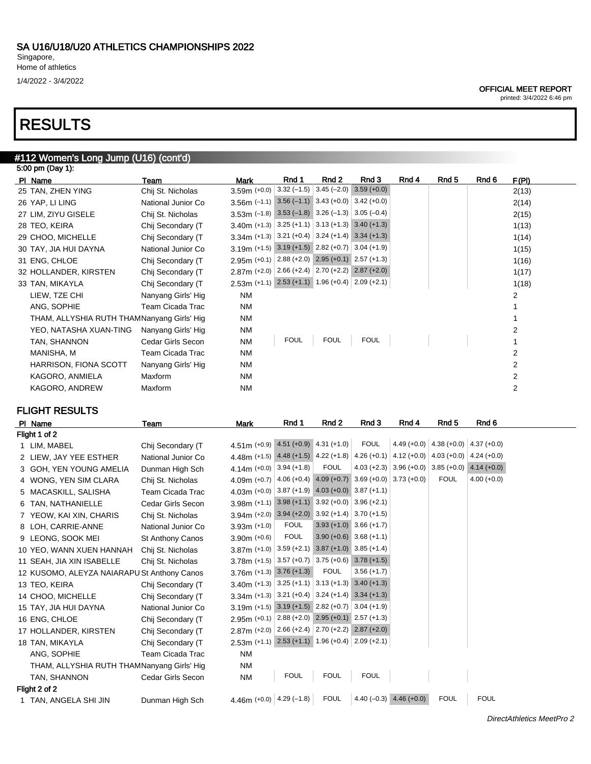1/4/2022 - 3/4/2022

# RESULTS

# #112 Women's Long Jump (U16) (cont'd)

| 5:00 pm (Day 1):                           |                    |                                                          |             |                          |                                           |       |       |       |       |
|--------------------------------------------|--------------------|----------------------------------------------------------|-------------|--------------------------|-------------------------------------------|-------|-------|-------|-------|
| PI Name                                    | Team               | <b>Mark</b>                                              | Rnd 1       | Rnd 2                    | Rnd 3                                     | Rnd 4 | Rnd 5 | Rnd 6 | F(PI) |
| 25 TAN, ZHEN YING                          | Chij St. Nicholas  | $3.59m (+0.0)$                                           |             | $3.32(-1.5)$ 3.45 (-2.0) | $3.59 (+0.0)$                             |       |       |       | 2(13) |
| 26 YAP, LI LING                            | National Junior Co | 3.56m $(-1.1)$ 3.56 $(-1.1)$ 3.43 $(+0.0)$ 3.42 $(+0.0)$ |             |                          |                                           |       |       |       | 2(14) |
| 27 LIM, ZIYU GISELE                        | Chij St. Nicholas  | 3.53m $(-1.8)$ 3.53 $(-1.8)$ 3.26 $(-1.3)$ 3.05 $(-0.4)$ |             |                          |                                           |       |       |       | 2(15) |
| 28 TEO, KEIRA                              | Chij Secondary (T  | $3.40m$ (+1.3) 3.25 (+1.1) 3.13 (+1.3) 3.40 (+1.3)       |             |                          |                                           |       |       |       | 1(13) |
| 29 CHOO, MICHELLE                          | Chij Secondary (T  | $3.34$ m (+1.3) 3.21 (+0.4) 3.24 (+1.4) 3.34 (+1.3)      |             |                          |                                           |       |       |       | 1(14) |
| 30 TAY, JIA HUI DAYNA                      | National Junior Co | 3.19m (+1.5) 3.19 (+1.5) 2.82 (+0.7) 3.04 (+1.9)         |             |                          |                                           |       |       |       | 1(15) |
| 31 ENG, CHLOE                              | Chij Secondary (T  | $2.95m (+0.1)$                                           |             |                          | $2.88 (+2.0)$ $2.95 (+0.1)$ $2.57 (+1.3)$ |       |       |       | 1(16) |
| 32 HOLLANDER, KIRSTEN                      | Chij Secondary (T  | $2.87m (+2.0)$                                           |             |                          | $2.66 (+2.4)$ $2.70 (+2.2)$ $2.87 (+2.0)$ |       |       |       | 1(17) |
| 33 TAN, MIKAYLA                            | Chij Secondary (T  | $2.53m$ (+1.1) $2.53$ (+1.1) 1.96 (+0.4) 2.09 (+2.1)     |             |                          |                                           |       |       |       | 1(18) |
| LIEW, TZE CHI                              | Nanyang Girls' Hig | <b>NM</b>                                                |             |                          |                                           |       |       |       | 2     |
| ANG, SOPHIE                                | Team Cicada Trac   | <b>NM</b>                                                |             |                          |                                           |       |       |       |       |
| THAM, ALLYSHIA RUTH THAMNanyang Girls' Hig |                    | NM                                                       |             |                          |                                           |       |       |       |       |
| YEO, NATASHA XUAN-TING                     | Nanyang Girls' Hig | <b>NM</b>                                                |             |                          |                                           |       |       |       | 2     |
| TAN, SHANNON                               | Cedar Girls Secon  | <b>NM</b>                                                | <b>FOUL</b> | <b>FOUL</b>              | <b>FOUL</b>                               |       |       |       |       |
| MANISHA, M                                 | Team Cicada Trac   | NM                                                       |             |                          |                                           |       |       |       | 2     |
| <b>HARRISON, FIONA SCOTT</b>               | Nanyang Girls' Hig | <b>NM</b>                                                |             |                          |                                           |       |       |       | 2     |
| KAGORO, ANMIELA                            | Maxform            | <b>NM</b>                                                |             |                          |                                           |       |       |       | 2     |
| KAGORO, ANDREW                             | Maxform            | <b>NM</b>                                                |             |                          |                                           |       |       |       | 2     |
|                                            |                    |                                                          |             |                          |                                           |       |       |       |       |

# FLIGHT RESULTS

|   | PI Name                                     | Team                    | <b>Mark</b>                                                     | Rnd 1       | Rnd 2       | Rnd 3                     | Rnd 4                       | Rnd 5                                       | Rnd 6                     |  |
|---|---------------------------------------------|-------------------------|-----------------------------------------------------------------|-------------|-------------|---------------------------|-----------------------------|---------------------------------------------|---------------------------|--|
|   | Flight 1 of 2                               |                         |                                                                 |             |             |                           |                             |                                             |                           |  |
|   | 1 LIM, MABEL                                | Chij Secondary (T       | 4.51m (+0.9) $4.51 (+0.9)$ 4.31 (+1.0)                          |             |             | <b>FOUL</b>               |                             | 4.49 (+0.0) $ $ 4.38 (+0.0) $ $ 4.37 (+0.0) |                           |  |
|   | 2 LIEW, JAY YEE ESTHER                      | National Junior Co      | 4.48m (+1.5) $4.48 + 1.5$ 4.22 (+1.8) 4.26 (+0.1)               |             |             |                           |                             | $4.12 (+0.0) 4.03 (+0.0)$                   | $4.24(+0.0)$              |  |
|   | 3 GOH, YEN YOUNG AMELIA                     | Dunman High Sch         | 4.14m $(+0.0)$ 3.94 $(+1.8)$                                    |             | <b>FOUL</b> |                           | $4.03 (+2.3)$ 3.96 (+0.0)   |                                             | $3.85 (+0.0)$ 4.14 (+0.0) |  |
|   | 4 WONG, YEN SIM CLARA                       | Chij St. Nicholas       | 4.09m (+0.7) $ 4.06(+0.4) $ 4.09 (+0.7) 3.69 (+0.0) 3.73 (+0.0) |             |             |                           |                             | <b>FOUL</b>                                 | $4.00 (+0.0)$             |  |
|   | 5 MACASKILL, SALISHA                        | Team Cicada Trac        | 4.03m (+0.0) $ 3.87 (+1.9)$ 4.03 (+0.0) 3.87 (+1.1)             |             |             |                           |                             |                                             |                           |  |
| 6 | TAN, NATHANIELLE                            | Cedar Girls Secon       | $3.98m$ (+1.1) $3.98$ (+1.1) $3.92$ (+0.0) $3.96$ (+2.1)        |             |             |                           |                             |                                             |                           |  |
|   | 7 YEOW, KAI XIN, CHARIS                     | Chij St. Nicholas       | 3.94m (+2.0) 3.94 (+2.0) 3.92 (+1.4) 3.70 (+1.5)                |             |             |                           |                             |                                             |                           |  |
|   | 8 LOH, CARRIE-ANNE                          | National Junior Co      | 3.93m $(+1.0)$                                                  | <b>FOUL</b> |             | $3.93 (+1.0) 3.66 (+1.7)$ |                             |                                             |                           |  |
|   | 9 LEONG, SOOK MEI                           | <b>St Anthony Canos</b> | $3.90m (+0.6)$                                                  | <b>FOUL</b> |             | $3.90 (+0.6) 3.68 (+1.1)$ |                             |                                             |                           |  |
|   | 10 YEO, WANN XUEN HANNAH                    | Chij St. Nicholas       | $3.87$ m (+1.0) 3.59 (+2.1) 3.87 (+1.0) 3.85 (+1.4)             |             |             |                           |                             |                                             |                           |  |
|   | 11 SEAH, JIA XIN ISABELLE                   | Chij St. Nicholas       | $3.78$ m (+1.5) 3.57 (+0.7) 3.75 (+0.6) 3.78 (+1.5)             |             |             |                           |                             |                                             |                           |  |
|   | 12 KUSOMO, ALEYZA NAIARAPU St Anthony Canos |                         | $3.76m (+1.3) 3.76 (+1.3)$                                      |             | <b>FOUL</b> | $3.56 (+1.7)$             |                             |                                             |                           |  |
|   | 13 TEO, KEIRA                               | Chij Secondary (T       | 3.40m (+1.3) 3.25 (+1.1) 3.13 (+1.3) 3.40 (+1.3)                |             |             |                           |                             |                                             |                           |  |
|   | 14 CHOO, MICHELLE                           | Chij Secondary (T       | $3.34$ m (+1.3) 3.21 (+0.4) 3.24 (+1.4) 3.34 (+1.3)             |             |             |                           |                             |                                             |                           |  |
|   | 15 TAY, JIA HUI DAYNA                       | National Junior Co      | 3.19m (+1.5) 3.19 (+1.5) 2.82 (+0.7) 3.04 (+1.9)                |             |             |                           |                             |                                             |                           |  |
|   | 16 ENG, CHLOE                               | Chij Secondary (T       | $2.95m$ (+0.1) $2.88$ (+2.0) $2.95$ (+0.1) $2.57$ (+1.3)        |             |             |                           |                             |                                             |                           |  |
|   | 17 HOLLANDER, KIRSTEN                       | Chij Secondary (T       | 2.87m (+2.0) 2.66 (+2.4) 2.70 (+2.2) 2.87 (+2.0)                |             |             |                           |                             |                                             |                           |  |
|   | 18 TAN, MIKAYLA                             | Chij Secondary (T       | $2.53m$ (+1.1) $2.53$ (+1.1) 1.96 (+0.4) 2.09 (+2.1)            |             |             |                           |                             |                                             |                           |  |
|   | ANG, SOPHIE                                 | Team Cicada Trac        | <b>NM</b>                                                       |             |             |                           |                             |                                             |                           |  |
|   | THAM, ALLYSHIA RUTH THAMNanyang Girls' Hig  |                         | ΝM                                                              |             |             |                           |                             |                                             |                           |  |
|   | TAN, SHANNON                                | Cedar Girls Secon       | <b>NM</b>                                                       | <b>FOUL</b> | <b>FOUL</b> | <b>FOUL</b>               |                             |                                             |                           |  |
|   | Flight 2 of 2                               |                         |                                                                 |             |             |                           |                             |                                             |                           |  |
|   | 1 TAN, ANGELA SHI JIN                       | Dunman High Sch         | 4.46m (+0.0) $ 4.29(-1.8) $                                     |             | <b>FOUL</b> |                           | $4.40 (-0.3)$ $4.46 (+0.0)$ | <b>FOUL</b>                                 | <b>FOUL</b>               |  |
|   |                                             |                         |                                                                 |             |             |                           |                             |                                             |                           |  |

printed: 3/4/2022 6:46 pm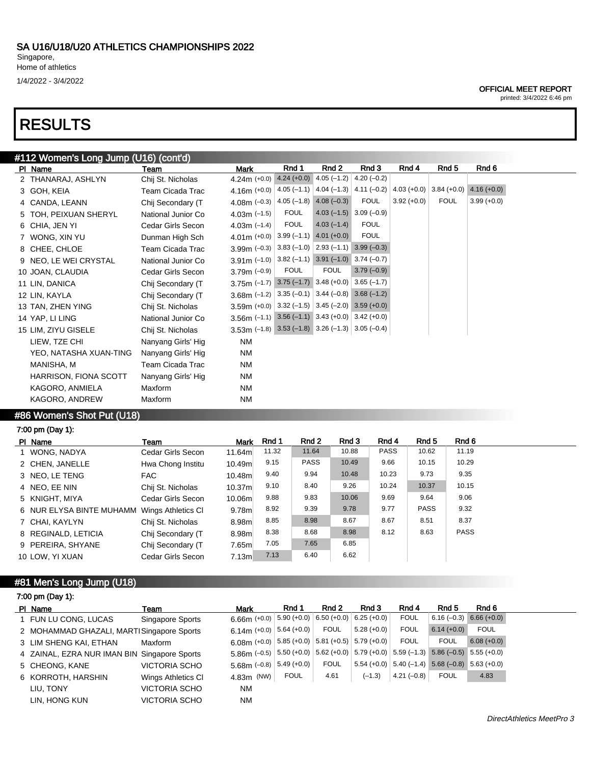1/4/2022 - 3/4/2022

# RESULTS

# #112 Women's Long Jump (U16) (cont'd)

| PI Name                                                                               | Team               | Mark                                                     | Rnd 1                     | Rnd 2                     | Rnd 3                                    | Rnd 4                     | Rnd 5       | Rnd 6         |
|---------------------------------------------------------------------------------------|--------------------|----------------------------------------------------------|---------------------------|---------------------------|------------------------------------------|---------------------------|-------------|---------------|
| 2 THANARAJ, ASHLYN                                                                    | Chij St. Nicholas  | $4.24m (+0.0)$                                           | $4.24 (+0.0) 4.05 (-1.2)$ |                           | $4.20(-0.2)$                             |                           |             |               |
| 3 GOH, KEIA                                                                           | Team Cicada Trac   | 4.16m $(+0.0)$                                           |                           |                           | $4.05(-1.1)$ $ 4.04(-1.3)$ $ 4.11(-0.2)$ | $4.03 (+0.0)$ 3.84 (+0.0) |             | $4.16 (+0.0)$ |
| 4 CANDA, LEANN                                                                        | Chij Secondary (T  | 4.08m $(-0.3)$                                           |                           | $4.05(-1.8)$ $4.08(-0.3)$ | <b>FOUL</b>                              | $3.92 (+0.0)$             | <b>FOUL</b> | $3.99 (+0.0)$ |
| 5 TOH, PEIXUAN SHERYL                                                                 | National Junior Co | 4.03m $(-1.5)$                                           | <b>FOUL</b>               |                           | $4.03(-1.5)$ 3.09 $(-0.9)$               |                           |             |               |
| 6 CHIA, JEN YI                                                                        | Cedar Girls Secon  | 4.03m $(-1.4)$                                           | <b>FOUL</b>               | $4.03(-1.4)$              | <b>FOUL</b>                              |                           |             |               |
| 7 WONG, XIN YU                                                                        | Dunman High Sch    | 4.01 m $(+0.0)$ 3.99 (-1.1) 4.01 (+0.0)                  |                           |                           | <b>FOUL</b>                              |                           |             |               |
| 8 CHEE, CHLOE                                                                         | Team Cicada Trac   | 3.99m $(-0.3)$ 3.83 $(-1.0)$ 2.93 $(-1.1)$ 3.99 $(-0.3)$ |                           |                           |                                          |                           |             |               |
| 9 NEO, LE WEI CRYSTAL                                                                 | National Junior Co | 3.91m $(-1.0)$ 3.82 $(-1.1)$ 3.91 $(-1.0)$ 3.74 $(-0.7)$ |                           |                           |                                          |                           |             |               |
| 10 JOAN, CLAUDIA                                                                      | Cedar Girls Secon  | 3.79m $(-0.9)$                                           | <b>FOUL</b>               | <b>FOUL</b>               | $3.79(-0.9)$                             |                           |             |               |
| 11 LIN, DANICA                                                                        | Chij Secondary (T  | $3.75m$ (-1.7) $3.75$ (-1.7) $3.48$ (+0.0) $3.65$ (-1.7) |                           |                           |                                          |                           |             |               |
| 12 LIN, KAYLA                                                                         | Chij Secondary (T  | 3.68m (-1.2) 3.35 (-0.1) 3.44 (-0.8) 3.68 (-1.2)         |                           |                           |                                          |                           |             |               |
| 13 TAN, ZHEN YING                                                                     | Chij St. Nicholas  | 3.59m (+0.0) 3.32 (-1.5) 3.45 (-2.0) 3.59 (+0.0)         |                           |                           |                                          |                           |             |               |
| 14 YAP, LI LING                                                                       | National Junior Co | 3.56m $(-1.1)$ 3.56 $(-1.1)$ 3.43 $(+0.0)$ 3.42 $(+0.0)$ |                           |                           |                                          |                           |             |               |
| 15 LIM, ZIYU GISELE                                                                   | Chij St. Nicholas  | 3.53m $(-1.8)$ 3.53 $(-1.8)$ 3.26 $(-1.3)$ 3.05 $(-0.4)$ |                           |                           |                                          |                           |             |               |
| LIEW, TZE CHI                                                                         | Nanyang Girls' Hig | <b>NM</b>                                                |                           |                           |                                          |                           |             |               |
| YEO, NATASHA XUAN-TING                                                                | Nanyang Girls' Hig | <b>NM</b>                                                |                           |                           |                                          |                           |             |               |
| MANISHA, M                                                                            | Team Cicada Trac   | <b>NM</b>                                                |                           |                           |                                          |                           |             |               |
| HARRISON, FIONA SCOTT                                                                 | Nanyang Girls' Hig | <b>NM</b>                                                |                           |                           |                                          |                           |             |               |
| KAGORO, ANMIELA                                                                       | Maxform            | NM                                                       |                           |                           |                                          |                           |             |               |
| KAGORO, ANDREW                                                                        | Maxform            | <b>NM</b>                                                |                           |                           |                                          |                           |             |               |
| $\mathbf{r}$ and $\mathbf{r}$ and $\mathbf{r}$ and $\mathbf{r}$ and $\mathbf{r}$<br>. |                    |                                                          |                           |                           |                                          |                           |             |               |

### #86 Women's Shot Put (U18)

# 7:00 pm (Day 1):

| PI Name                  | Team               | <b>Mark</b>       | Rnd 1 | Rnd 2       | Rnd 3 | Rnd 4       | Rnd 5       | Rnd 6       |
|--------------------------|--------------------|-------------------|-------|-------------|-------|-------------|-------------|-------------|
| 1 WONG, NADYA            | Cedar Girls Secon  | 11.64m            | 11.32 | 11.64       | 10.88 | <b>PASS</b> | 10.62       | 11.19       |
| 2 CHEN, JANELLE          | Hwa Chong Institu  | 10.49m            | 9.15  | <b>PASS</b> | 10.49 | 9.66        | 10.15       | 10.29       |
| 3 NEO, LE TENG           | FAC.               | 10.48m            | 9.40  | 9.94        | 10.48 | 10.23       | 9.73        | 9.35        |
| 4 NEO, EE NIN            | Chij St. Nicholas  | 10.37m            | 9.10  | 8.40        | 9.26  | 10.24       | 10.37       | 10.15       |
| 5 KNIGHT, MIYA           | Cedar Girls Secon  | 10.06m            | 9.88  | 9.83        | 10.06 | 9.69        | 9.64        | 9.06        |
| 6 NUR ELYSA BINTE MUHAMM | Wings Athletics CI | 9.78 <sub>m</sub> | 8.92  | 9.39        | 9.78  | 9.77        | <b>PASS</b> | 9.32        |
| 7 CHAI, KAYLYN           | Chij St. Nicholas  | 8.98m             | 8.85  | 8.98        | 8.67  | 8.67        | 8.51        | 8.37        |
| 8 REGINALD, LETICIA      | Chij Secondary (T  | 8.98m             | 8.38  | 8.68        | 8.98  | 8.12        | 8.63        | <b>PASS</b> |
| 9 PEREIRA, SHYANE        | Chij Secondary (T  | 7.65m             | 7.05  | 7.65        | 6.85  |             |             |             |
| 10 LOW, YI XUAN          | Cedar Girls Secon  | 7.13m             | 7.13  | 6.40        | 6.62  |             |             |             |

# #81 Men's Long Jump (U18)

|  |  | 7:00 pm (Day 1): |  |
|--|--|------------------|--|
|--|--|------------------|--|

| PI Name                                      | Team               | Mark                                                                                                                            | Rnd 1       | Rnd 2       | Rnd 3                     | Rnd 4        | Rnd 5                                                   | Rnd 6                     |
|----------------------------------------------|--------------------|---------------------------------------------------------------------------------------------------------------------------------|-------------|-------------|---------------------------|--------------|---------------------------------------------------------|---------------------------|
| 1 FUN LU CONG, LUCAS                         | Singapore Sports   | 6.66m $(+0.0)$ 5.90 $(+0.0)$                                                                                                    |             |             | $6.50 (+0.0) 6.25 (+0.0)$ | <b>FOUL</b>  |                                                         | $6.16 (-0.3) 6.66 (+0.0)$ |
| 2 MOHAMMAD GHAZALI, MARTISingapore Sports    |                    | 6.14m $(+0.0)$ 5.64 $(+0.0)$                                                                                                    |             | <b>FOUL</b> | $5.28(+0.0)$              | <b>FOUL</b>  | $6.14 (+0.0)$                                           | <b>FOUL</b>               |
| 3 LIM SHENG KAI, ETHAN                       | Maxform            | 6.08m (+0.0) 5.85 (+0.0) 5.81 (+0.5) 5.79 (+0.0)                                                                                |             |             |                           | <b>FOUL</b>  | <b>FOUL</b>                                             | $6.08 (+0.0)$             |
| 4 ZAINAL, EZRA NUR IMAN BIN Singapore Sports |                    | $5.86$ (-0.5) $\mid$ 5.50 (+0.0) $\mid$ 5.62 (+0.0) $\mid$ 5.79 (+0.0) $\mid$ 5.59 (-1.3) $\mid$ 5.86 (-0.5) $\mid$ 5.55 (+0.0) |             |             |                           |              |                                                         |                           |
| 5 CHEONG, KANE                               | VICTORIA SCHO      | $5.68$ m (-0.8) $ 5.49$ (+0.0)                                                                                                  |             | <b>FOUL</b> |                           |              | $5.54 (+0.0)$ $5.40 (-1.4)$ $5.68 (-0.8)$ $5.63 (+0.0)$ |                           |
| 6 KORROTH, HARSHIN                           | Wings Athletics CI | $4.83m$ (NW)                                                                                                                    | <b>FOUL</b> | 4.61        | $(-1.3)$                  | $4.21(-0.8)$ | <b>FOUL</b>                                             | 4.83                      |
| LIU. TONY                                    | VICTORIA SCHO      | <b>NM</b>                                                                                                                       |             |             |                           |              |                                                         |                           |
| LIN. HONG KUN                                | VICTORIA SCHO      | <b>NM</b>                                                                                                                       |             |             |                           |              |                                                         |                           |

#### OFFICIAL MEET REPORT

printed: 3/4/2022 6:46 pm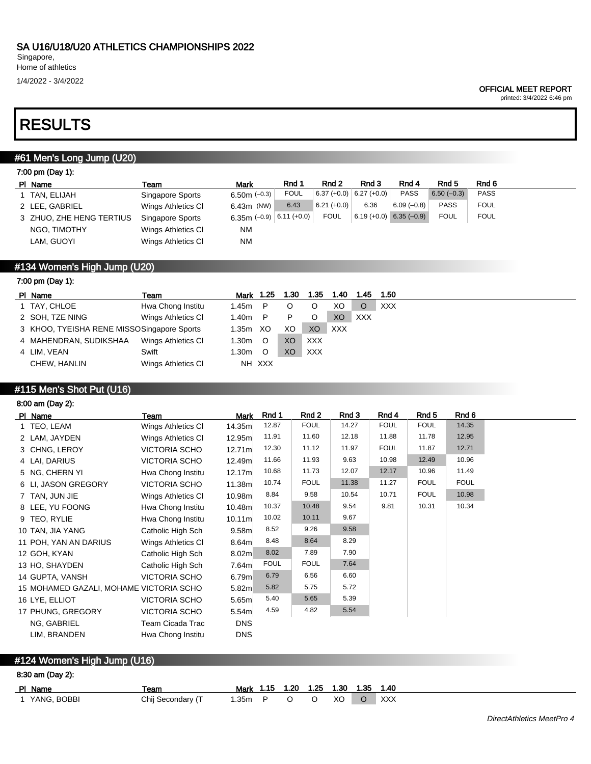1/4/2022 - 3/4/2022

#### OFFICIAL MEET REPORT

printed: 3/4/2022 6:46 pm

# RESULTS

## #61 Men's Long Jump (U20)

| 7:00 pm (Day 1):         |                    |                          |             |               |                           |              |              |             |
|--------------------------|--------------------|--------------------------|-------------|---------------|---------------------------|--------------|--------------|-------------|
| PI Name                  | Team               | <b>Mark</b>              | Rnd 1       | Rnd 2         | Rnd 3                     | Rnd 4        | Rnd 5        | Rnd 6       |
| 1 TAN, ELIJAH            | Singapore Sports   | 6.50 $m$ (-0.3)          | <b>FOUL</b> |               | $6.37 (+0.0)$ 6.27 (+0.0) | <b>PASS</b>  | $6.50(-0.3)$ | <b>PASS</b> |
| 2 LEE, GABRIEL           | Wings Athletics CI | 6.43m (NW) $\&$          | 6.43        | $6.21 (+0.0)$ | 6.36                      | $6.09(-0.8)$ | <b>PASS</b>  | <b>FOUL</b> |
| 3 ZHUO, ZHE HENG TERTIUS | Singapore Sports   | 6.35m (-0.9) 6.11 (+0.0) |             | <b>FOUL</b>   | $6.19 (+0.0)$ 6.35 (-0.9) |              | <b>FOUL</b>  | <b>FOUL</b> |
| NGO, TIMOTHY             | Wings Athletics CI | <b>NM</b>                |             |               |                           |              |              |             |
| LAM, GUOYI               | Wings Athletics CI | ΝM                       |             |               |                           |              |              |             |

# #134 Women's High Jump (U20)

## 7:00 pm (Day 1):

| PI Name                                    | Team               | Mark  | 1.25    | 1.30 | 1.35           | 1.40       | 1.45       | 1.50       |
|--------------------------------------------|--------------------|-------|---------|------|----------------|------------|------------|------------|
| 1 TAY, CHLOE                               | Hwa Chong Institu  | 1.45m | P       | O    |                | XO.        | $\circ$    | <b>XXX</b> |
| 2 SOH, TZE NING                            | Wings Athletics CI | 1.40m | P       | P    |                | XO         | <b>XXX</b> |            |
| 3 KHOO, TYEISHA RENE MISSOSingapore Sports |                    | 1.35m | XO      | XO   | X <sub>O</sub> | <b>XXX</b> |            |            |
| 4 MAHENDRAN, SUDIKSHAA                     | Wings Athletics CI | 1.30m | $\circ$ | XO   | <b>XXX</b>     |            |            |            |
| 4 LIM. VEAN                                | Swift              | 1.30m | $\circ$ | XO   | <b>XXX</b>     |            |            |            |
| CHEW, HANLIN                               | Wings Athletics CI |       | NH XXX  |      |                |            |            |            |
|                                            |                    |       |         |      |                |            |            |            |

# #115 Men's Shot Put (U16)

## 8:00 am (Day 2):

| PI Name                                 | Team                    | <b>Mark</b>        | Rnd 1       | Rnd 2       | Rnd 3 | Rnd 4       | Rnd <sub>5</sub> | Rnd 6       |
|-----------------------------------------|-------------------------|--------------------|-------------|-------------|-------|-------------|------------------|-------------|
| 1 TEO, LEAM                             | Wings Athletics CI      | 14.35m             | 12.87       | <b>FOUL</b> | 14.27 | <b>FOUL</b> | <b>FOUL</b>      | 14.35       |
| 2 LAM, JAYDEN                           | Wings Athletics CI      | 12.95m             | 11.91       | 11.60       | 12.18 | 11.88       | 11.78            | 12.95       |
| 3 CHNG, LEROY                           | VICTORIA SCHO           | 12.71m             | 12.30       | 11.12       | 11.97 | <b>FOUL</b> | 11.87            | 12.71       |
| 4 LAI, DARIUS                           | VICTORIA SCHO           | 12.49m             | 11.66       | 11.93       | 9.63  | 10.98       | 12.49            | 10.96       |
| 5 NG, CHERN YI                          | Hwa Chong Institu       | 12.17m             | 10.68       | 11.73       | 12.07 | 12.17       | 10.96            | 11.49       |
| 6 LI, JASON GREGORY                     | <b>VICTORIA SCHO</b>    | 11.38m             | 10.74       | <b>FOUL</b> | 11.38 | 11.27       | <b>FOUL</b>      | <b>FOUL</b> |
| 7 TAN, JUN JIE                          | Wings Athletics CI      | 10.98m             | 8.84        | 9.58        | 10.54 | 10.71       | <b>FOUL</b>      | 10.98       |
| 8 LEE, YU FOONG                         | Hwa Chong Institu       | 10.48m             | 10.37       | 10.48       | 9.54  | 9.81        | 10.31            | 10.34       |
| 9 TEO, RYLIE                            | Hwa Chong Institu       | 10.11 <sub>m</sub> | 10.02       | 10.11       | 9.67  |             |                  |             |
| 10 TAN, JIA YANG                        | Catholic High Sch       | 9.58 <sub>m</sub>  | 8.52        | 9.26        | 9.58  |             |                  |             |
| 11 POH, YAN AN DARIUS                   | Wings Athletics CI      | 8.64 <sub>m</sub>  | 8.48        | 8.64        | 8.29  |             |                  |             |
| 12 GOH, KYAN                            | Catholic High Sch       | 8.02 <sub>m</sub>  | 8.02        | 7.89        | 7.90  |             |                  |             |
| 13 HO, SHAYDEN                          | Catholic High Sch       | 7.64m              | <b>FOUL</b> | <b>FOUL</b> | 7.64  |             |                  |             |
| 14 GUPTA, VANSH                         | <b>VICTORIA SCHO</b>    | 6.79m              | 6.79        | 6.56        | 6.60  |             |                  |             |
| 15 MOHAMED GAZALI, MOHAME VICTORIA SCHO |                         | 5.82m              | 5.82        | 5.75        | 5.72  |             |                  |             |
| 16 LYE, ELLIOT                          | <b>VICTORIA SCHO</b>    | 5.65 <sub>m</sub>  | 5.40        | 5.65        | 5.39  |             |                  |             |
| 17 PHUNG, GREGORY                       | <b>VICTORIA SCHO</b>    | 5.54 <sub>m</sub>  | 4.59        | 4.82        | 5.54  |             |                  |             |
| NG, GABRIEL                             | <b>Team Cicada Trac</b> | <b>DNS</b>         |             |             |       |             |                  |             |
| LIM, BRANDEN                            | Hwa Chong Institu       | <b>DNS</b>         |             |             |       |             |                  |             |

# #124 Women's High Jump (U16)

## 8:30 am (Day 2):

| PI Name       | Team              | Mark 1.15 1.20 1.25 1.30 1.35 1.40 |  |  |                |     |
|---------------|-------------------|------------------------------------|--|--|----------------|-----|
| 1 YANG. BOBBI | Chij Secondary (T | 1.35m P O O XO                     |  |  | $\overline{O}$ | XXX |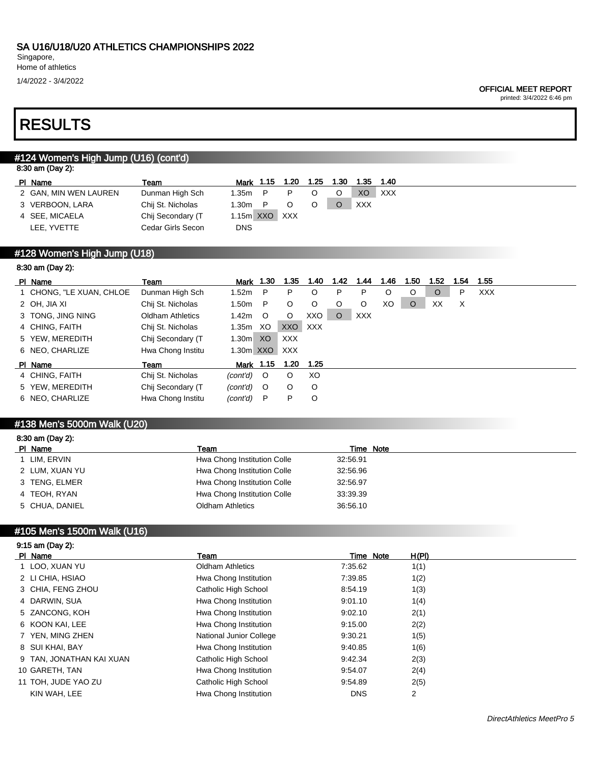Singapore,

# Home of athletics

1/4/2022 - 3/4/2022

#### OFFICIAL MEET REPORT

printed: 3/4/2022 6:46 pm

# RESULTS

## #124 Women's High Jump (U16) (cont'd)

| 8:30 am (Day 2): |  |  |  |
|------------------|--|--|--|
|------------------|--|--|--|

8:30 am (Day 2):

| PI Name               | Team              | Mark 1.15 1.20  |  | 1.25 | 1.30 | 1.35 | 1.40 |
|-----------------------|-------------------|-----------------|--|------|------|------|------|
| 2 GAN, MIN WEN LAUREN | Dunman High Sch   | 1.35m           |  |      |      | XO   | XXX  |
| 3 VERBOON, LARA       | Chij St. Nicholas | 1.30m           |  |      |      | XXX  |      |
| 4 SEE, MICAELA        | Chij Secondary (T | $1.15m$ XXO XXX |  |      |      |      |      |
| LEE. YVETTE           | Cedar Girls Secon | <b>DNS</b>      |  |      |      |      |      |

### #128 Women's High Jump (U18)

| $0.00$ and $\mu$ ay $\mathcal{L}$ ). |                         |                   |           |            |         |         |            |         |      |         |      |            |
|--------------------------------------|-------------------------|-------------------|-----------|------------|---------|---------|------------|---------|------|---------|------|------------|
| PI Name                              | Team                    | Mark              | 1.30      | 1.35       | 1.40    | 1.42    | 1.44       | 1.46    | 1.50 | 1.52    | 1.54 | 1.55       |
| 1 CHONG, "LE XUAN, CHLOE             | Dunman High Sch         | 1.52m             | P         | P          | O       | P       | P          | $\circ$ | O    | $\circ$ | P    | <b>XXX</b> |
| 2 OH, JIA XI                         | Chij St. Nicholas       | 1.50 <sub>m</sub> | P         | $\circ$    | $\circ$ | O       | $\circ$    | XO      | O    | XX      | X    |            |
| 3 TONG, JING NING                    | <b>Oldham Athletics</b> | 1.42 <sub>m</sub> | $\circ$   | $\circ$    | XXO I   | $\circ$ | <b>XXX</b> |         |      |         |      |            |
| 4 CHING, FAITH                       | Chij St. Nicholas       | 1.35m             | XO        | XXO        | XXX     |         |            |         |      |         |      |            |
| 5 YEW, MEREDITH                      | Chij Secondary (T       | 1.30 <sub>m</sub> | XO        | <b>XXX</b> |         |         |            |         |      |         |      |            |
| 6 NEO, CHARLIZE                      | Hwa Chong Institu       | 1.30m XXO         |           | XXX        |         |         |            |         |      |         |      |            |
| PI Name                              | Team                    |                   | Mark 1.15 | 1.20       | 1.25    |         |            |         |      |         |      |            |
| 4 CHING, FAITH                       | Chij St. Nicholas       | (cont'd)          | $\circ$   | $\circ$    | XO      |         |            |         |      |         |      |            |
| 5 YEW, MEREDITH                      | Chij Secondary (T       | (cont'd)          | $\circ$   | $\circ$    | $\circ$ |         |            |         |      |         |      |            |
| 6 NEO, CHARLIZE                      | Hwa Chong Institu       | (cont'd)          | P         | P          | $\circ$ |         |            |         |      |         |      |            |
|                                      |                         |                   |           |            |         |         |            |         |      |         |      |            |

### #138 Men's 5000m Walk (U20)

#### 8:30 am (Day 2):

| PI Name        | Team                        | Time Note |
|----------------|-----------------------------|-----------|
| LIM. ERVIN     | Hwa Chong Institution Colle | 32:56.91  |
| 2 LUM, XUAN YU | Hwa Chong Institution Colle | 32:56.96  |
| 3 TENG, ELMER  | Hwa Chong Institution Colle | 32:56.97  |
| 4 TEOH, RYAN   | Hwa Chong Institution Colle | 33:39.39  |
| 5 CHUA, DANIEL | Oldham Athletics            | 36:56.10  |

### #105 Men's 1500m Walk (U16)

### 9:15 am (Day 2): PI Name **Team Team Team Time Note** H(PI) 1 LOO, XUAN YU Oldham Athletics 7:35.62 1(1) 2 LI CHIA, HSIAO **Hwa Chong Institution** 7:39.85 1(2) 3 CHIA, FENG ZHOU Catholic High School 8:54.19 1(3) 4 DARWIN, SUA 1(4) 1(4) Hwa Chong Institution 9:01.10 1(4) 5 ZANCONG, KOH Hwa Chong Institution 9:02.10 2(1) 6 KOON KAI, LEE Hwa Chong Institution 9:15.00 2(2) 7 YEN, MING ZHEN **National Junior College** 9:30.21 1(5) 8 SUI KHAI, BAY **Hwa Chong Institution** 9:40.85 1(6) 9:40.85 9 TAN, JONATHAN KAI XUAN Catholic High School 9:42.34 2(3) 10 GARETH, TAN Hwa Chong Institution 9:54.07 2(4) 11 TOH, JUDE YAO ZU Catholic High School 9:54.89 2(5) KIN WAH, LEE **Hwa Chong Institution** DNS 2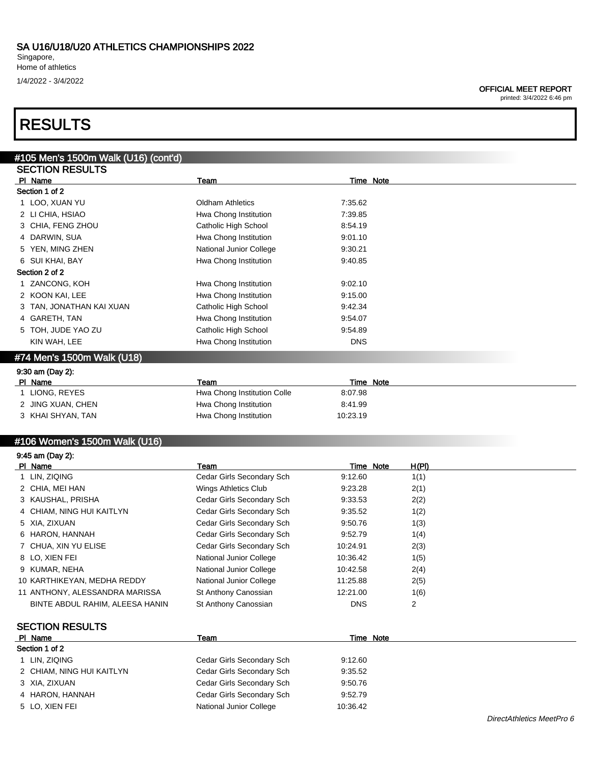Singapore, Home of athletics 1/4/2022 - 3/4/2022

### OFFICIAL MEET REPORT

printed: 3/4/2022 6:46 pm

# RESULTS

| #105 Men's 1500m Walk (U16) (cont'd) |                             |            |  |
|--------------------------------------|-----------------------------|------------|--|
| <b>SECTION RESULTS</b>               |                             |            |  |
| PI Name                              | Team                        | Time Note  |  |
| Section 1 of 2                       |                             |            |  |
| 1 LOO, XUAN YU                       | <b>Oldham Athletics</b>     | 7:35.62    |  |
| 2 LI CHIA, HSIAO                     | Hwa Chong Institution       | 7:39.85    |  |
| 3 CHIA, FENG ZHOU                    | Catholic High School        | 8:54.19    |  |
| 4 DARWIN, SUA                        | Hwa Chong Institution       | 9:01.10    |  |
| YEN, MING ZHEN                       | National Junior College     | 9:30.21    |  |
| 6 SUI KHAI, BAY                      | Hwa Chong Institution       | 9:40.85    |  |
| Section 2 of 2                       |                             |            |  |
| ZANCONG, KOH                         | Hwa Chong Institution       | 9:02.10    |  |
| 2 KOON KAI, LEE                      | Hwa Chong Institution       | 9:15.00    |  |
| TAN, JONATHAN KAI XUAN               | Catholic High School        | 9:42.34    |  |
| 4 GARETH, TAN                        | Hwa Chong Institution       | 9:54.07    |  |
| 5 TOH, JUDE YAO ZU                   | Catholic High School        | 9:54.89    |  |
| KIN WAH, LEE                         | Hwa Chong Institution       | <b>DNS</b> |  |
| #74 Men's 1500m Walk (U18)           |                             |            |  |
| 9:30 am (Day 2):                     |                             |            |  |
| PI Name                              | Team                        | Time Note  |  |
| 1 LIONG, REYES                       | Hwa Chong Institution Colle | 8:07.98    |  |
| 2 JING XUAN, CHEN                    | Hwa Chong Institution       | 8:41.99    |  |
| 3 KHAI SHYAN, TAN                    | Hwa Chong Institution       | 10:23.19   |  |
|                                      |                             |            |  |
|                                      |                             |            |  |

## #106 Women's 1500m Walk (U16)

| 9:45 am (Day 2):                |                           |            |       |
|---------------------------------|---------------------------|------------|-------|
| PI Name                         | Team                      | Time Note  | H(PI) |
| 1 LIN, ZIQING                   | Cedar Girls Secondary Sch | 9:12.60    | 1(1)  |
| 2 CHIA, MEI HAN                 | Wings Athletics Club      | 9:23.28    | 2(1)  |
| 3 KAUSHAL, PRISHA               | Cedar Girls Secondary Sch | 9:33.53    | 2(2)  |
| 4 CHIAM, NING HUI KAITLYN       | Cedar Girls Secondary Sch | 9:35.52    | 1(2)  |
| 5 XIA, ZIXUAN                   | Cedar Girls Secondary Sch | 9.50.76    | 1(3)  |
| 6 HARON, HANNAH                 | Cedar Girls Secondary Sch | 9:52.79    | 1(4)  |
| 7 CHUA, XIN YU ELISE            | Cedar Girls Secondary Sch | 10:24.91   | 2(3)  |
| 8 LO, XIEN FEI                  | National Junior College   | 10:36.42   | 1(5)  |
| 9 KUMAR, NEHA                   | National Junior College   | 10:42.58   | 2(4)  |
| 10 KARTHIKEYAN, MEDHA REDDY     | National Junior College   | 11:25.88   | 2(5)  |
| 11 ANTHONY, ALESSANDRA MARISSA  | St Anthony Canossian      | 12:21.00   | 1(6)  |
| BINTE ABDUL RAHIM, ALEESA HANIN | St Anthony Canossian      | <b>DNS</b> | 2     |
| <b>SECTION RESULTS</b>          |                           |            |       |
| PI Name                         | Team                      | Time Note  |       |
| Section 1 of 2                  |                           |            |       |
| 1 LIN, ZIQING                   | Cedar Girls Secondary Sch | 9:12.60    |       |
| 2 CHIAM NING HIJI KAITI YN      | Cedar Girls Secondary Sch | 9.35.52    |       |

 CHIAM, NING HUI KAITLYN Cedar Girls Secondary Sch 9:35.52 XIA, ZIXUAN Cedar Girls Secondary Sch 9:50.76 HARON, HANNAH Cedar Girls Secondary Sch 9:52.79 5 LO, XIEN FEI National Junior College 10:36.42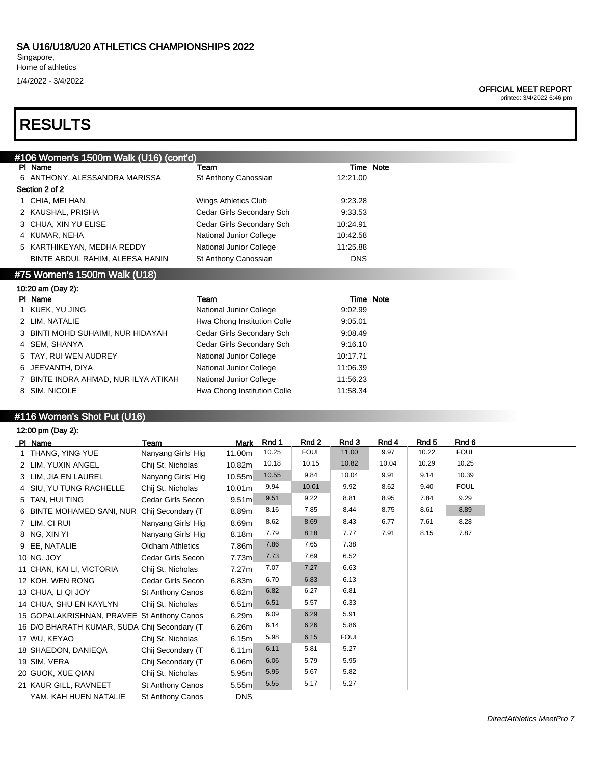Singapore, Home of athletics

1/4/2022 - 3/4/2022

#### OFFICIAL MEET REPORT

printed: 3/4/2022 6:46 pm

# RESULTS

|                              | #106 Women's 1500m Walk (U16) (cont'd) |                             |            |           |  |  |  |  |  |  |
|------------------------------|----------------------------------------|-----------------------------|------------|-----------|--|--|--|--|--|--|
|                              | PI Name                                | Team                        |            | Time Note |  |  |  |  |  |  |
|                              | 6 ANTHONY, ALESSANDRA MARISSA          | St Anthony Canossian        | 12:21.00   |           |  |  |  |  |  |  |
|                              | Section 2 of 2                         |                             |            |           |  |  |  |  |  |  |
|                              | 1 CHIA, MEI HAN                        | Wings Athletics Club        | 9:23.28    |           |  |  |  |  |  |  |
|                              | 2 KAUSHAL, PRISHA                      | Cedar Girls Secondary Sch   | 9:33.53    |           |  |  |  |  |  |  |
|                              | 3 CHUA, XIN YU ELISE                   | Cedar Girls Secondary Sch   | 10:24.91   |           |  |  |  |  |  |  |
|                              | 4 KUMAR, NEHA                          | National Junior College     | 10:42.58   |           |  |  |  |  |  |  |
|                              | 5 KARTHIKEYAN, MEDHA REDDY             | National Junior College     | 11:25.88   |           |  |  |  |  |  |  |
|                              | BINTE ABDUL RAHIM, ALEESA HANIN        | St Anthony Canossian        | <b>DNS</b> |           |  |  |  |  |  |  |
| #75 Women's 1500m Walk (U18) |                                        |                             |            |           |  |  |  |  |  |  |
|                              |                                        |                             |            |           |  |  |  |  |  |  |
|                              | 10:20 am (Day 2):                      |                             |            |           |  |  |  |  |  |  |
|                              | PI Name                                | Team                        |            | Time Note |  |  |  |  |  |  |
|                              | KUEK, YU JING                          | National Junior College     | 9:02.99    |           |  |  |  |  |  |  |
|                              | 2 LIM, NATALIE                         | Hwa Chong Institution Colle | 9:05.01    |           |  |  |  |  |  |  |
|                              | BINTI MOHD SUHAIMI, NUR HIDAYAH        | Cedar Girls Secondary Sch   | 9:08.49    |           |  |  |  |  |  |  |
|                              | 4 SEM, SHANYA                          | Cedar Girls Secondary Sch   | 9:16.10    |           |  |  |  |  |  |  |
|                              | 5 TAY, RUI WEN AUDREY                  | National Junior College     | 10:17.71   |           |  |  |  |  |  |  |
| 6                            | JEEVANTH, DIYA                         | National Junior College     | 11:06.39   |           |  |  |  |  |  |  |
|                              | BINTE INDRA AHMAD, NUR ILYA ATIKAH     | National Junior College     | 11:56.23   |           |  |  |  |  |  |  |

## #116 Women's Shot Put (U16)

| 12:00 pm (Day 2):                            |                         |                   |       |             |             |       |       |             |
|----------------------------------------------|-------------------------|-------------------|-------|-------------|-------------|-------|-------|-------------|
| PI Name                                      | Team                    | Mark              | Rnd 1 | Rnd 2       | Rnd 3       | Rnd 4 | Rnd 5 | Rnd 6       |
| 1 THANG, YING YUE                            | Nanyang Girls' Hig      | 11.00m            | 10.25 | <b>FOUL</b> | 11.00       | 9.97  | 10.22 | <b>FOUL</b> |
| 2 LIM, YUXIN ANGEL                           | Chij St. Nicholas       | 10.82m            | 10.18 | 10.15       | 10.82       | 10.04 | 10.29 | 10.25       |
| 3 LIM, JIA EN LAUREL                         | Nanyang Girls' Hig      | 10.55m            | 10.55 | 9.84        | 10.04       | 9.91  | 9.14  | 10.39       |
| 4 SIU, YU TUNG RACHELLE                      | Chij St. Nicholas       | 10.01m            | 9.94  | 10.01       | 9.92        | 8.62  | 9.40  | <b>FOUL</b> |
| 5 TAN, HUI TING                              | Cedar Girls Secon       | 9.51 <sub>m</sub> | 9.51  | 9.22        | 8.81        | 8.95  | 7.84  | 9.29        |
| 6 BINTE MOHAMED SANI, NUR Chij Secondary (T  |                         | 8.89m             | 8.16  | 7.85        | 8.44        | 8.75  | 8.61  | 8.89        |
| 7 LIM, CI RUI                                | Nanyang Girls' Hig      | 8.69m             | 8.62  | 8.69        | 8.43        | 6.77  | 7.61  | 8.28        |
| 8 NG, XIN YI                                 | Nanyang Girls' Hig      | 8.18m             | 7.79  | 8.18        | 7.77        | 7.91  | 8.15  | 7.87        |
| 9 EE, NATALIE                                | <b>Oldham Athletics</b> | 7.86m             | 7.86  | 7.65        | 7.38        |       |       |             |
| 10 NG, JOY                                   | Cedar Girls Secon       | 7.73m             | 7.73  | 7.69        | 6.52        |       |       |             |
| 11 CHAN, KAI LI, VICTORIA                    | Chij St. Nicholas       | 7.27 <sub>m</sub> | 7.07  | 7.27        | 6.63        |       |       |             |
| 12 KOH, WEN RONG                             | Cedar Girls Secon       | 6.83m             | 6.70  | 6.83        | 6.13        |       |       |             |
| 13 CHUA, LI QI JOY                           | <b>St Anthony Canos</b> | 6.82m             | 6.82  | 6.27        | 6.81        |       |       |             |
| 14 CHUA, SHU EN KAYLYN                       | Chij St. Nicholas       | 6.51 <sub>m</sub> | 6.51  | 5.57        | 6.33        |       |       |             |
| 15 GOPALAKRISHNAN, PRAVEE St Anthony Canos   |                         | 6.29 <sub>m</sub> | 6.09  | 6.29        | 5.91        |       |       |             |
| 16 D/O BHARATH KUMAR, SUDA Chij Secondary (T |                         | 6.26 <sub>m</sub> | 6.14  | 6.26        | 5.86        |       |       |             |
| 17 WU, KEYAO                                 | Chij St. Nicholas       | 6.15m             | 5.98  | 6.15        | <b>FOUL</b> |       |       |             |
| 18 SHAEDON, DANIEQA                          | Chij Secondary (T       | 6.11m             | 6.11  | 5.81        | 5.27        |       |       |             |
| 19 SIM, VERA                                 | Chij Secondary (T       | 6.06 <sub>m</sub> | 6.06  | 5.79        | 5.95        |       |       |             |
| 20 GUOK, XUE QIAN                            | Chij St. Nicholas       | 5.95m             | 5.95  | 5.67        | 5.82        |       |       |             |
| 21 KAUR GILL, RAVNEET                        | St Anthony Canos        | 5.55 <sub>m</sub> | 5.55  | 5.17        | 5.27        |       |       |             |
| YAM, KAH HUEN NATALIE                        | St Anthony Canos        | <b>DNS</b>        |       |             |             |       |       |             |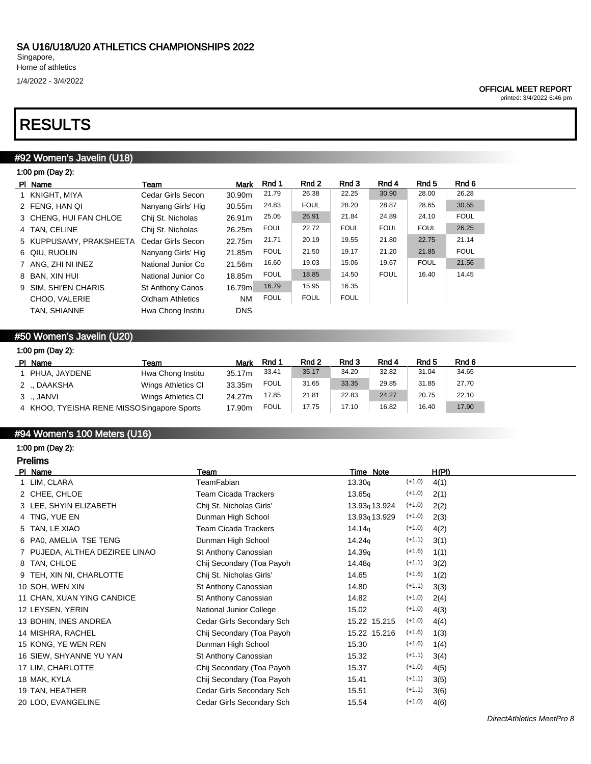1/4/2022 - 3/4/2022

### OFFICIAL MEET REPORT

printed: 3/4/2022 6:46 pm

# RESULTS

# #92 Women's Javelin (U18)

| 1:00 pm (Day 2):        |                         |            |             |             |             |             |             |             |
|-------------------------|-------------------------|------------|-------------|-------------|-------------|-------------|-------------|-------------|
| PI Name                 | Team                    | Mark       | Rnd 1       | Rnd 2       | Rnd 3       | Rnd 4       | Rnd 5       | Rnd 6       |
| 1 KNIGHT, MIYA          | Cedar Girls Secon       | 30.90m     | 21.79       | 26.38       | 22.25       | 30.90       | 28.00       | 26.28       |
| 2 FENG, HAN QI          | Nanyang Girls' Hig      | 30.55m     | 24.83       | <b>FOUL</b> | 28.20       | 28.87       | 28.65       | 30.55       |
| 3 CHENG, HUI FAN CHLOE  | Chij St. Nicholas       | 26.91m     | 25.05       | 26.91       | 21.84       | 24.89       | 24.10       | <b>FOUL</b> |
| 4 TAN, CELINE           | Chij St. Nicholas       | 26.25m     | <b>FOUL</b> | 22.72       | <b>FOUL</b> | <b>FOUL</b> | <b>FOUL</b> | 26.25       |
| 5 KUPPUSAMY, PRAKSHEETA | Cedar Girls Secon       | 22.75ml    | 21.71       | 20.19       | 19.55       | 21.80       | 22.75       | 21.14       |
| 6 QIU, RUOLIN           | Nanyang Girls' Hig      | 21.85m     | <b>FOUL</b> | 21.50       | 19.17       | 21.20       | 21.85       | <b>FOUL</b> |
| 7 ANG, ZHI NI INEZ      | National Junior Co      | 21.56m     | 16.60       | 19.03       | 15.06       | 19.67       | <b>FOUL</b> | 21.56       |
| 8 BAN, XIN HUI          | National Junior Co      | 18.85m     | <b>FOUL</b> | 18.85       | 14.50       | <b>FOUL</b> | 16.40       | 14.45       |
| 9 SIM. SHI'EN CHARIS    | <b>St Anthony Canos</b> | 16.79m     | 16.79       | 15.95       | 16.35       |             |             |             |
| CHOO, VALERIE           | <b>Oldham Athletics</b> | <b>NM</b>  | <b>FOUL</b> | <b>FOUL</b> | <b>FOUL</b> |             |             |             |
| TAN, SHIANNE            | Hwa Chong Institu       | <b>DNS</b> |             |             |             |             |             |             |
|                         |                         |            |             |             |             |             |             |             |

# #50 Women's Javelin (U20)

| 1:00 pm (Day 2):                           |                    |             |             |       |       |       |       |       |  |
|--------------------------------------------|--------------------|-------------|-------------|-------|-------|-------|-------|-------|--|
| PI Name                                    | Team               | <b>Mark</b> | Rnd 1       | Rnd 2 | Rnd 3 | Rnd 4 | Rnd 5 | Rnd 6 |  |
| 1 PHUA, JAYDENE                            | Hwa Chong Institu  | 35.17m      | 33.41       | 35.17 | 34.20 | 32.82 | 31.04 | 34.65 |  |
| 2 ., DAAKSHA                               | Wings Athletics CI | 33.35m      | <b>FOUL</b> | 31.65 | 33.35 | 29.85 | 31.85 | 27.70 |  |
| 3 JANVI                                    | Wings Athletics CI | 24.27m      | 17.85       | 21.81 | 22.83 | 24.27 | 20.75 | 22.10 |  |
| 4 KHOO, TYEISHA RENE MISSOSingapore Sports |                    | 17.90m      | <b>FOUL</b> | 17.75 | 17.10 | 16.82 | 16.40 | 17.90 |  |

# #94 Women's 100 Meters (U16)

1:00 pm (Day 2):

| <b>Prelims</b>                 |                             |                           |          |       |
|--------------------------------|-----------------------------|---------------------------|----------|-------|
| PI Name                        | Team                        | Time Note                 |          | H(PI) |
| 1 LIM, CLARA                   | TeamFabian                  | 13.30q                    | $(+1.0)$ | 4(1)  |
| 2 CHEE, CHLOE                  | <b>Team Cicada Trackers</b> | 13.65q                    | $(+1.0)$ | 2(1)  |
| 3 LEE, SHYIN ELIZABETH         | Chij St. Nicholas Girls'    | 13.93 <sub>9</sub> 13.924 | $(+1.0)$ | 2(2)  |
| 4 TNG, YUE EN                  | Dunman High School          | 13.93 <sub>9</sub> 13.929 | $(+1.0)$ | 2(3)  |
| 5 TAN, LE XIAO                 | <b>Team Cicada Trackers</b> | 14.14 <sub>g</sub>        | $(+1.0)$ | 4(2)  |
| 6 PA0, AMELIA TSE TENG         | Dunman High School          | 14.24 <sub>q</sub>        | $(+1.1)$ | 3(1)  |
| 7 PUJEDA, ALTHEA DEZIREE LINAO | St Anthony Canossian        | 14.39q                    | $(+1.6)$ | 1(1)  |
| 8 TAN, CHLOE                   | Chij Secondary (Toa Payoh   | 14.48 <sub>g</sub>        | $(+1.1)$ | 3(2)  |
| 9 TEH, XIN NI, CHARLOTTE       | Chij St. Nicholas Girls'    | 14.65                     | $(+1.6)$ | 1(2)  |
| 10 SOH, WEN XIN                | St Anthony Canossian        | 14.80                     | $(+1.1)$ | 3(3)  |
| 11 CHAN, XUAN YING CANDICE     | St Anthony Canossian        | 14.82                     | $(+1.0)$ | 2(4)  |
| 12 LEYSEN, YERIN               | National Junior College     | 15.02                     | $(+1.0)$ | 4(3)  |
| 13 BOHIN, INES ANDREA          | Cedar Girls Secondary Sch   | 15.22 15.215              | $(+1.0)$ | 4(4)  |
| 14 MISHRA, RACHEL              | Chij Secondary (Toa Payoh   | 15.22 15.216              | $(+1.6)$ | 1(3)  |
| 15 KONG, YE WEN REN            | Dunman High School          | 15.30                     | $(+1.6)$ | 1(4)  |
| 16 SIEW, SHYANNE YU YAN        | St Anthony Canossian        | 15.32                     | $(+1.1)$ | 3(4)  |
| 17 LIM, CHARLOTTE              | Chij Secondary (Toa Payoh   | 15.37                     | $(+1.0)$ | 4(5)  |
| 18 MAK, KYLA                   | Chij Secondary (Toa Payoh   | 15.41                     | $(+1.1)$ | 3(5)  |
| 19 TAN, HEATHER                | Cedar Girls Secondary Sch   | 15.51                     | $(+1.1)$ | 3(6)  |
| 20 LOO, EVANGELINE             | Cedar Girls Secondary Sch   | 15.54                     | $(+1.0)$ | 4(6)  |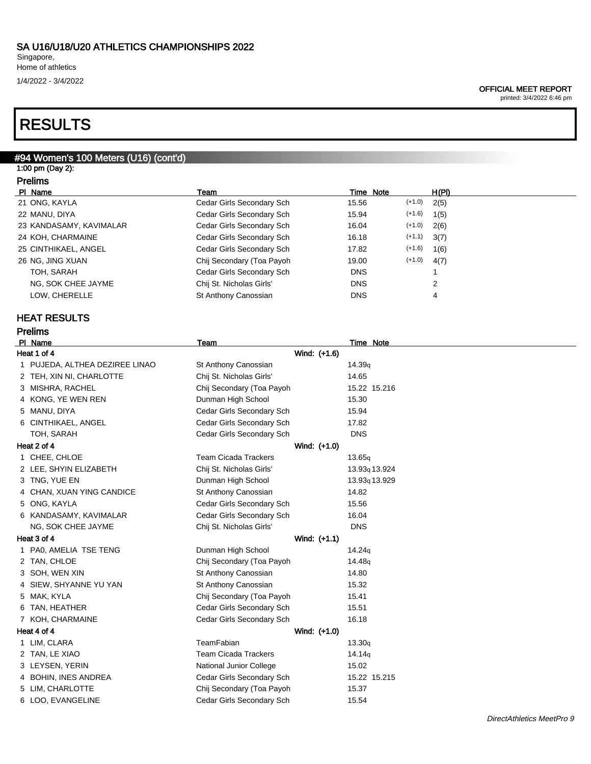Singapore, Home of athletics 1/4/2022 - 3/4/2022

### OFFICIAL MEET REPORT

printed: 3/4/2022 6:46 pm

# RESULTS

# #94 Women's 100 Meters (U16) (cont'd) 1:00 pm (Day 2): Prelims Pl Name Team Time Note H(Pl) 21 ONG, KAYLA Cedar Girls Secondary Sch 15.56 (+1.0) 2(5) 22 MANU, DIYA Cedar Girls Secondary Sch 15.94 (+1.6) 1(5) 23 KANDASAMY, KAVIMALAR Cedar Girls Secondary Sch 16.04 (+1.0) 2(6) 24 KOH, CHARMAINE Cedar Girls Secondary Sch 16.18 (+1.1) 3(7) 25 CINTHIKAEL, ANGEL Cedar Girls Secondary Sch 17.82 (+1.6) 1(6) 26 NG, JING XUAN Chij Secondary (Toa Payoh 19.00 (+1.0) 4(7) TOH, SARAH Cedar Girls Secondary Sch DNS 1 NG, SOK CHEE JAYME Chij St. Nicholas Girls' DNS 2 LOW, CHERELLE **St Anthony Canossian** DNS 44 HEAT RESULTS Prelims PI Name Team Team Team Team Team Time Note Heat 1 of 4 Wind: (+1.6) 1 PUJEDA, ALTHEA DEZIREE LINAO St Anthony Canossian 14.39q 2 TEH, XIN NI, CHARLOTTE Chij St. Nicholas Girls' 14.65 3 MISHRA, RACHEL Chij Secondary (Toa Payoh 15.22 15.216 4 KONG, YE WEN REN Dunman High School 15.30 5 MANU, DIYA Cedar Girls Secondary Sch 15.94 6 CINTHIKAEL, ANGEL Cedar Girls Secondary Sch 17.82 TOH, SARAH DNS Cedar Girls Secondary Sch DNS Heat 2 of 4 Wind: (+1.0) 1 CHEE, CHLOE CHEE, CHLOE CHEE, CHLOE 2 LEE, SHYIN ELIZABETH Chij St. Nicholas Girls' 13.93q 13.924 3 TNG, YUE EN DUNMAN High School 13.93q 13.929 4 CHAN, XUAN YING CANDICE St Anthony Canossian 14.82 5 ONG, KAYLA Cedar Girls Secondary Sch 15.56 6 KANDASAMY, KAVIMALAR Cedar Girls Secondary Sch 16.04 NG, SOK CHEE JAYME Chij St. Nicholas Girls' DNS Heat 3 of 4 Wind: (+1.1) 1 PA0, AMELIA TSE TENG Dunman High School 14.24q 2 TAN, CHLOE Chij Secondary (Toa Payoh 14.48q 3 SOH, WEN XIN St Anthony Canossian 14.80 4 SIEW, SHYANNE YU YAN St Anthony Canossian 15.32 5 MAK, KYLA Chij Secondary (Toa Payoh 15.41 6 TAN, HEATHER Cedar Girls Secondary Sch 15.51 7 KOH, CHARMAINE **Cedar Girls Secondary Sch** 16.18 Heat 4 of 4 Wind: (+1.0) 1 LIM, CLARA TeamFabian 13.30q 2 TAN, LE XIAO **Team Cicada Trackers** 14.14<sub>q</sub> 3 LEYSEN, YERIN National Junior College 15.02 4 BOHIN, INES ANDREA Cedar Girls Secondary Sch 15.22 15.215 5 LIM, CHARLOTTE **Child Secondary (Toa Payoh** 15.37 6 LOO, EVANGELINE Cedar Girls Secondary Sch 15.54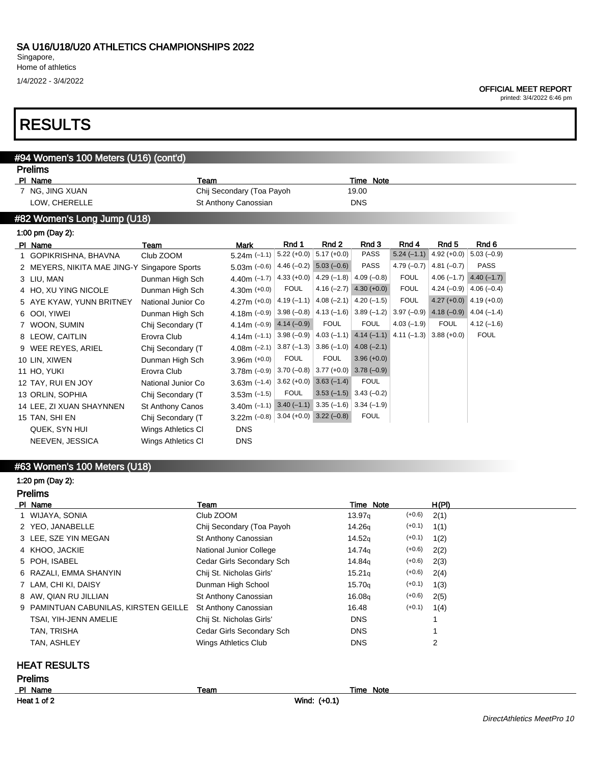Singapore,

Home of athletics

1/4/2022 - 3/4/2022

printed: 3/4/2022 6:46 pm

# RESULTS

# #94 Women's 100 Meters (U16) (cont'd) Prelims

| PI Name                     | Team                    |                                                  |              |                                                               | Time Note                   |              |               |                             |
|-----------------------------|-------------------------|--------------------------------------------------|--------------|---------------------------------------------------------------|-----------------------------|--------------|---------------|-----------------------------|
| 7 NG, JING XUAN             |                         | Chij Secondary (Toa Payoh                        |              |                                                               | 19.00                       |              |               |                             |
| LOW, CHERELLE               |                         | St Anthony Canossian                             |              |                                                               | <b>DNS</b>                  |              |               |                             |
| #82 Women's Long Jump (U18) |                         |                                                  |              |                                                               |                             |              |               |                             |
| 1:00 pm (Day 2):            |                         |                                                  |              |                                                               |                             |              |               |                             |
| PI Name                     | Team                    | <b>Mark</b>                                      | Rnd 1        | Rnd 2                                                         | Rnd 3                       | Rnd 4        | Rnd 5         | Rnd 6                       |
| 1 GOPIKRISHNA, BHAVNA       | Club ZOOM               | $5.24m (-1.1)$                                   |              | $5.22 (+0.0)$ 5.17 (+0.0)                                     | PASS                        | $5.24(-1.1)$ | $4.92 (+0.0)$ | $5.03(-0.9)$                |
| 2 MEYERS, NIKITA MAE JING-Y | Singapore Sports        | $5.03m(-0.6)$                                    |              | $4.46(-0.2)$ 5.03 (-0.6)                                      | <b>PASS</b>                 | $4.79(-0.7)$ | $4.81(-0.7)$  | <b>PASS</b>                 |
| 3 LIU, MAN                  | Dunman High Sch         | 4.40m $(-1.7)$                                   |              | $4.33 (+0.0) 4.29 (-1.8)$                                     | $4.09(-0.8)$                | <b>FOUL</b>  | $4.06(-1.7)$  | $4.40(-1.7)$                |
| 4 HO, XU YING NICOLE        | Dunman High Sch         | $4.30m (+0.0)$                                   | <b>FOUL</b>  |                                                               | $4.16 (-2.7)$ $4.30 (+0.0)$ | <b>FOUL</b>  | 4.24 $(-0.9)$ | $4.06(-0.4)$                |
| 5 AYE KYAW, YUNN BRITNEY    | National Junior Co      | 4.27m (+0.0)                                     | $4.19(-1.1)$ | $ 4.08(-2.1)  4.20(-1.5)$                                     |                             | <b>FOUL</b>  |               | $4.27 (+0.0)$ 4.19 (+0.0)   |
| 6 OOI, YIWEI                | Dunman High Sch         | 4.18m $(-0.9)$                                   |              | $3.98 (-0.8) 4.13 (-1.6) 3.89 (-1.2)$                         |                             | $3.97(-0.9)$ |               | 4.18 $(-0.9)$ 4.04 $(-1.4)$ |
| 7 WOON, SUMIN               | Chij Secondary (T       | 4.14m $(-0.9)$                                   | $4.14(-0.9)$ | <b>FOUL</b>                                                   | <b>FOUL</b>                 | $4.03(-1.9)$ | <b>FOUL</b>   | $4.12(-1.6)$                |
| 8 LEOW, CAITLIN             | Erovra Club             | $4.14m$ (-1.1)                                   |              | $3.98 (-0.9)$ 4.03 (-1.1) 4.14 (-1.1) 4.11 (-1.3) 3.88 (+0.0) |                             |              |               | <b>FOUL</b>                 |
| 9 WEE REYES, ARIEL          | Chij Secondary (T       | 4.08m $(-2.1)$                                   |              | $3.87 (-1.3)$ 3.86 (-1.0) 4.08 (-2.1)                         |                             |              |               |                             |
| 10 LIN, XIWEN               | Dunman High Sch         | $3.96m (+0.0)$                                   | <b>FOUL</b>  | <b>FOUL</b>                                                   | $3.96 (+0.0)$               |              |               |                             |
| 11 HO, YUKI                 | Erovra Club             | 3.78 $m$ (-0.9)                                  |              | $3.70 (-0.8) 3.77 (+0.0) 3.78 (-0.9)$                         |                             |              |               |                             |
| 12 TAY, RUI EN JOY          | National Junior Co      | 3.63m $(-1.4)$                                   |              | $3.62 (+0.0)$ $3.63 (-1.4)$                                   | <b>FOUL</b>                 |              |               |                             |
| 13 ORLIN, SOPHIA            | Chij Secondary (T       | $3.53m (-1.5)$                                   | <b>FOUL</b>  | $3.53(-1.5)$ $3.43(-0.2)$                                     |                             |              |               |                             |
| 14 LEE, ZI XUAN SHAYNNEN    | <b>St Anthony Canos</b> | 3.40m (-1.1) 3.40 (-1.1) 3.35 (-1.6) 3.34 (-1.9) |              |                                                               |                             |              |               |                             |
| 15 TAN, SHI EN              | Chij Secondary (T       | 3.22m $(-0.8)$ 3.04 $(+0.0)$ 3.22 $(-0.8)$       |              |                                                               | <b>FOUL</b>                 |              |               |                             |
| QUEK, SYN HUI               | Wings Athletics CI      | <b>DNS</b>                                       |              |                                                               |                             |              |               |                             |
| NEEVEN, JESSICA             | Wings Athletics CI      | <b>DNS</b>                                       |              |                                                               |                             |              |               |                             |
|                             |                         |                                                  |              |                                                               |                             |              |               |                             |

# #63 Women's 100 Meters (U18)

#### 1:20 pm (Day 2):

l,

| <b>Prelims</b>                        |                           |                                |                |  |  |  |
|---------------------------------------|---------------------------|--------------------------------|----------------|--|--|--|
| PI Name                               | Team                      | Time Note                      | H(PI)          |  |  |  |
| 1 WIJAYA, SONIA                       | Club ZOOM                 | $(+0.6)$<br>13.97q             | 2(1)           |  |  |  |
| 2 YEO, JANABELLE                      | Chij Secondary (Toa Payoh | $(+0.1)$<br>14.26q             | 1(1)           |  |  |  |
| 3 LEE, SZE YIN MEGAN                  | St Anthony Canossian      | $(+0.1)$<br>14.52q             | 1(2)           |  |  |  |
| 4 KHOO, JACKIE                        | National Junior College   | $(+0.6)$<br>14.74 <sub>g</sub> | 2(2)           |  |  |  |
| 5 POH, ISABEL                         | Cedar Girls Secondary Sch | $(+0.6)$<br>14.84g             | 2(3)           |  |  |  |
| 6 RAZALI, EMMA SHANYIN                | Chij St. Nicholas Girls'  | $(+0.6)$<br>15.21 <sub>q</sub> | 2(4)           |  |  |  |
| 7 LAM, CHI KI, DAISY                  | Dunman High School        | $(+0.1)$<br>15.70 <sub>g</sub> | 1(3)           |  |  |  |
| 8 AW, QIAN RU JILLIAN                 | St Anthony Canossian      | $(+0.6)$<br>16.08q             | 2(5)           |  |  |  |
| 9 PAMINTUAN CABUNILAS, KIRSTEN GEILLE | St Anthony Canossian      | $(+0.1)$<br>16.48              | 1(4)           |  |  |  |
| TSAI, YIH-JENN AMELIE                 | Chij St. Nicholas Girls'  | <b>DNS</b>                     |                |  |  |  |
| TAN, TRISHA                           | Cedar Girls Secondary Sch | <b>DNS</b>                     |                |  |  |  |
| TAN, ASHLEY                           | Wings Athletics Club      | <b>DNS</b>                     | $\overline{2}$ |  |  |  |
| <b>HEAT RESULTS</b>                   |                           |                                |                |  |  |  |
| <b>Prelims</b>                        |                           |                                |                |  |  |  |
| PI Name<br>Time Note<br>Team          |                           |                                |                |  |  |  |

# Heat 1 of 2 Wind: (+0.1)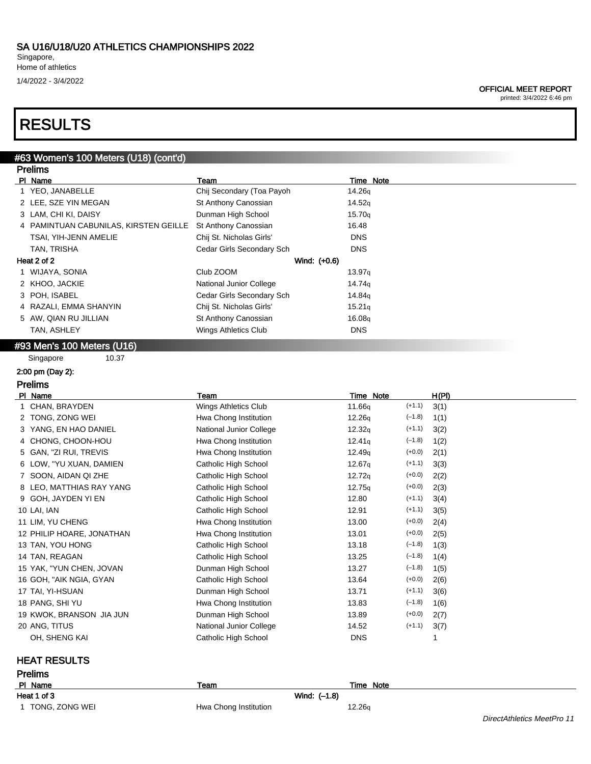Singapore, Home of athletics 1/4/2022 - 3/4/2022

#### OFFICIAL MEET REPORT

printed: 3/4/2022 6:46 pm

# RESULTS

### #63 Women's 100 Meters (U18) (cont'd) Prelims

| .                                     |                           |                    |
|---------------------------------------|---------------------------|--------------------|
| PI Name                               | Team                      | Time Note          |
| 1 YEO, JANABELLE                      | Chij Secondary (Toa Payoh | 14.26g             |
| 2 LEE, SZE YIN MEGAN                  | St Anthony Canossian      | 14.52q             |
| 3 LAM, CHI KI, DAISY                  | Dunman High School        | 15.70q             |
| 4 PAMINTUAN CABUNILAS, KIRSTEN GEILLE | St Anthony Canossian      | 16.48              |
| TSAI, YIH-JENN AMELIE                 | Chij St. Nicholas Girls'  | <b>DNS</b>         |
| TAN, TRISHA                           | Cedar Girls Secondary Sch | <b>DNS</b>         |
| Heat 2 of 2                           | Wind: (+0.6)              |                    |
| 1 WIJAYA, SONIA                       | Club ZOOM                 | 13.97q             |
| 2 KHOO, JACKIE                        | National Junior College   | 14.74 <sub>a</sub> |
| 3 POH, ISABEL                         | Cedar Girls Secondary Sch | 14.84 <sub>g</sub> |
| 4 RAZALI, EMMA SHANYIN                | Chij St. Nicholas Girls'  | 15.21 <sub>q</sub> |
| 5 AW, QIAN RU JILLIAN                 | St Anthony Canossian      | 16.08q             |
| <b>TAN, ASHLEY</b>                    | Wings Athletics Club      | <b>DNS</b>         |
|                                       |                           |                    |

# #93 Men's 100 Meters (U16)

Singapore 10.37

## 2:00 pm (Day 2):

Prelims

| Team                    | Time Note                      | H(PI)                |
|-------------------------|--------------------------------|----------------------|
| Wings Athletics Club    | 11.66g                         | 3(1)                 |
| Hwa Chong Institution   | $(-1.8)$<br>12.26q             | 1(1)                 |
| National Junior College | $(+1.1)$<br>12.32q             | 3(2)                 |
| Hwa Chong Institution   | $(-1.8)$<br>12.41 <sub>q</sub> | 1(2)                 |
| Hwa Chong Institution   | $(+0.0)$<br>12.49q             | 2(1)                 |
| Catholic High School    | $(+1.1)$<br>12.67 <sub>q</sub> | 3(3)                 |
| Catholic High School    | $(+0.0)$<br>12.72q             | 2(2)                 |
| Catholic High School    | $(+0.0)$<br>12.75q             | 2(3)                 |
| Catholic High School    | $(+1.1)$<br>12.80              | 3(4)                 |
| Catholic High School    | $(+1.1)$<br>12.91              | 3(5)                 |
| Hwa Chong Institution   | $(+0.0)$<br>13.00              | 2(4)                 |
| Hwa Chong Institution   | $(+0.0)$<br>13.01              | 2(5)                 |
| Catholic High School    | $(-1.8)$<br>13.18              | 1(3)                 |
| Catholic High School    | $(-1.8)$<br>13.25              | 1(4)                 |
| Dunman High School      | $(-1.8)$<br>13.27              | 1(5)                 |
| Catholic High School    | $(+0.0)$<br>13.64              | 2(6)                 |
| Dunman High School      | $(+1.1)$<br>13.71              | 3(6)                 |
| Hwa Chong Institution   | $(-1.8)$<br>13.83              | 1(6)                 |
| Dunman High School      | $(+0.0)$<br>13.89              | 2(7)                 |
| National Junior College | 14.52                          | 3(7)                 |
| Catholic High School    | <b>DNS</b>                     |                      |
|                         |                                | $(+1.1)$<br>$(+1.1)$ |

## HEAT RESULTS

| <b>Prelims</b>   |                       |              |                            |  |  |  |
|------------------|-----------------------|--------------|----------------------------|--|--|--|
| PI Name          | Team                  | Time Note    |                            |  |  |  |
| Heat 1 of 3      |                       | Wind: (-1.8) |                            |  |  |  |
| 1 TONG, ZONG WEI | Hwa Chong Institution | 12.26g       |                            |  |  |  |
|                  |                       |              | DirectAthletics MeetPro 11 |  |  |  |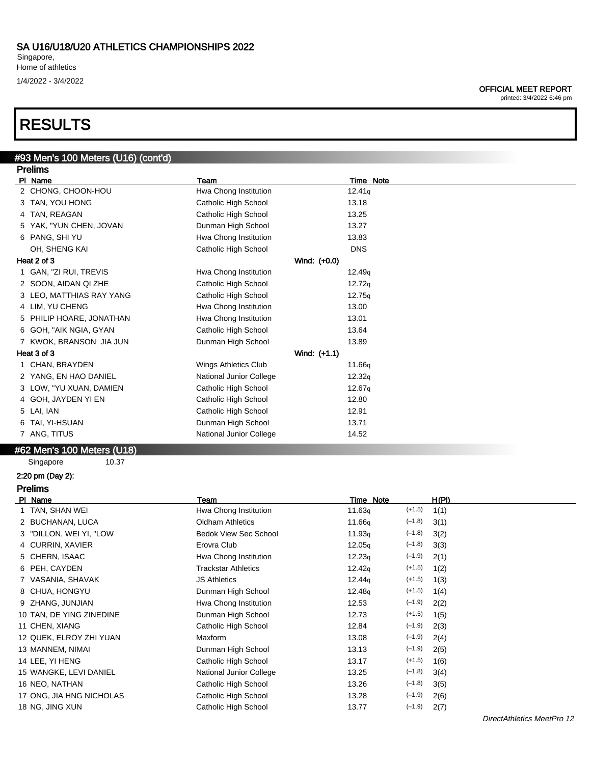Singapore, Home of athletics 1/4/2022 - 3/4/2022

### OFFICIAL MEET REPORT

printed: 3/4/2022 6:46 pm

# RESULTS

#### #93 Men's 100 Meters (U16) (cont'd) Prelims

| Pielinis                 |                         |                    |
|--------------------------|-------------------------|--------------------|
| PI Name                  | Team                    | <b>Time Note</b>   |
| 2 CHONG, CHOON-HOU       | Hwa Chong Institution   | 12.41q             |
| 3 TAN, YOU HONG          | Catholic High School    | 13.18              |
| 4 TAN, REAGAN            | Catholic High School    | 13.25              |
| 5 YAK, "YUN CHEN, JOVAN  | Dunman High School      | 13.27              |
| 6 PANG, SHI YU           | Hwa Chong Institution   | 13.83              |
| OH, SHENG KAI            | Catholic High School    | <b>DNS</b>         |
| Heat 2 of 3              | Wind: (+0.0)            |                    |
| 1 GAN, "ZI RUI, TREVIS   | Hwa Chong Institution   | 12.49q             |
| 2 SOON, AIDAN QI ZHE     | Catholic High School    | 12.72q             |
| 3 LEO, MATTHIAS RAY YANG | Catholic High School    | 12.75q             |
| 4 LIM, YU CHENG          | Hwa Chong Institution   | 13.00              |
| 5 PHILIP HOARE, JONATHAN | Hwa Chong Institution   | 13.01              |
| 6 GOH, "AIK NGIA, GYAN   | Catholic High School    | 13.64              |
| 7 KWOK, BRANSON JIA JUN  | Dunman High School      | 13.89              |
| Heat 3 of 3              | Wind: (+1.1)            |                    |
| 1 CHAN, BRAYDEN          | Wings Athletics Club    | 11.66 <sub>g</sub> |
| 2 YANG, EN HAO DANIEL    | National Junior College | 12.32q             |
| 3 LOW, "YU XUAN, DAMIEN  | Catholic High School    | 12.67 <sub>q</sub> |
| 4 GOH, JAYDEN YI EN      | Catholic High School    | 12.80              |
| 5 LAI, IAN               | Catholic High School    | 12.91              |
| 6 TAI, YI-HSUAN          | Dunman High School      | 13.71              |
| 7 ANG, TITUS             | National Junior College | 14.52              |
| $\frac{1}{2}$            |                         |                    |

### #62 Men's 100 Meters (U18)

Singapore 10.37

## 2:20 pm (Day 2):

| <b>Prelims</b>           |                              |                    |          |       |  |
|--------------------------|------------------------------|--------------------|----------|-------|--|
| PI Name                  | Team                         | Time Note          |          | H(PI) |  |
| 1 TAN, SHAN WEI          | Hwa Chong Institution        | 11.63q             | $(+1.5)$ | 1(1)  |  |
| 2 BUCHANAN, LUCA         | <b>Oldham Athletics</b>      | 11.66q             | $(-1.8)$ | 3(1)  |  |
| 3 "DILLON, WEI YI, "LOW  | <b>Bedok View Sec School</b> | 11.93q             | $(-1.8)$ | 3(2)  |  |
| 4 CURRIN, XAVIER         | Erovra Club                  | 12.05q             | $(-1.8)$ | 3(3)  |  |
| 5 CHERN, ISAAC           | Hwa Chong Institution        | 12.23q             | $(-1.9)$ | 2(1)  |  |
| 6 PEH, CAYDEN            | <b>Trackstar Athletics</b>   | 12.42q             | $(+1.5)$ | 1(2)  |  |
| 7 VASANIA, SHAVAK        | <b>JS Athletics</b>          | 12.44 <sub>q</sub> | $(+1.5)$ | 1(3)  |  |
| 8 CHUA, HONGYU           | Dunman High School           | 12.48q             | $(+1.5)$ | 1(4)  |  |
| 9 ZHANG, JUNJIAN         | Hwa Chong Institution        | 12.53              | $(-1.9)$ | 2(2)  |  |
| 10 TAN, DE YING ZINEDINE | Dunman High School           | 12.73              | $(+1.5)$ | 1(5)  |  |
| 11 CHEN, XIANG           | Catholic High School         | 12.84              | $(-1.9)$ | 2(3)  |  |
| 12 QUEK, ELROY ZHI YUAN  | Maxform                      | 13.08              | $(-1.9)$ | 2(4)  |  |
| 13 MANNEM, NIMAI         | Dunman High School           | 13.13              | $(-1.9)$ | 2(5)  |  |
| 14 LEE, YI HENG          | Catholic High School         | 13.17              | $(+1.5)$ | 1(6)  |  |
| 15 WANGKE, LEVI DANIEL   | National Junior College      | 13.25              | $(-1.8)$ | 3(4)  |  |
| 16 NEO, NATHAN           | Catholic High School         | 13.26              | $(-1.8)$ | 3(5)  |  |
| 17 ONG, JIA HNG NICHOLAS | Catholic High School         | 13.28              | $(-1.9)$ | 2(6)  |  |
| 18 NG, JING XUN          | Catholic High School         | 13.77              | $(-1.9)$ | 2(7)  |  |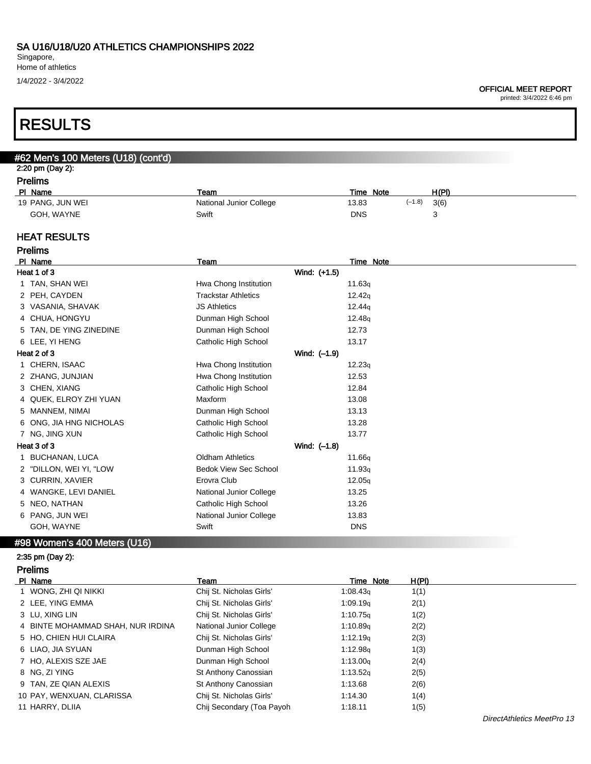Singapore, Home of athletics

1/4/2022 - 3/4/2022

#### OFFICIAL MEET REPORT

printed: 3/4/2022 6:46 pm

# RESULTS

| #62 Men's 100 Meters (U18) (cont'd)  |                              |                    |                  |
|--------------------------------------|------------------------------|--------------------|------------------|
| 2:20 pm (Day 2):                     |                              |                    |                  |
| <b>Prelims</b><br>PI Name            | Team                         | Time Note          | H(PI)            |
| 19 PANG, JUN WEI                     | National Junior College      | 13.83              | $(-1.8)$<br>3(6) |
| GOH, WAYNE                           | Swift                        | <b>DNS</b>         | 3                |
|                                      |                              |                    |                  |
| <b>HEAT RESULTS</b>                  |                              |                    |                  |
| <b>Prelims</b>                       |                              |                    |                  |
| PI Name                              | Team                         | <b>Time Note</b>   |                  |
| Heat 1 of 3                          |                              | Wind: (+1.5)       |                  |
| 1 TAN, SHAN WEI                      | Hwa Chong Institution        | 11.63q             |                  |
| 2 PEH, CAYDEN                        | <b>Trackstar Athletics</b>   | 12.42q             |                  |
| 3 VASANIA, SHAVAK                    | <b>JS Athletics</b>          | 12.44q             |                  |
| 4 CHUA, HONGYU                       | Dunman High School           | 12.48 <sub>g</sub> |                  |
| TAN, DE YING ZINEDINE<br>5           | Dunman High School           | 12.73              |                  |
| 6 LEE, YI HENG                       | Catholic High School         | 13.17              |                  |
| Heat 2 of 3                          |                              | Wind: (-1.9)       |                  |
| 1 CHERN, ISAAC                       | Hwa Chong Institution        | 12.23q             |                  |
| 2 ZHANG, JUNJIAN                     | Hwa Chong Institution        | 12.53              |                  |
| 3 CHEN, XIANG                        | Catholic High School         | 12.84              |                  |
| QUEK, ELROY ZHI YUAN<br>4            | Maxform                      | 13.08              |                  |
| MANNEM, NIMAI<br>5                   | Dunman High School           | 13.13              |                  |
| 6 ONG, JIA HNG NICHOLAS              | Catholic High School         | 13.28              |                  |
| 7 NG, JING XUN                       | Catholic High School         | 13.77              |                  |
| Heat 3 of 3                          |                              | Wind: (-1.8)       |                  |
| <b>BUCHANAN, LUCA</b><br>1.          | <b>Oldham Athletics</b>      | 11.66q             |                  |
| 2 "DILLON, WEI YI, "LOW              | <b>Bedok View Sec School</b> | 11.93q             |                  |
| 3 CURRIN, XAVIER                     | Erovra Club                  | 12.05q             |                  |
| WANGKE, LEVI DANIEL<br>4             | National Junior College      | 13.25              |                  |
| 5 NEO, NATHAN                        | Catholic High School         | 13.26              |                  |
| 6 PANG, JUN WEI                      | National Junior College      | 13.83              |                  |
| GOH, WAYNE                           | Swift                        | <b>DNS</b>         |                  |
| #98 Women's 400 Meters (U16)         |                              |                    |                  |
| 2:35 pm (Day 2):                     |                              |                    |                  |
| <b>Prelims</b>                       |                              |                    |                  |
| PI Name                              | <b>Team</b>                  | Time Note          | <b>H(PI)</b>     |
| WONG, ZHI QI NIKKI<br>$\mathbf 1$    | Chij St. Nicholas Girls'     | 1:08.43q           | 1(1)             |
| 2 LEE, YING EMMA                     | Chij St. Nicholas Girls'     | 1:09.19q           | 2(1)             |
| 3 LU, XING LIN                       | Chij St. Nicholas Girls'     | 1:10.75q           | 1(2)             |
| BINTE MOHAMMAD SHAH, NUR IRDINA<br>4 | National Junior College      | 1:10.89q           | 2(2)             |
| 5 HO, CHIEN HUI CLAIRA               | Chij St. Nicholas Girls'     | 1:12.19q           | 2(3)             |
| 6 LIAO, JIA SYUAN                    | Dunman High School           | 1:12.98q           | 1(3)             |
| 7 HO, ALEXIS SZE JAE                 | Dunman High School           | 1:13.00q           | 2(4)             |
| 8 NG, ZI YING                        | St Anthony Canossian         | 1:13.52q           | 2(5)             |
| 9 TAN, ZE QIAN ALEXIS                | St Anthony Canossian         | 1:13.68            | 2(6)             |
| 10 PAY, WENXUAN, CLARISSA            | Chij St. Nicholas Girls'     | 1:14.30            | 1(4)             |
| 11 HARRY, DLIIA                      | Chij Secondary (Toa Payoh    | 1:18.11            | 1(5)             |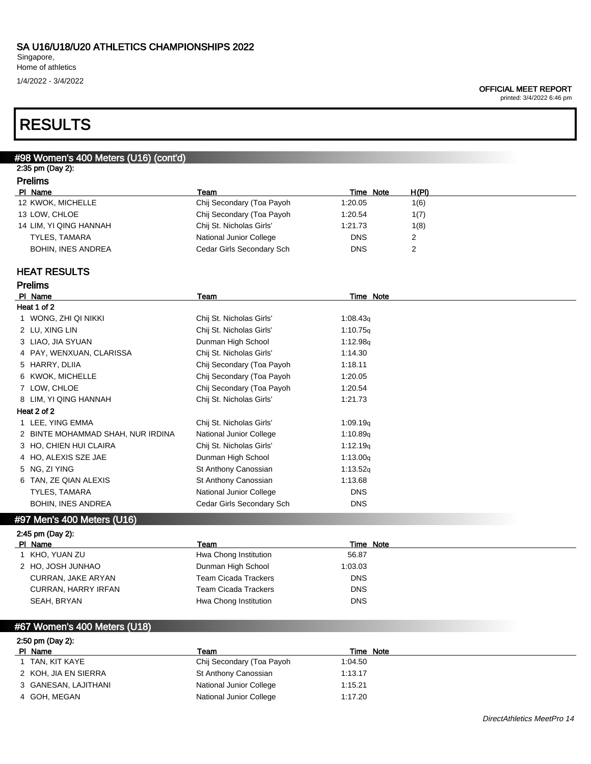Singapore, Home of athletics 1/4/2022 - 3/4/2022

#### OFFICIAL MEET REPORT

printed: 3/4/2022 6:46 pm

# RESULTS

## #98 Women's 400 Meters (U16) (cont'd) 2:35 pm (Day 2): Prelims<br>PL Name PI Name **The Roots Contained Team Time Note** H(PI) 12 KWOK, MICHELLE Chij Secondary (Toa Payoh 1:20.05 1(6) 13 LOW, CHLOE Chij Secondary (Toa Payoh 1:20.54 1(7) 14 LIM, YI QING HANNAH Chij St. Nicholas Girls' 1:21.73 1(8) TYLES, TAMARA **National Junior College** DNS 2 BOHIN, INES ANDREA Cedar Girls Secondary Sch DNS 2 HEAT RESULTS Prelims PI Name Team Team Team Team Team Time Note Heat 1 of 2 1 WONG, ZHI QI NIKKI Chij St. Nicholas Girls' 1:08.43<sub>q</sub> 2 LU, XING LIN Chij St. Nicholas Girls' 1:10.75q 3 LIAO, JIA SYUAN DUN DUNMAN High School 1:12.98q 4 PAY, WENXUAN, CLARISSA Chij St. Nicholas Girls' 1:14.30 5 HARRY, DLIIA Chij Secondary (Toa Payoh 1:18.11 6 KWOK, MICHELLE Chij Secondary (Toa Payoh 1:20.05 7 LOW, CHLOE Chij Secondary (Toa Payoh 1:20.54 8 LIM, YI QING HANNAH Chij St. Nicholas Girls' 1:21.73 Heat 2 of 2 1 LEE, YING EMMA Chij St. Nicholas Girls' 1:09.19q

| LEE, YING EMMA                    | Ghij St. Nicholas Girls   | 1:09.19q             |
|-----------------------------------|---------------------------|----------------------|
| 2 BINTE MOHAMMAD SHAH, NUR IRDINA | National Junior College   | 1:10.89q             |
| 3 HO, CHIEN HUI CLAIRA            | Chij St. Nicholas Girls'  | 1:12.19q             |
| 4 HO, ALEXIS SZE JAE              | Dunman High School        | 1:13.00 <sub>q</sub> |
| 5 NG. ZI YING                     | St Anthony Canossian      | 1:13.52q             |
| 6 TAN, ZE QIAN ALEXIS             | St Anthony Canossian      | 1:13.68              |
| TYLES, TAMARA                     | National Junior College   | <b>DNS</b>           |
| <b>BOHIN, INES ANDREA</b>         | Cedar Girls Secondary Sch | <b>DNS</b>           |
|                                   |                           |                      |

# #97 Men's 400 Meters (U16)

| 2:45 pm (Day 2):    |                       |            |
|---------------------|-----------------------|------------|
| PI Name             | Team                  | Time Note  |
| 1 KHO, YUAN ZU      | Hwa Chong Institution | 56.87      |
| 2 HO, JOSH JUNHAO   | Dunman High School    | 1:03.03    |
| CURRAN, JAKE ARYAN  | Team Cicada Trackers  | <b>DNS</b> |
| CURRAN, HARRY IRFAN | Team Cicada Trackers  | <b>DNS</b> |
| SEAH, BRYAN         | Hwa Chong Institution | <b>DNS</b> |

## #67 Women's 400 Meters (U18)

| 2:50 pm (Day 2):     |                           |           |  |  |
|----------------------|---------------------------|-----------|--|--|
| PI Name              | Team                      | Time Note |  |  |
| TAN, KIT KAYE        | Chij Secondary (Toa Payoh | 1:04.50   |  |  |
| 2 KOH, JIA EN SIERRA | St Anthony Canossian      | 1:13.17   |  |  |
| 3 GANESAN, LAJITHANI | National Junior College   | 1:15.21   |  |  |
| 4 GOH. MEGAN         | National Junior College   | 1:17.20   |  |  |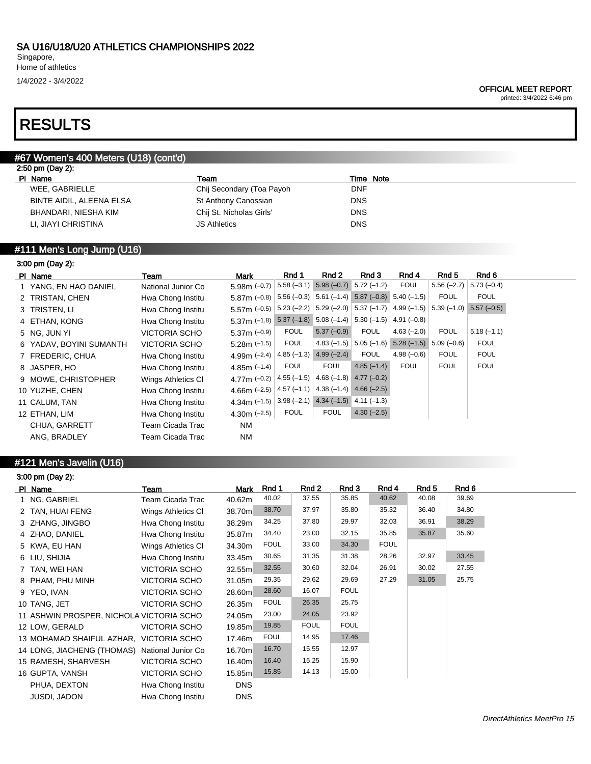1/4/2022 - 3/4/2022

printed: 3/4/2022 6:46 pm

# RESULTS

## #67 Women's 400 Meters (U18) (cont'd)

|         | 2:50 pm (Day 2): |  |
|---------|------------------|--|
| DI Name |                  |  |

| PI Name                  | Team                      | Time Note  |
|--------------------------|---------------------------|------------|
| WEE, GABRIELLE           | Chij Secondary (Toa Payoh | DNF.       |
| BINTE AIDIL, ALEENA ELSA | St Anthony Canossian      | <b>DNS</b> |
| BHANDARI, NIESHA KIM     | Chij St. Nicholas Girls'  | <b>DNS</b> |
| LI, JIAYI CHRISTINA      | <b>JS Athletics</b>       | <b>DNS</b> |

# #111 Men's Long Jump (U16)

# 3:00 pm (Day 2):

| PI Name                 | Team                 | <b>Mark</b>    | Rnd 1        | Rnd 2                                  | Rnd 3                                                                             | Rnd 4        | Rnd 5        | Rnd 6                     |  |
|-------------------------|----------------------|----------------|--------------|----------------------------------------|-----------------------------------------------------------------------------------|--------------|--------------|---------------------------|--|
| 1 YANG, EN HAO DANIEL   | National Junior Co   | $5.98m (-0.7)$ |              | $5.58(-3.1)$ $5.98(-0.7)$ $5.72(-1.2)$ |                                                                                   | <b>FOUL</b>  | $5.56(-2.7)$ | $5.73(-0.4)$              |  |
| 2 TRISTAN, CHEN         | Hwa Chong Institu    | $5.87m$ (-0.8) | $5.56(-0.3)$ |                                        | $5.61$ (-1.4) $5.87$ (-0.8) $5.40$ (-1.5)                                         |              | <b>FOUL</b>  | <b>FOUL</b>               |  |
| 3 TRISTEN, LI           | Hwa Chong Institu    | $5.57m$ (-0.5) |              |                                        | $5.23$ (-2.2) $\vert 5.29$ (-2.0) $\vert 5.37$ (-1.7) $\vert 4.99$ (-1.5) $\vert$ |              |              | $5.39(-1.0)$ $5.57(-0.5)$ |  |
| 4 ETHAN, KONG           | Hwa Chong Institu    | $5.37m$ (-1.8) |              |                                        | $5.37 (-1.8) 5.08 (-1.4) 5.30 (-1.5)$                                             | $4.91(-0.8)$ |              |                           |  |
| 5 NG, JUN YI            | <b>VICTORIA SCHO</b> | 5.37m $(-0.9)$ | <b>FOUL</b>  | $5.37(-0.9)$                           | <b>FOUL</b>                                                                       | $4.63(-2.0)$ | <b>FOUL</b>  | $5.18(-1.1)$              |  |
| 6 YADAV, BOYINI SUMANTH | <b>VICTORIA SCHO</b> | 5.28m $(-1.5)$ | <b>FOUL</b>  |                                        | $4.83(-1.5)$ 5.05 (-1.6)                                                          | $5.28(-1.5)$ | $5.09(-0.6)$ | <b>FOUL</b>               |  |
| 7 FREDERIC, CHUA        | Hwa Chong Institu    | 4.99m $(-2.4)$ |              | $4.85(-1.3)$ $4.99(-2.4)$              | <b>FOUL</b>                                                                       | $4.98(-0.6)$ | <b>FOUL</b>  | <b>FOUL</b>               |  |
| 8 JASPER, HO            | Hwa Chong Institu    | 4.85m $(-1.4)$ | <b>FOUL</b>  | <b>FOUL</b>                            | $4.85(-1.4)$                                                                      | <b>FOUL</b>  | <b>FOUL</b>  | <b>FOUL</b>               |  |
| 9 MOWE, CHRISTOPHER     | Wings Athletics CI   | 4.77m $(-0.2)$ | $4.55(-1.5)$ |                                        | $4.68(-1.8)$ $4.77(-0.2)$                                                         |              |              |                           |  |
| 10 YUZHE, CHEN          | Hwa Chong Institu    | 4.66m $(-2.5)$ | $4.57(-1.1)$ | $4.38(-1.4)$ $4.66(-2.5)$              |                                                                                   |              |              |                           |  |
| 11 CALUM, TAN           | Hwa Chong Institu    | 4.34m $(-1.5)$ |              | $3.98 (-2.1)$ 4.34 (-1.5) 4.11 (-1.3)  |                                                                                   |              |              |                           |  |
| 12 ETHAN, LIM           | Hwa Chong Institu    | 4.30m $(-2.5)$ | <b>FOUL</b>  | <b>FOUL</b>                            | $4.30(-2.5)$                                                                      |              |              |                           |  |
| CHUA, GARRETT           | Team Cicada Trac     | <b>NM</b>      |              |                                        |                                                                                   |              |              |                           |  |
| ANG, BRADLEY            | Team Cicada Trac     | <b>NM</b>      |              |                                        |                                                                                   |              |              |                           |  |
|                         |                      |                |              |                                        |                                                                                   |              |              |                           |  |

# #121 Men's Javelin (U16)

| 3:00 pm (Day 2):                              |                      |            |             |             |             |             |       |       |
|-----------------------------------------------|----------------------|------------|-------------|-------------|-------------|-------------|-------|-------|
| PI Name                                       | Team                 | Mark       | Rnd 1       | Rnd 2       | Rnd 3       | Rnd 4       | Rnd 5 | Rnd 6 |
| 1 NG, GABRIEL                                 | Team Cicada Trac     | 40.62m     | 40.02       | 37.55       | 35.85       | 40.62       | 40.08 | 39.69 |
| 2 TAN, HUAI FENG                              | Wings Athletics CI   | 38.70m     | 38.70       | 37.97       | 35.80       | 35.32       | 36.40 | 34.80 |
| 3 ZHANG, JINGBO                               | Hwa Chong Institu    | 38.29m     | 34.25       | 37.80       | 29.97       | 32.03       | 36.91 | 38.29 |
| 4 ZHAO, DANIEL                                | Hwa Chong Institu    | 35.87m     | 34.40       | 23.00       | 32.15       | 35.85       | 35.87 | 35.60 |
| 5 KWA, EU HAN                                 | Wings Athletics CI   | 34.30m     | <b>FOUL</b> | 33.00       | 34.30       | <b>FOUL</b> |       |       |
| 6 LIU, SHIJIA                                 | Hwa Chong Institu    | 33.45m     | 30.65       | 31.35       | 31.38       | 28.26       | 32.97 | 33.45 |
| TAN, WEI HAN                                  | <b>VICTORIA SCHO</b> | 32.55m     | 32.55       | 30.60       | 32.04       | 26.91       | 30.02 | 27.55 |
| 8 PHAM, PHU MINH                              | <b>VICTORIA SCHO</b> | 31.05m     | 29.35       | 29.62       | 29.69       | 27.29       | 31.05 | 25.75 |
| 9 YEO, IVAN                                   | <b>VICTORIA SCHO</b> | 28.60m     | 28.60       | 16.07       | <b>FOUL</b> |             |       |       |
| 10 TANG, JET                                  | <b>VICTORIA SCHO</b> | 26.35m     | <b>FOUL</b> | 26.35       | 25.75       |             |       |       |
| 11 ASHWIN PROSPER, NICHOLA VICTORIA SCHO      |                      | 24.05m     | 23.00       | 24.05       | 23.92       |             |       |       |
| 12 LOW, GERALD                                | <b>VICTORIA SCHO</b> | 19.85m     | 19.85       | <b>FOUL</b> | <b>FOUL</b> |             |       |       |
| 13 MOHAMAD SHAIFUL AZHAR, VICTORIA SCHO       |                      | 17.46m     | <b>FOUL</b> | 14.95       | 17.46       |             |       |       |
| 14 LONG, JIACHENG (THOMAS) National Junior Co |                      | 16.70m     | 16.70       | 15.55       | 12.97       |             |       |       |
| 15 RAMESH, SHARVESH                           | <b>VICTORIA SCHO</b> | 16.40m     | 16.40       | 15.25       | 15.90       |             |       |       |
| 16 GUPTA, VANSH                               | <b>VICTORIA SCHO</b> | 15.85m     | 15.85       | 14.13       | 15.00       |             |       |       |
| PHUA, DEXTON                                  | Hwa Chong Institu    | <b>DNS</b> |             |             |             |             |       |       |
| <b>JUSDI, JADON</b>                           | Hwa Chong Institu    | <b>DNS</b> |             |             |             |             |       |       |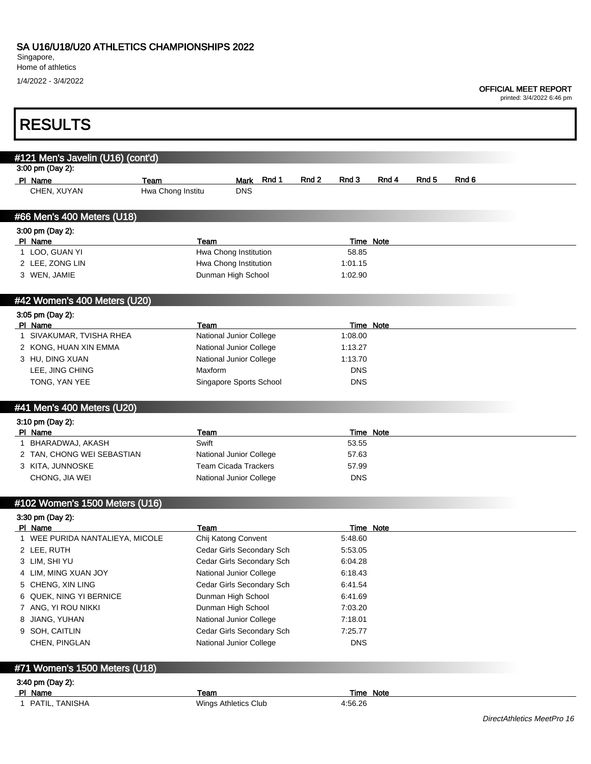Singapore,

Г

Home of athletics

1/4/2022 - 3/4/2022

### OFFICIAL MEET REPORT

printed: 3/4/2022 6:46 pm

٦

| <b>RESULTS</b>                                        |                           |                                                    |       |       |                             |                  |                  |       |  |
|-------------------------------------------------------|---------------------------|----------------------------------------------------|-------|-------|-----------------------------|------------------|------------------|-------|--|
|                                                       |                           |                                                    |       |       |                             |                  |                  |       |  |
| #121 Men's Javelin (U16) (cont'd)<br>3:00 pm (Day 2): |                           |                                                    |       |       |                             |                  |                  |       |  |
| PI Name                                               |                           |                                                    | Rnd 1 | Rnd 2 | Rnd 3                       | Rnd 4            | Rnd <sub>5</sub> | Rnd 6 |  |
| CHEN, XUYAN                                           | Team<br>Hwa Chong Institu | Mark<br><b>DNS</b>                                 |       |       |                             |                  |                  |       |  |
|                                                       |                           |                                                    |       |       |                             |                  |                  |       |  |
| #66 Men's 400 Meters (U18)                            |                           |                                                    |       |       |                             |                  |                  |       |  |
| 3:00 pm (Day 2):                                      |                           |                                                    |       |       |                             |                  |                  |       |  |
| PI Name                                               | Team                      |                                                    |       |       |                             | Time Note        |                  |       |  |
| 1 LOO, GUAN YI                                        |                           | Hwa Chong Institution                              |       |       | 58.85                       |                  |                  |       |  |
| 2 LEE, ZONG LIN                                       |                           | Hwa Chong Institution                              |       |       | 1:01.15                     |                  |                  |       |  |
| 3 WEN, JAMIE                                          |                           | Dunman High School                                 |       |       | 1:02.90                     |                  |                  |       |  |
| #42 Women's 400 Meters (U20)                          |                           |                                                    |       |       |                             |                  |                  |       |  |
| 3:05 pm (Day 2):                                      |                           |                                                    |       |       |                             |                  |                  |       |  |
| PI Name<br>1 SIVAKUMAR, TVISHA RHEA                   | Team                      | National Junior College                            |       |       | 1:08.00                     | <b>Time Note</b> |                  |       |  |
|                                                       |                           |                                                    |       |       |                             |                  |                  |       |  |
| 2 KONG, HUAN XIN EMMA<br>3 HU, DING XUAN              |                           | National Junior College<br>National Junior College |       |       | 1:13.27<br>1:13.70          |                  |                  |       |  |
| LEE, JING CHING                                       | Maxform                   |                                                    |       |       | <b>DNS</b>                  |                  |                  |       |  |
| TONG, YAN YEE                                         |                           | Singapore Sports School                            |       |       | <b>DNS</b>                  |                  |                  |       |  |
|                                                       |                           |                                                    |       |       |                             |                  |                  |       |  |
| #41 Men's 400 Meters (U20)                            |                           |                                                    |       |       |                             |                  |                  |       |  |
| 3:10 pm (Day 2):                                      |                           |                                                    |       |       |                             |                  |                  |       |  |
| PI Name                                               | Team                      |                                                    |       |       |                             | Time Note        |                  |       |  |
| 1 BHARADWAJ, AKASH                                    | Swift                     |                                                    |       |       | 53.55                       |                  |                  |       |  |
| 2 TAN, CHONG WEI SEBASTIAN                            |                           | <b>National Junior College</b>                     |       |       | 57.63                       |                  |                  |       |  |
| 3 KITA, JUNNOSKE                                      |                           | <b>Team Cicada Trackers</b>                        |       |       | 57.99                       |                  |                  |       |  |
| CHONG, JIA WEI                                        |                           | National Junior College                            |       |       | <b>DNS</b>                  |                  |                  |       |  |
| #102 Women's 1500 Meters (U16)                        |                           |                                                    |       |       |                             |                  |                  |       |  |
| 3:30 pm (Day 2):                                      |                           |                                                    |       |       |                             |                  |                  |       |  |
| PI_Name<br>1 WEE PURIDA NANTALIEYA, MICOLE            | Team                      | Chij Katong Convent                                |       |       | <b>Time Note</b><br>5:48.60 |                  |                  |       |  |
| 2 LEE, RUTH                                           |                           | Cedar Girls Secondary Sch                          |       |       | 5:53.05                     |                  |                  |       |  |
| 3 LIM, SHI YU                                         |                           | Cedar Girls Secondary Sch                          |       |       | 6:04.28                     |                  |                  |       |  |
| 4 LIM, MING XUAN JOY                                  |                           | National Junior College                            |       |       | 6:18.43                     |                  |                  |       |  |
| 5 CHENG, XIN LING                                     |                           | Cedar Girls Secondary Sch                          |       |       | 6:41.54                     |                  |                  |       |  |
| 6 QUEK, NING YI BERNICE                               |                           | Dunman High School                                 |       |       | 6:41.69                     |                  |                  |       |  |
| 7 ANG, YI ROU NIKKI                                   |                           | Dunman High School                                 |       |       | 7:03.20                     |                  |                  |       |  |
| 8 JIANG, YUHAN                                        |                           | National Junior College                            |       |       | 7:18.01                     |                  |                  |       |  |
| 9 SOH, CAITLIN                                        |                           | Cedar Girls Secondary Sch                          |       |       | 7:25.77                     |                  |                  |       |  |
| CHEN, PINGLAN                                         |                           | National Junior College                            |       |       | <b>DNS</b>                  |                  |                  |       |  |
| #71 Women's 1500 Meters (U18)                         |                           |                                                    |       |       |                             |                  |                  |       |  |
| 3:40 pm (Day 2):                                      |                           |                                                    |       |       |                             |                  |                  |       |  |
|                                                       | Team                      |                                                    |       |       |                             | Time Note        |                  |       |  |
|                                                       |                           |                                                    |       |       |                             |                  |                  |       |  |
| PI Name<br>1 PATIL, TANISHA                           |                           | Wings Athletics Club                               |       |       | 4:56.26                     |                  |                  |       |  |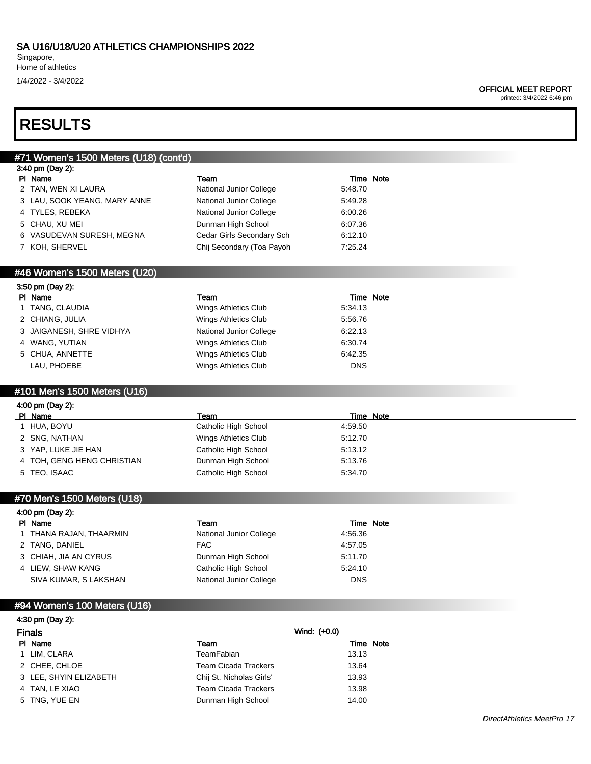Singapore, Home of athletics

1/4/2022 - 3/4/2022

#### OFFICIAL MEET REPORT

printed: 3/4/2022 6:46 pm

# RESULTS

3:50 pm (Day 2):

# #71 Women's 1500 Meters (U18) (cont'd) 3:40 pm (Day 2): PI Name Team Team Team Team Team Time Note 2 TAN, WEN XI LAURA National Junior College 5:48.70 3 LAU, SOOK YEANG, MARY ANNE National Junior College 5:49.28 4 TYLES, REBEKA National Junior College 6:00.26 5 CHAU, XU MEI Dunman High School 6:07.36 6 VASUDEVAN SURESH, MEGNA Cedar Girls Secondary Sch 6:12.10 7 KOH, SHERVEL Chij Secondary (Toa Payoh 7:25.24

### #46 Women's 1500 Meters (U20)

| $-1 - 1 - 1$             |                         |           |
|--------------------------|-------------------------|-----------|
| PI Name                  | Team                    | Time Note |
| 1 TANG, CLAUDIA          | Wings Athletics Club    | 5:34.13   |
| 2 CHIANG, JULIA          | Wings Athletics Club    | 5:56.76   |
| 3 JAIGANESH, SHRE VIDHYA | National Junior College | 6:22.13   |
| 4 WANG, YUTIAN           | Wings Athletics Club    | 6:30.74   |
| 5 CHUA, ANNETTE          | Wings Athletics Club    | 6.42.35   |
| LAU, PHOEBE              | Wings Athletics Club    | DNS       |

### #101 Men's 1500 Meters (U16)

| Team                                                                                                                             | Time Note |  |
|----------------------------------------------------------------------------------------------------------------------------------|-----------|--|
| Catholic High School                                                                                                             | 4:59.50   |  |
| Wings Athletics Club                                                                                                             | 5:12.70   |  |
| Catholic High School                                                                                                             | 5:13.12   |  |
| Dunman High School                                                                                                               | 5:13.76   |  |
| Catholic High School                                                                                                             | 5:34.70   |  |
| 4:00 pm (Day 2):<br>PI Name<br>1 HUA, BOYU<br>2 SNG, NATHAN<br>3 YAP, LUKE JIE HAN<br>4 TOH, GENG HENG CHRISTIAN<br>5 TEO, ISAAC |           |  |

#### #70 Men's 1500 Meters (U18)

| 4:00 pm (Day 2):        |                         |           |  |
|-------------------------|-------------------------|-----------|--|
| PI Name                 | Team                    | Time Note |  |
| 1 THANA RAJAN, THAARMIN | National Junior College | 4:56.36   |  |
| 2 TANG, DANIEL          | FAC.                    | 4:57.05   |  |
| 3 CHIAH, JIA AN CYRUS   | Dunman High School      | 5:11.70   |  |
| 4 LIEW, SHAW KANG       | Catholic High School    | 5:24.10   |  |
| SIVA KUMAR, S LAKSHAN   | National Junior College | DNS       |  |

## #94 Women's 100 Meters (U16)

## 4:30 pm (Day 2): Finals Wind: (+0.0) Pl Name Team Team Team Team Time Note 1 LIM, CLARA 13.13 2 CHEE, CHLOE Team Cicada Trackers 13.64 3 LEE, SHYIN ELIZABETH Chij St. Nicholas Girls' 13.93 4 TAN, LE XIAO **TEAM CICAL TRACKERS** 13.98 5 TNG, YUE EN 24.00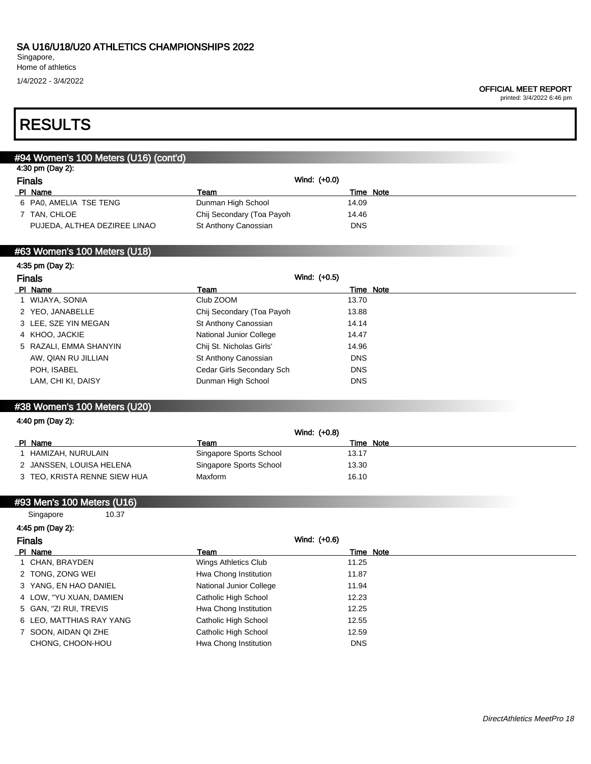Singapore, Home of athletics

1/4/2022 - 3/4/2022

printed: 3/4/2022 6:46 pm

# RESULTS

## #94 Women's 100 Meters (U16) (cont'd) 4:30 pm (Day 2): Finals Wind: (+0.0)<br>
PI Name Team Team Team Team Time Note 6 PA0, AMELIA TSE TENG Dunman High School 14.09 7 TAN, CHLOE Chij Secondary (Toa Payoh 14.46 PUJEDA, ALTHEA DEZIREE LINAO St Anthony Canossian DNS

## #63 Women's 100 Meters (U18)

| 4:35 pm (Day 2):       |                           |            |
|------------------------|---------------------------|------------|
| <b>Finals</b>          | Wind: (+0.5)              |            |
| PI Name                | Team                      | Time Note  |
| 1 WIJAYA, SONIA        | Club ZOOM                 | 13.70      |
| 2 YEO, JANABELLE       | Chij Secondary (Toa Payoh | 13.88      |
| 3 LEE, SZE YIN MEGAN   | St Anthony Canossian      | 14.14      |
| 4 KHOO, JACKIE         | National Junior College   | 14.47      |
| 5 RAZALI, EMMA SHANYIN | Chij St. Nicholas Girls'  | 14.96      |
| AW, QIAN RU JILLIAN    | St Anthony Canossian      | <b>DNS</b> |
| POH, ISABEL            | Cedar Girls Secondary Sch | <b>DNS</b> |
| LAM, CHI KI, DAISY     | Dunman High School        | <b>DNS</b> |

## #38 Women's 100 Meters (U20)

#### 4:40 pm (Day 2):

|                              | Wind: (+0.8)            |           |
|------------------------------|-------------------------|-----------|
| PI Name                      | Team                    | Time Note |
| HAMIZAH, NURULAIN            | Singapore Sports School | 13.17     |
| 2 JANSSEN, LOUISA HELENA     | Singapore Sports School | 13.30     |
| 3 TEO, KRISTA RENNE SIEW HUA | Maxform                 | 16.10     |
|                              |                         |           |

#### #93 Men's 100 Meters (U16)

| Singapore                | 10.37 |                         |              |  |
|--------------------------|-------|-------------------------|--------------|--|
| 4:45 pm (Day 2):         |       |                         |              |  |
| <b>Finals</b>            |       |                         | Wind: (+0.6) |  |
| PI Name                  |       | Team                    | Time Note    |  |
| 1 CHAN, BRAYDEN          |       | Wings Athletics Club    | 11.25        |  |
| 2 TONG, ZONG WEI         |       | Hwa Chong Institution   | 11.87        |  |
| 3 YANG, EN HAO DANIEL    |       | National Junior College | 11.94        |  |
| 4 LOW, "YU XUAN, DAMIEN  |       | Catholic High School    | 12.23        |  |
| 5 GAN, "ZI RUI, TREVIS   |       | Hwa Chong Institution   | 12.25        |  |
| 6 LEO, MATTHIAS RAY YANG |       | Catholic High School    | 12.55        |  |
| 7 SOON, AIDAN QI ZHE     |       | Catholic High School    | 12.59        |  |
| CHONG, CHOON-HOU         |       | Hwa Chong Institution   | <b>DNS</b>   |  |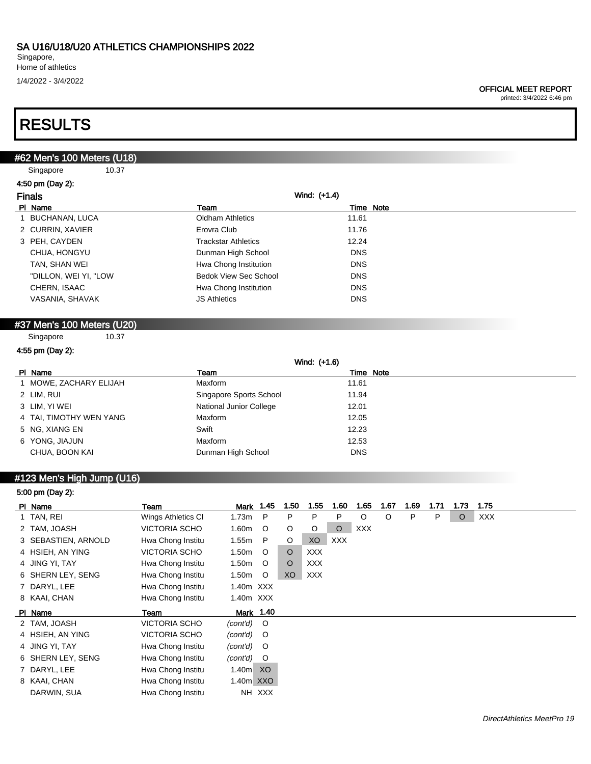1/4/2022 - 3/4/2022

printed: 3/4/2022 6:46 pm

# RESULTS

## #62 Men's 100 Meters (U18)

Singapore 10.37

| 4:50 pm (Day 2):      |                              |              |           |
|-----------------------|------------------------------|--------------|-----------|
| <b>Finals</b>         |                              | Wind: (+1.4) |           |
| PI Name               | Team                         |              | Time Note |
| BUCHANAN, LUCA        | <b>Oldham Athletics</b>      | 11.61        |           |
| 2 CURRIN, XAVIER      | Erovra Club                  | 11.76        |           |
| 3 PEH, CAYDEN         | <b>Trackstar Athletics</b>   | 12.24        |           |
| CHUA, HONGYU          | Dunman High School           | <b>DNS</b>   |           |
| TAN, SHAN WEI         | Hwa Chong Institution        | <b>DNS</b>   |           |
| "DILLON, WEI YI, "LOW | <b>Bedok View Sec School</b> | <b>DNS</b>   |           |
| CHERN, ISAAC          | Hwa Chong Institution        | <b>DNS</b>   |           |
| VASANIA, SHAVAK       | <b>JS Athletics</b>          | <b>DNS</b>   |           |

## #37 Men's 100 Meters (U20)

Singapore 10.37

### 4:55 pm (Day 2):

|                         |                         | Wind: (+1.6) |  |
|-------------------------|-------------------------|--------------|--|
| PI Name                 | Team                    | Time Note    |  |
| 1 MOWE, ZACHARY ELIJAH  | <b>Maxform</b>          | 11.61        |  |
| 2 LIM, RUI              | Singapore Sports School | 11.94        |  |
| 3 LIM, YI WEI           | National Junior College | 12.01        |  |
| 4 TAI, TIMOTHY WEN YANG | <b>Maxform</b>          | 12.05        |  |
| 5 NG, XIANG EN          | Swift                   | 12.23        |  |
| 6 YONG, JIAJUN          | Maxform                 | 12.53        |  |
| CHUA, BOON KAI          | Dunman High School      | <b>DNS</b>   |  |

# #123 Men's High Jump (U16)

| 5:00 pm (Day 2):    |                      |           |         |         |            |            |            |         |      |      |         |      |
|---------------------|----------------------|-----------|---------|---------|------------|------------|------------|---------|------|------|---------|------|
| PI Name             | Team                 | Mark      | 1.45    | 1.50    | 1.55       | 1.60       | 1.65       | 1.67    | 1.69 | 1.71 | 1.73    | 1.75 |
| 1 TAN, REI          | Wings Athletics CI   | 1.73m     | P       | P       | P          | P          | $\circ$    | $\circ$ | P    | P    | $\circ$ | XXX  |
| 2 TAM, JOASH        | <b>VICTORIA SCHO</b> | 1.60m     | O       | $\circ$ | O          | $\circ$    | <b>XXX</b> |         |      |      |         |      |
| 3 SEBASTIEN, ARNOLD | Hwa Chong Institu    | 1.55m     | P       | O       | XO         | <b>XXX</b> |            |         |      |      |         |      |
| 4 HSIEH, AN YING    | <b>VICTORIA SCHO</b> | 1.50m     | $\circ$ | $\circ$ | <b>XXX</b> |            |            |         |      |      |         |      |
| 4 JING YI, TAY      | Hwa Chong Institu    | 1.50m     | $\circ$ | $\circ$ | <b>XXX</b> |            |            |         |      |      |         |      |
| 6 SHERN LEY, SENG   | Hwa Chong Institu    | 1.50m     | $\circ$ | XO      | XXX        |            |            |         |      |      |         |      |
| 7 DARYL, LEE        | Hwa Chong Institu    | 1.40m XXX |         |         |            |            |            |         |      |      |         |      |
| 8 KAAI, CHAN        | Hwa Chong Institu    | 1.40m XXX |         |         |            |            |            |         |      |      |         |      |
| PI Name             | Team                 | Mark 1.40 |         |         |            |            |            |         |      |      |         |      |
| 2 TAM, JOASH        | <b>VICTORIA SCHO</b> | (cont'd)  | $\circ$ |         |            |            |            |         |      |      |         |      |
| 4 HSIEH, AN YING    | <b>VICTORIA SCHO</b> | (cont'd)  | $\circ$ |         |            |            |            |         |      |      |         |      |
| 4 JING YI, TAY      | Hwa Chong Institu    | (cont'd)  | $\circ$ |         |            |            |            |         |      |      |         |      |
| 6 SHERN LEY, SENG   | Hwa Chong Institu    | (cont'd)  | $\circ$ |         |            |            |            |         |      |      |         |      |
| 7 DARYL, LEE        | Hwa Chong Institu    | 1.40m     | XO      |         |            |            |            |         |      |      |         |      |
| 8 KAAI, CHAN        | Hwa Chong Institu    | 1.40m XXO |         |         |            |            |            |         |      |      |         |      |
| DARWIN, SUA         | Hwa Chong Institu    |           | NH XXX  |         |            |            |            |         |      |      |         |      |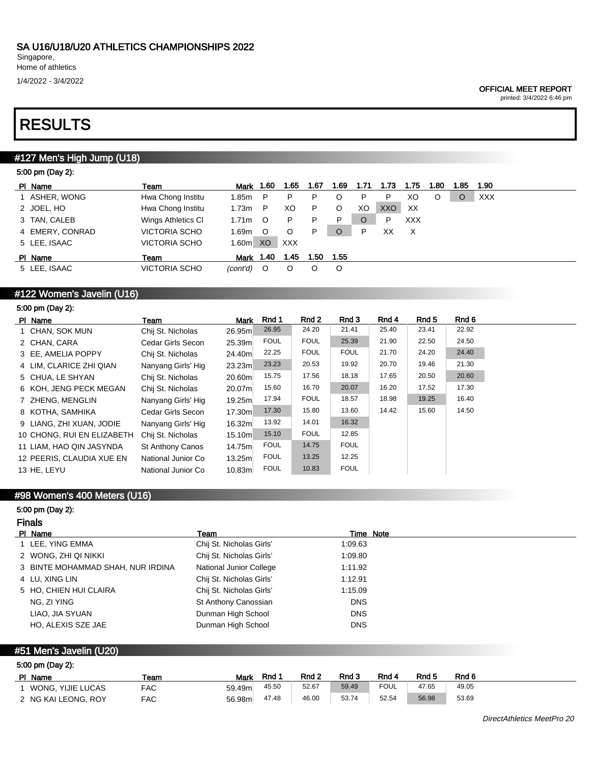1/4/2022 - 3/4/2022

#### OFFICIAL MEET REPORT

printed: 3/4/2022 6:46 pm

# RESULTS

# #127 Men's High Jump (U18)

| 5:00 pm (Day 2): |                      |                   |         |            |      |      |      |      |      |      |      |            |
|------------------|----------------------|-------------------|---------|------------|------|------|------|------|------|------|------|------------|
| PI Name          | Team                 | Mark 1.60         |         | 1.65       | 1.67 | 1.69 | 1.71 | 1.73 | 1.75 | 1.80 | 1.85 | 1.90       |
| 1 ASHER, WONG    | Hwa Chong Institu    | 1.85m             | P       | P          | P    | O    | P    | P    | XO   | O    | O    | <b>XXX</b> |
| 2 JOEL, HO       | Hwa Chong Institu    | 1.73m             | P       | XO         | P.   | O    | XO   | XXO  | XX   |      |      |            |
| 3 TAN, CALEB     | Wings Athletics CI   | 1.71 <sub>m</sub> | $\circ$ | P          | P    | P    | O    | P    | XXX  |      |      |            |
| 4 EMERY, CONRAD  | <b>VICTORIA SCHO</b> | 1.69 <sub>m</sub> | $\circ$ | O          | P    | O    | P    | XX   | X    |      |      |            |
| 5 LEE, ISAAC     | <b>VICTORIA SCHO</b> | 1.60 <sub>m</sub> | XO      | <b>XXX</b> |      |      |      |      |      |      |      |            |
| PI Name          | Team                 | Mark 1.40         |         | 1.45       | 1.50 | 1.55 |      |      |      |      |      |            |
| 5 LEE, ISAAC     | <b>VICTORIA SCHO</b> | (cont'd)          | $\circ$ | O          | O    | O    |      |      |      |      |      |            |
|                  |                      |                   |         |            |      |      |      |      |      |      |      |            |

# #122 Women's Javelin (U16)

| 5:00 pm (Day 2): |  |
|------------------|--|
|                  |  |

| PI Name                    | Team                    | <b>Mark</b> | Rnd 1       | Rnd 2       | Rnd 3       | Rnd 4 | Rnd 5 | Rnd 6 |
|----------------------------|-------------------------|-------------|-------------|-------------|-------------|-------|-------|-------|
| 1 CHAN, SOK MUN            | Chij St. Nicholas       | 26.95m      | 26.95       | 24.20       | 21.41       | 25.40 | 23.41 | 22.92 |
| 2 CHAN, CARA               | Cedar Girls Secon       | 25.39m      | <b>FOUL</b> | <b>FOUL</b> | 25.39       | 21.90 | 22.50 | 24.50 |
| 3 EE, AMELIA POPPY         | Chij St. Nicholas       | 24.40m      | 22.25       | <b>FOUL</b> | <b>FOUL</b> | 21.70 | 24.20 | 24.40 |
| 4 LIM. CLARICE ZHI QIAN    | Nanyang Girls' Hig      | 23.23m      | 23.23       | 20.53       | 19.92       | 20.70 | 19.46 | 21.30 |
| 5 CHUA, LE SHYAN           | Chij St. Nicholas       | 20.60m      | 15.75       | 17.56       | 18.18       | 17.65 | 20.50 | 20.60 |
| 6 KOH, JENG PECK MEGAN     | Chij St. Nicholas       | 20.07ml     | 15.60       | 16.70       | 20.07       | 16.20 | 17.52 | 17.30 |
| 7 ZHENG, MENGLIN           | Nanyang Girls' Hig      | 19.25m      | 17.94       | <b>FOUL</b> | 18.57       | 18.98 | 19.25 | 16.40 |
| 8 KOTHA, SAMHIKA           | Cedar Girls Secon       | 17.30ml     | 17.30       | 15.80       | 13.60       | 14.42 | 15.60 | 14.50 |
| 9 LIANG, ZHI XUAN, JODIE   | Nanyang Girls' Hig      | 16.32m      | 13.92       | 14.01       | 16.32       |       |       |       |
| 10 CHONG, RUI EN ELIZABETH | Chij St. Nicholas       | 15.10m      | 15.10       | <b>FOUL</b> | 12.85       |       |       |       |
| 11 LIAM, HAO QIN JASYNDA   | <b>St Anthony Canos</b> | 14.75m      | <b>FOUL</b> | 14.75       | <b>FOUL</b> |       |       |       |
| 12 PEERIS, CLAUDIA XUE EN  | National Junior Co      | 13.25m      | <b>FOUL</b> | 13.25       | 12.25       |       |       |       |
| 13 HE. LEYU                | National Junior Co      | 10.83m      | <b>FOUL</b> | 10.83       | <b>FOUL</b> |       |       |       |

# #98 Women's 400 Meters (U16)

### 5:00 pm (Day 2):

### Finals

| PI Name                           | Team                     | Time Note  |
|-----------------------------------|--------------------------|------------|
| 1 LEE, YING EMMA                  | Chij St. Nicholas Girls' | 1:09.63    |
| 2 WONG, ZHI QI NIKKI              | Chij St. Nicholas Girls' | 1:09.80    |
| 3 BINTE MOHAMMAD SHAH, NUR IRDINA | National Junior College  | 1:11.92    |
| 4 LU, XING LIN                    | Chij St. Nicholas Girls' | 1:12.91    |
| 5 HO, CHIEN HUI CLAIRA            | Chij St. Nicholas Girls' | 1:15.09    |
| NG. ZI YING                       | St Anthony Canossian     | <b>DNS</b> |
| LIAO, JIA SYUAN                   | Dunman High School       | <b>DNS</b> |
| HO, ALEXIS SZE JAE                | Dunman High School       | <b>DNS</b> |

## #51 Men's Javelin (U20)

| 5:00 pm (Day 2):    |      |        |       |                  |       |             |                  |       |  |  |  |
|---------------------|------|--------|-------|------------------|-------|-------------|------------------|-------|--|--|--|
| PI Name             | Team | Mark   | Rnd   | Rnd <sub>2</sub> | Rnd 3 | Rnd 4       | Rnd <sub>5</sub> | Rnd 6 |  |  |  |
| WONG, YIJIE LUCAS   | FAC  | 59.49m | 45.50 | 52.67            | 59.49 | <b>FOUL</b> | 47.65            | 49.05 |  |  |  |
| 2 NG KAI LEONG, ROY | FAC  | 56.98m | 47.48 | 46.00            | 53.74 | 52.54       | 56.98            | 53.69 |  |  |  |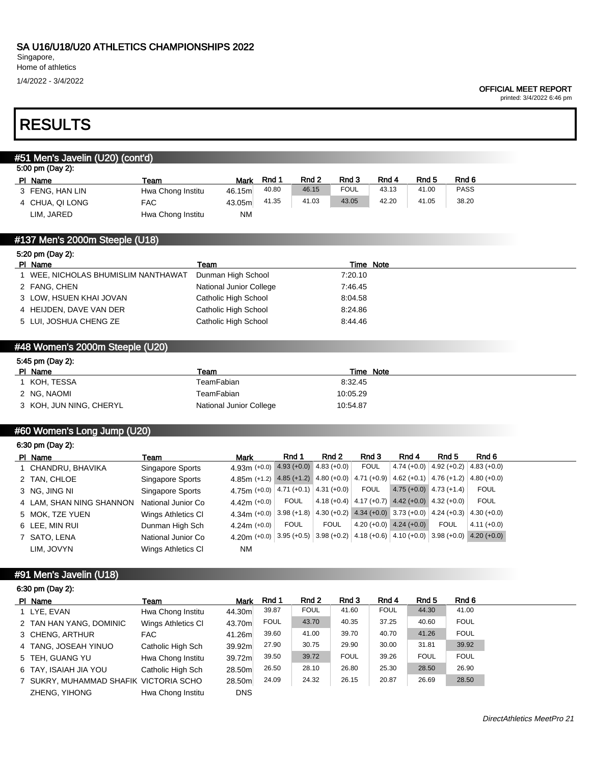ZHENG, YIHONG Hwa Chong Institu DNS

Singapore,

# Home of athletics

1/4/2022 - 3/4/2022

#### OFFICIAL MEET REPORT

printed: 3/4/2022 6:46 pm

# RESULTS

| #51 Men's Javelin (U20) (cont'd)<br>5:00 pm (Day 2):<br>Rnd <sub>6</sub><br>Rnd 1<br>Rnd 2<br>Rnd 3<br>Rnd 4<br>Rnd <sub>5</sub><br>PI Name<br>Team<br>Mark<br><b>PASS</b><br>40.80<br><b>FOUL</b><br>43.13<br>41.00<br>46.15<br>3 FENG, HAN LIN<br>Hwa Chong Institu<br>46.15m<br>41.03<br>43.05<br>42.20<br>38.20<br>41.35<br>41.05<br><b>FAC</b><br>4 CHUA, QI LONG<br>43.05m<br>LIM, JARED<br>Hwa Chong Institu<br><b>NM</b><br>#137 Men's 2000m Steeple (U18)<br>5:20 pm (Day 2):<br>PI Name<br>Time Note<br>Team<br>1 WEE, NICHOLAS BHUMISLIM NANTHAWAT<br>Dunman High School<br>7:20.10<br>2 FANG, CHEN<br>National Junior College<br>7:46.45<br>3 LOW, HSUEN KHAI JOVAN<br>Catholic High School<br>8:04.58<br>4 HEIJDEN, DAVE VAN DER<br>Catholic High School<br>8:24.86<br>5 LUI, JOSHUA CHENG ZE<br>Catholic High School<br>8:44.46<br>#48 Women's 2000m Steeple (U20)<br>5:45 pm (Day 2):<br>Team<br>Time Note<br>PI Name<br>TeamFabian<br>1 KOH, TESSA<br>8:32.45<br>TeamFabian<br>2 NG, NAOMI<br>10:05.29<br>3 KOH, JUN NING, CHERYL<br>National Junior College<br>10:54.87<br>#60 Women's Long Jump (U20)<br>6:30 pm (Day 2):<br>Rnd 1<br>Rnd 2<br>Rnd 3<br>Rnd <sub>5</sub><br>Rnd 6<br>Rnd 4<br>PI Name<br>Team<br>Mark<br><b>FOUL</b><br>$4.93 (+0.0)$ 4.83 (+0.0)<br>4.74 (+0.0) 4.92 (+0.2)<br>$4.83 (+0.0)$<br>$4.93m (+0.0)$<br>1 CHANDRU, BHAVIKA<br>Singapore Sports<br>4.85 (+1.2) 4.80 (+0.0)<br>4.71 $(+0.9)$<br>$4.62 (+0.1) 4.76 (+1.2)$<br>$4.80 (+0.0)$<br>Singapore Sports<br>4.85m $(+1.2)$<br>2 TAN, CHLOE<br>4.75m (+0.0) $ 4.71$ (+0.1) $ 4.31$ (+0.0)<br><b>FOUL</b><br>$4.75 (+0.0)$ 4.73 (+1.4)<br><b>FOUL</b><br>Singapore Sports<br>3 NG, JING NI<br><b>FOUL</b><br><b>FOUL</b><br>4.18 (+0.4) $ 4.17 (+0.7)$ 4.42 (+0.0) 4.32 (+0.0)<br>National Junior Co<br>4.42m (+0.0)<br>4 LAM, SHAN NING SHANNON<br>$3.98 (+1.8)$<br>4.30 (+0.2) 4.34 (+0.0) 3.73 (+0.0) 4.24 (+0.3)<br>$4.30 (+0.0)$<br>Wings Athletics CI<br>4.34m $(+0.0)$<br>5 MOK, TZE YUEN |
|-------------------------------------------------------------------------------------------------------------------------------------------------------------------------------------------------------------------------------------------------------------------------------------------------------------------------------------------------------------------------------------------------------------------------------------------------------------------------------------------------------------------------------------------------------------------------------------------------------------------------------------------------------------------------------------------------------------------------------------------------------------------------------------------------------------------------------------------------------------------------------------------------------------------------------------------------------------------------------------------------------------------------------------------------------------------------------------------------------------------------------------------------------------------------------------------------------------------------------------------------------------------------------------------------------------------------------------------------------------------------------------------------------------------------------------------------------------------------------------------------------------------------------------------------------------------------------------------------------------------------------------------------------------------------------------------------------------------------------------------------------------------------------------------------------------------------------------------------------------------------------------------------------------------------------------------------------------------------------------------------|
|                                                                                                                                                                                                                                                                                                                                                                                                                                                                                                                                                                                                                                                                                                                                                                                                                                                                                                                                                                                                                                                                                                                                                                                                                                                                                                                                                                                                                                                                                                                                                                                                                                                                                                                                                                                                                                                                                                                                                                                                 |
|                                                                                                                                                                                                                                                                                                                                                                                                                                                                                                                                                                                                                                                                                                                                                                                                                                                                                                                                                                                                                                                                                                                                                                                                                                                                                                                                                                                                                                                                                                                                                                                                                                                                                                                                                                                                                                                                                                                                                                                                 |
|                                                                                                                                                                                                                                                                                                                                                                                                                                                                                                                                                                                                                                                                                                                                                                                                                                                                                                                                                                                                                                                                                                                                                                                                                                                                                                                                                                                                                                                                                                                                                                                                                                                                                                                                                                                                                                                                                                                                                                                                 |
|                                                                                                                                                                                                                                                                                                                                                                                                                                                                                                                                                                                                                                                                                                                                                                                                                                                                                                                                                                                                                                                                                                                                                                                                                                                                                                                                                                                                                                                                                                                                                                                                                                                                                                                                                                                                                                                                                                                                                                                                 |
|                                                                                                                                                                                                                                                                                                                                                                                                                                                                                                                                                                                                                                                                                                                                                                                                                                                                                                                                                                                                                                                                                                                                                                                                                                                                                                                                                                                                                                                                                                                                                                                                                                                                                                                                                                                                                                                                                                                                                                                                 |
|                                                                                                                                                                                                                                                                                                                                                                                                                                                                                                                                                                                                                                                                                                                                                                                                                                                                                                                                                                                                                                                                                                                                                                                                                                                                                                                                                                                                                                                                                                                                                                                                                                                                                                                                                                                                                                                                                                                                                                                                 |
|                                                                                                                                                                                                                                                                                                                                                                                                                                                                                                                                                                                                                                                                                                                                                                                                                                                                                                                                                                                                                                                                                                                                                                                                                                                                                                                                                                                                                                                                                                                                                                                                                                                                                                                                                                                                                                                                                                                                                                                                 |
|                                                                                                                                                                                                                                                                                                                                                                                                                                                                                                                                                                                                                                                                                                                                                                                                                                                                                                                                                                                                                                                                                                                                                                                                                                                                                                                                                                                                                                                                                                                                                                                                                                                                                                                                                                                                                                                                                                                                                                                                 |
|                                                                                                                                                                                                                                                                                                                                                                                                                                                                                                                                                                                                                                                                                                                                                                                                                                                                                                                                                                                                                                                                                                                                                                                                                                                                                                                                                                                                                                                                                                                                                                                                                                                                                                                                                                                                                                                                                                                                                                                                 |
|                                                                                                                                                                                                                                                                                                                                                                                                                                                                                                                                                                                                                                                                                                                                                                                                                                                                                                                                                                                                                                                                                                                                                                                                                                                                                                                                                                                                                                                                                                                                                                                                                                                                                                                                                                                                                                                                                                                                                                                                 |
|                                                                                                                                                                                                                                                                                                                                                                                                                                                                                                                                                                                                                                                                                                                                                                                                                                                                                                                                                                                                                                                                                                                                                                                                                                                                                                                                                                                                                                                                                                                                                                                                                                                                                                                                                                                                                                                                                                                                                                                                 |
|                                                                                                                                                                                                                                                                                                                                                                                                                                                                                                                                                                                                                                                                                                                                                                                                                                                                                                                                                                                                                                                                                                                                                                                                                                                                                                                                                                                                                                                                                                                                                                                                                                                                                                                                                                                                                                                                                                                                                                                                 |
|                                                                                                                                                                                                                                                                                                                                                                                                                                                                                                                                                                                                                                                                                                                                                                                                                                                                                                                                                                                                                                                                                                                                                                                                                                                                                                                                                                                                                                                                                                                                                                                                                                                                                                                                                                                                                                                                                                                                                                                                 |
|                                                                                                                                                                                                                                                                                                                                                                                                                                                                                                                                                                                                                                                                                                                                                                                                                                                                                                                                                                                                                                                                                                                                                                                                                                                                                                                                                                                                                                                                                                                                                                                                                                                                                                                                                                                                                                                                                                                                                                                                 |
|                                                                                                                                                                                                                                                                                                                                                                                                                                                                                                                                                                                                                                                                                                                                                                                                                                                                                                                                                                                                                                                                                                                                                                                                                                                                                                                                                                                                                                                                                                                                                                                                                                                                                                                                                                                                                                                                                                                                                                                                 |
|                                                                                                                                                                                                                                                                                                                                                                                                                                                                                                                                                                                                                                                                                                                                                                                                                                                                                                                                                                                                                                                                                                                                                                                                                                                                                                                                                                                                                                                                                                                                                                                                                                                                                                                                                                                                                                                                                                                                                                                                 |
|                                                                                                                                                                                                                                                                                                                                                                                                                                                                                                                                                                                                                                                                                                                                                                                                                                                                                                                                                                                                                                                                                                                                                                                                                                                                                                                                                                                                                                                                                                                                                                                                                                                                                                                                                                                                                                                                                                                                                                                                 |
|                                                                                                                                                                                                                                                                                                                                                                                                                                                                                                                                                                                                                                                                                                                                                                                                                                                                                                                                                                                                                                                                                                                                                                                                                                                                                                                                                                                                                                                                                                                                                                                                                                                                                                                                                                                                                                                                                                                                                                                                 |
|                                                                                                                                                                                                                                                                                                                                                                                                                                                                                                                                                                                                                                                                                                                                                                                                                                                                                                                                                                                                                                                                                                                                                                                                                                                                                                                                                                                                                                                                                                                                                                                                                                                                                                                                                                                                                                                                                                                                                                                                 |
|                                                                                                                                                                                                                                                                                                                                                                                                                                                                                                                                                                                                                                                                                                                                                                                                                                                                                                                                                                                                                                                                                                                                                                                                                                                                                                                                                                                                                                                                                                                                                                                                                                                                                                                                                                                                                                                                                                                                                                                                 |
|                                                                                                                                                                                                                                                                                                                                                                                                                                                                                                                                                                                                                                                                                                                                                                                                                                                                                                                                                                                                                                                                                                                                                                                                                                                                                                                                                                                                                                                                                                                                                                                                                                                                                                                                                                                                                                                                                                                                                                                                 |
|                                                                                                                                                                                                                                                                                                                                                                                                                                                                                                                                                                                                                                                                                                                                                                                                                                                                                                                                                                                                                                                                                                                                                                                                                                                                                                                                                                                                                                                                                                                                                                                                                                                                                                                                                                                                                                                                                                                                                                                                 |
|                                                                                                                                                                                                                                                                                                                                                                                                                                                                                                                                                                                                                                                                                                                                                                                                                                                                                                                                                                                                                                                                                                                                                                                                                                                                                                                                                                                                                                                                                                                                                                                                                                                                                                                                                                                                                                                                                                                                                                                                 |
|                                                                                                                                                                                                                                                                                                                                                                                                                                                                                                                                                                                                                                                                                                                                                                                                                                                                                                                                                                                                                                                                                                                                                                                                                                                                                                                                                                                                                                                                                                                                                                                                                                                                                                                                                                                                                                                                                                                                                                                                 |
|                                                                                                                                                                                                                                                                                                                                                                                                                                                                                                                                                                                                                                                                                                                                                                                                                                                                                                                                                                                                                                                                                                                                                                                                                                                                                                                                                                                                                                                                                                                                                                                                                                                                                                                                                                                                                                                                                                                                                                                                 |
|                                                                                                                                                                                                                                                                                                                                                                                                                                                                                                                                                                                                                                                                                                                                                                                                                                                                                                                                                                                                                                                                                                                                                                                                                                                                                                                                                                                                                                                                                                                                                                                                                                                                                                                                                                                                                                                                                                                                                                                                 |
|                                                                                                                                                                                                                                                                                                                                                                                                                                                                                                                                                                                                                                                                                                                                                                                                                                                                                                                                                                                                                                                                                                                                                                                                                                                                                                                                                                                                                                                                                                                                                                                                                                                                                                                                                                                                                                                                                                                                                                                                 |
|                                                                                                                                                                                                                                                                                                                                                                                                                                                                                                                                                                                                                                                                                                                                                                                                                                                                                                                                                                                                                                                                                                                                                                                                                                                                                                                                                                                                                                                                                                                                                                                                                                                                                                                                                                                                                                                                                                                                                                                                 |
|                                                                                                                                                                                                                                                                                                                                                                                                                                                                                                                                                                                                                                                                                                                                                                                                                                                                                                                                                                                                                                                                                                                                                                                                                                                                                                                                                                                                                                                                                                                                                                                                                                                                                                                                                                                                                                                                                                                                                                                                 |
|                                                                                                                                                                                                                                                                                                                                                                                                                                                                                                                                                                                                                                                                                                                                                                                                                                                                                                                                                                                                                                                                                                                                                                                                                                                                                                                                                                                                                                                                                                                                                                                                                                                                                                                                                                                                                                                                                                                                                                                                 |
| <b>FOUL</b><br><b>FOUL</b><br>4.20 (+0.0) 4.24 (+0.0)<br><b>FOUL</b><br>$4.11 (+0.0)$<br>Dunman High Sch<br>$4.24m (+0.0)$<br>6 LEE, MIN RUI                                                                                                                                                                                                                                                                                                                                                                                                                                                                                                                                                                                                                                                                                                                                                                                                                                                                                                                                                                                                                                                                                                                                                                                                                                                                                                                                                                                                                                                                                                                                                                                                                                                                                                                                                                                                                                                    |
| $3.95 (+0.5)$ $3.98 (+0.2)$ $4.18 (+0.6)$ $4.10 (+0.0)$ $3.98 (+0.0)$ $4.20 (+0.0)$<br>National Junior Co<br>4.20m $(+0.0)$<br>7 SATO, LENA                                                                                                                                                                                                                                                                                                                                                                                                                                                                                                                                                                                                                                                                                                                                                                                                                                                                                                                                                                                                                                                                                                                                                                                                                                                                                                                                                                                                                                                                                                                                                                                                                                                                                                                                                                                                                                                     |
| <b>NM</b><br>LIM, JOVYN<br>Wings Athletics CI                                                                                                                                                                                                                                                                                                                                                                                                                                                                                                                                                                                                                                                                                                                                                                                                                                                                                                                                                                                                                                                                                                                                                                                                                                                                                                                                                                                                                                                                                                                                                                                                                                                                                                                                                                                                                                                                                                                                                   |
|                                                                                                                                                                                                                                                                                                                                                                                                                                                                                                                                                                                                                                                                                                                                                                                                                                                                                                                                                                                                                                                                                                                                                                                                                                                                                                                                                                                                                                                                                                                                                                                                                                                                                                                                                                                                                                                                                                                                                                                                 |
| #91 Men's Javelin (U18)                                                                                                                                                                                                                                                                                                                                                                                                                                                                                                                                                                                                                                                                                                                                                                                                                                                                                                                                                                                                                                                                                                                                                                                                                                                                                                                                                                                                                                                                                                                                                                                                                                                                                                                                                                                                                                                                                                                                                                         |
| 6:30 pm (Day 2):                                                                                                                                                                                                                                                                                                                                                                                                                                                                                                                                                                                                                                                                                                                                                                                                                                                                                                                                                                                                                                                                                                                                                                                                                                                                                                                                                                                                                                                                                                                                                                                                                                                                                                                                                                                                                                                                                                                                                                                |
| Rnd 6<br>Rnd 1<br>Rnd 2<br>Rnd 3<br>Rnd 4<br>Rnd <sub>5</sub><br>PI Name<br><b>Mark</b><br><b>Team</b>                                                                                                                                                                                                                                                                                                                                                                                                                                                                                                                                                                                                                                                                                                                                                                                                                                                                                                                                                                                                                                                                                                                                                                                                                                                                                                                                                                                                                                                                                                                                                                                                                                                                                                                                                                                                                                                                                          |
|                                                                                                                                                                                                                                                                                                                                                                                                                                                                                                                                                                                                                                                                                                                                                                                                                                                                                                                                                                                                                                                                                                                                                                                                                                                                                                                                                                                                                                                                                                                                                                                                                                                                                                                                                                                                                                                                                                                                                                                                 |
| <b>FOUL</b><br><b>FOUL</b><br>41.00<br>39.87<br>41.60<br>44.30                                                                                                                                                                                                                                                                                                                                                                                                                                                                                                                                                                                                                                                                                                                                                                                                                                                                                                                                                                                                                                                                                                                                                                                                                                                                                                                                                                                                                                                                                                                                                                                                                                                                                                                                                                                                                                                                                                                                  |
| Hwa Chong Institu<br>1 LYE, EVAN<br>44.30m<br><b>FOUL</b><br><b>FOUL</b><br>37.25<br>43.70<br>40.35<br>40.60                                                                                                                                                                                                                                                                                                                                                                                                                                                                                                                                                                                                                                                                                                                                                                                                                                                                                                                                                                                                                                                                                                                                                                                                                                                                                                                                                                                                                                                                                                                                                                                                                                                                                                                                                                                                                                                                                    |
| 43.70m<br>2 TAN HAN YANG, DOMINIC<br>Wings Athletics CI<br>40.70<br>41.26<br><b>FOUL</b>                                                                                                                                                                                                                                                                                                                                                                                                                                                                                                                                                                                                                                                                                                                                                                                                                                                                                                                                                                                                                                                                                                                                                                                                                                                                                                                                                                                                                                                                                                                                                                                                                                                                                                                                                                                                                                                                                                        |
| 39.70<br>39.60<br>41.00<br>3 CHENG, ARTHUR<br><b>FAC</b><br>41.26m                                                                                                                                                                                                                                                                                                                                                                                                                                                                                                                                                                                                                                                                                                                                                                                                                                                                                                                                                                                                                                                                                                                                                                                                                                                                                                                                                                                                                                                                                                                                                                                                                                                                                                                                                                                                                                                                                                                              |
| 39.92<br>27.90<br>30.75<br>29.90<br>30.00<br>31.81<br>39.92m<br>4 TANG, JOSEAH YINUO<br>Catholic High Sch                                                                                                                                                                                                                                                                                                                                                                                                                                                                                                                                                                                                                                                                                                                                                                                                                                                                                                                                                                                                                                                                                                                                                                                                                                                                                                                                                                                                                                                                                                                                                                                                                                                                                                                                                                                                                                                                                       |
| <b>FOUL</b><br><b>FOUL</b><br><b>FOUL</b><br>39.50<br>39.72<br>39.26<br>TEH, GUANG YU<br>Hwa Chong Institu<br>39.72m<br>5<br>26.80<br>28.50<br>26.90<br>26.50<br>25.30<br>28.10<br>6 TAY, ISAIAH JIA YOU<br>Catholic High Sch<br>28.50m                                                                                                                                                                                                                                                                                                                                                                                                                                                                                                                                                                                                                                                                                                                                                                                                                                                                                                                                                                                                                                                                                                                                                                                                                                                                                                                                                                                                                                                                                                                                                                                                                                                                                                                                                         |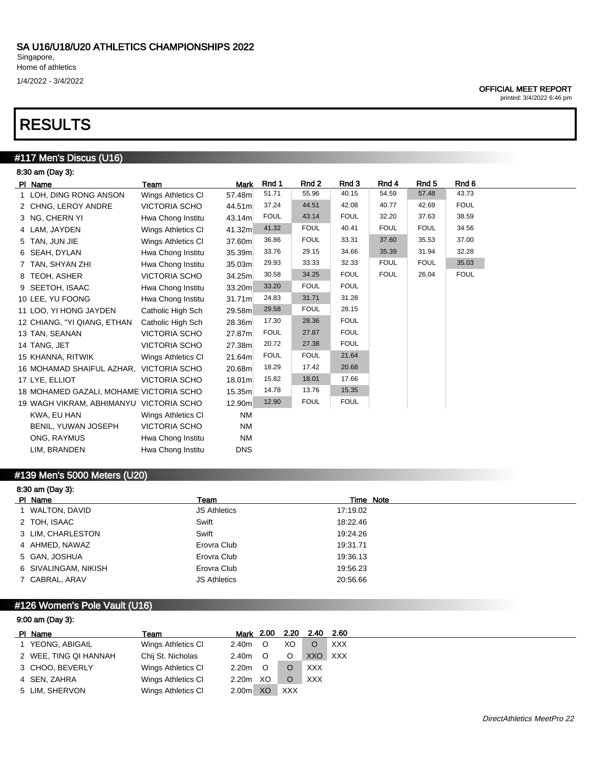1/4/2022 - 3/4/2022

### OFFICIAL MEET REPORT

printed: 3/4/2022 6:46 pm

# RESULTS

# #117 Men's Discus (U16)

| 8:30 am (Day 3):                        |                      |                    |             |             |             |             |             |             |  |  |  |
|-----------------------------------------|----------------------|--------------------|-------------|-------------|-------------|-------------|-------------|-------------|--|--|--|
| PI Name                                 | Team                 | <b>Mark</b>        | Rnd 1       | Rnd 2       | Rnd 3       | Rnd 4       | Rnd 5       | Rnd 6       |  |  |  |
| 1 LOH, DING RONG ANSON                  | Wings Athletics CI   | 57.48m             | 51.71       | 55.96       | 40.15       | 54.59       | 57.48       | 43.73       |  |  |  |
| 2 CHNG, LEROY ANDRE                     | <b>VICTORIA SCHO</b> | 44.51m             | 37.24       | 44.51       | 42.08       | 40.77       | 42.69       | <b>FOUL</b> |  |  |  |
| 3 NG, CHERN YI                          | Hwa Chong Institu    | 43.14m             | <b>FOUL</b> | 43.14       | <b>FOUL</b> | 32.20       | 37.63       | 38.59       |  |  |  |
| 4 LAM, JAYDEN                           | Wings Athletics CI   | 41.32m             | 41.32       | <b>FOUL</b> | 40.41       | <b>FOUL</b> | <b>FOUL</b> | 34.56       |  |  |  |
| 5 TAN, JUN JIE                          | Wings Athletics CI   | 37.60m             | 36.86       | <b>FOUL</b> | 33.31       | 37.60       | 35.53       | 37.00       |  |  |  |
| 6 SEAH, DYLAN                           | Hwa Chong Institu    | 35.39m             | 33.76       | 29.15       | 34.66       | 35.39       | 31.94       | 32.28       |  |  |  |
| 7 TAN, SHYAN ZHI                        | Hwa Chong Institu    | 35.03m             | 29.93       | 33.33       | 32.33       | <b>FOUL</b> | <b>FOUL</b> | 35.03       |  |  |  |
| 8 TEOH, ASHER                           | <b>VICTORIA SCHO</b> | 34.25m             | 30.58       | 34.25       | <b>FOUL</b> | <b>FOUL</b> | 26.04       | <b>FOUL</b> |  |  |  |
| 9 SEETOH, ISAAC                         | Hwa Chong Institu    | 33.20m             | 33.20       | <b>FOUL</b> | <b>FOUL</b> |             |             |             |  |  |  |
| 10 LEE, YU FOONG                        | Hwa Chong Institu    | 31.71 <sub>m</sub> | 24.83       | 31.71       | 31.28       |             |             |             |  |  |  |
| 11 LOO, YI HONG JAYDEN                  | Catholic High Sch    | 29.58m             | 29.58       | <b>FOUL</b> | 28.15       |             |             |             |  |  |  |
| 12 CHIANG, "YI QIANG, ETHAN             | Catholic High Sch    | 28.36m             | 17.30       | 28.36       | <b>FOUL</b> |             |             |             |  |  |  |
| 13 TAN, SEANAN                          | <b>VICTORIA SCHO</b> | 27.87m             | <b>FOUL</b> | 27.87       | <b>FOUL</b> |             |             |             |  |  |  |
| 14 TANG, JET                            | <b>VICTORIA SCHO</b> | 27.38m             | 20.72       | 27.38       | <b>FOUL</b> |             |             |             |  |  |  |
| 15 KHANNA, RITWIK                       | Wings Athletics CI   | 21.64m             | <b>FOUL</b> | <b>FOUL</b> | 21.64       |             |             |             |  |  |  |
| 16 MOHAMAD SHAIFUL AZHAR, VICTORIA SCHO |                      | 20.68m             | 18.29       | 17.42       | 20.68       |             |             |             |  |  |  |
| 17 LYE, ELLIOT                          | <b>VICTORIA SCHO</b> | 18.01 <sub>m</sub> | 15.82       | 18.01       | 17.66       |             |             |             |  |  |  |
| 18 MOHAMED GAZALI, MOHAME VICTORIA SCHO |                      | 15.35m             | 14.78       | 13.76       | 15.35       |             |             |             |  |  |  |
| 19 WAGH VIKRAM, ABHIMANYU VICTORIA SCHO |                      | 12.90m             | 12.90       | <b>FOUL</b> | <b>FOUL</b> |             |             |             |  |  |  |
| KWA, EU HAN                             | Wings Athletics CI   | <b>NM</b>          |             |             |             |             |             |             |  |  |  |
| <b>BENIL, YUWAN JOSEPH</b>              | <b>VICTORIA SCHO</b> | <b>NM</b>          |             |             |             |             |             |             |  |  |  |
| ONG, RAYMUS                             | Hwa Chong Institu    | <b>NM</b>          |             |             |             |             |             |             |  |  |  |
| LIM, BRANDEN                            | Hwa Chong Institu    | <b>DNS</b>         |             |             |             |             |             |             |  |  |  |

## #139 Men's 5000 Meters (U20)

| 8:30 am (Day 3):     |                     |           |  |  |  |  |  |  |  |
|----------------------|---------------------|-----------|--|--|--|--|--|--|--|
| PI Name              | Team                | Time Note |  |  |  |  |  |  |  |
| 1 WALTON, DAVID      | <b>JS Athletics</b> | 17:19.02  |  |  |  |  |  |  |  |
| 2 TOH, ISAAC         | Swift               | 18:22.46  |  |  |  |  |  |  |  |
| 3 LIM, CHARLESTON    | Swift               | 19:24.26  |  |  |  |  |  |  |  |
| 4 AHMED, NAWAZ       | Erovra Club         | 19:31.71  |  |  |  |  |  |  |  |
| 5 GAN, JOSHUA        | Erovra Club         | 19:36.13  |  |  |  |  |  |  |  |
| 6 SIVALINGAM, NIKISH | Erovra Club         | 19:56.23  |  |  |  |  |  |  |  |
| 7 CABRAL, ARAV       | <b>JS Athletics</b> | 20:56.66  |  |  |  |  |  |  |  |

# #126 Women's Pole Vault (U16)

| 9:00 am (Day 3):      |                    |                   |         |            |            |            |  |  |  |
|-----------------------|--------------------|-------------------|---------|------------|------------|------------|--|--|--|
| PI Name               | Team               | Mark 2.00         |         | 2.20       | 2.40       | 2.60       |  |  |  |
| 1 YEONG, ABIGAIL      | Wings Athletics CI | 2.40m             | $\circ$ | XO         | O          | <b>XXX</b> |  |  |  |
| 2 WEE, TING QI HANNAH | Chij St. Nicholas  | 2.40m             | $\circ$ | $\circ$    | XXO        | XXX        |  |  |  |
| 3 CHOO, BEVERLY       | Wings Athletics CI | 2.20 <sub>m</sub> | $\circ$ |            | <b>XXX</b> |            |  |  |  |
| 4 SEN, ZAHRA          | Wings Athletics CI | 2.20 <sub>m</sub> | XO      |            | <b>XXX</b> |            |  |  |  |
| 5 LIM, SHERVON        | Wings Athletics CI | 2.00 <sub>m</sub> | XO      | <b>XXX</b> |            |            |  |  |  |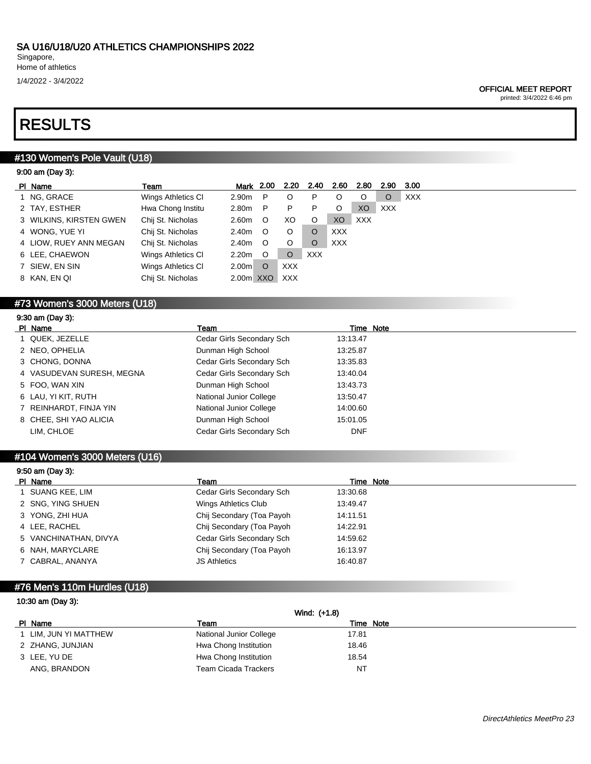1/4/2022 - 3/4/2022

#### OFFICIAL MEET REPORT

printed: 3/4/2022 6:46 pm

# RESULTS

9:00 am (Day 3):

# #130 Women's Pole Vault (U18)

| ---- ---- 1--- <i>1-</i> |                    |                   |         |            |            |            |                |            |      |
|--------------------------|--------------------|-------------------|---------|------------|------------|------------|----------------|------------|------|
| PI Name                  | Team               | Mark 2.00         |         | 2.20       | 2.40       | 2.60       | 2.80           | 2.90       | 3.00 |
| 1 NG, GRACE              | Wings Athletics CI | 2.90m             | P       | O          | P          | O          | O              | O          | XXX  |
| 2 TAY, ESTHER            | Hwa Chong Institu  | 2.80m             | P.      | P          | P          | O          | X <sub>O</sub> | <b>XXX</b> |      |
| 3 WILKINS, KIRSTEN GWEN  | Chij St. Nicholas  | 2.60m             | $\circ$ | XO         | O          | XO         | XXX            |            |      |
| 4 WONG, YUE YI           | Chij St. Nicholas  | 2.40m             | $\circ$ | O          |            | <b>XXX</b> |                |            |      |
| 4 LIOW, RUEY ANN MEGAN   | Chij St. Nicholas  | 2.40m             | O       | O          |            | XXX        |                |            |      |
| 6 LEE, CHAEWON           | Wings Athletics CI | 2.20m             | $\circ$ | O          | <b>XXX</b> |            |                |            |      |
| 7 SIEW, EN SIN           | Wings Athletics CI | 2.00 <sub>m</sub> | O       | <b>XXX</b> |            |            |                |            |      |
| 8 KAN, EN QI             | Chij St. Nicholas  | 2.00m XXO         |         | <b>XXX</b> |            |            |                |            |      |
|                          |                    |                   |         |            |            |            |                |            |      |

# #73 Women's 3000 Meters (U18)

# 9:30 am (Day 3):

| PI Name                   | Team                      | Time Note  |
|---------------------------|---------------------------|------------|
| 1 QUEK, JEZELLE           | Cedar Girls Secondary Sch | 13:13.47   |
| 2 NEO, OPHELIA            | Dunman High School        | 13:25.87   |
| 3 CHONG, DONNA            | Cedar Girls Secondary Sch | 13:35.83   |
| 4 VASUDEVAN SURESH, MEGNA | Cedar Girls Secondary Sch | 13:40.04   |
| 5 FOO, WAN XIN            | Dunman High School        | 13:43.73   |
| 6 LAU, YI KIT, RUTH       | National Junior College   | 13:50.47   |
| 7 REINHARDT, FINJA YIN    | National Junior College   | 14:00.60   |
| 8 CHEE, SHI YAO ALICIA    | Dunman High School        | 15:01.05   |
| LIM, CHLOE                | Cedar Girls Secondary Sch | <b>DNF</b> |

## #104 Women's 3000 Meters (U16)

| $9:50$ am (Day 3):    |                           |           |  |
|-----------------------|---------------------------|-----------|--|
| PI Name               | Team                      | Time Note |  |
| 1 SUANG KEE, LIM      | Cedar Girls Secondary Sch | 13:30.68  |  |
| 2 SNG, YING SHUEN     | Wings Athletics Club      | 13:49.47  |  |
| 3 YONG, ZHI HUA       | Chij Secondary (Toa Payoh | 14:11.51  |  |
| 4 LEE, RACHEL         | Chij Secondary (Toa Payoh | 14:22.91  |  |
| 5 VANCHINATHAN, DIVYA | Cedar Girls Secondary Sch | 14:59.62  |  |
| 6 NAH, MARYCLARE      | Chij Secondary (Toa Payoh | 16:13.97  |  |
| 7 CABRAL, ANANYA      | <b>JS Athletics</b>       | 16:40.87  |  |

## #76 Men's 110m Hurdles (U18)

### 10:30 am (Day 3):

|                       | Wind: (+1.8)            |           |  |
|-----------------------|-------------------------|-----------|--|
| PI Name               | Team                    | Time Note |  |
| 1 LIM, JUN YI MATTHEW | National Junior College | 17.81     |  |
| 2 ZHANG, JUNJIAN      | Hwa Chong Institution   | 18.46     |  |
| 3 LEE, YU DE          | Hwa Chong Institution   | 18.54     |  |
| ANG, BRANDON          | Team Cicada Trackers    | NT        |  |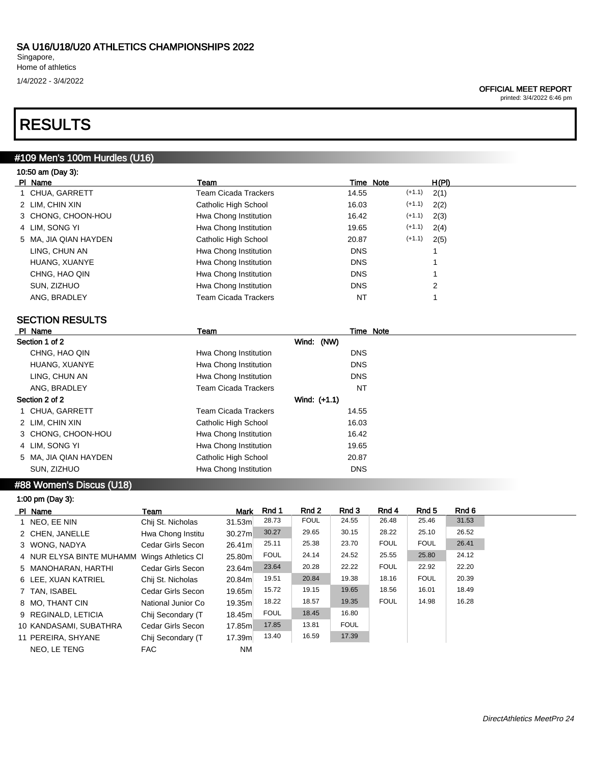Singapore, Home of athletics 1/4/2022 - 3/4/2022

### OFFICIAL MEET REPORT

printed: 3/4/2022 6:46 pm

# RESULTS

# #109 Men's 100m Hurdles (U16)

| 10:50 am (Day 3):     |                       |            |          |       |
|-----------------------|-----------------------|------------|----------|-------|
| PI Name               | Team                  | Time Note  |          | H(PI) |
| 1 CHUA, GARRETT       | Team Cicada Trackers  | 14.55      | $(+1.1)$ | 2(1)  |
| 2 LIM, CHIN XIN       | Catholic High School  | 16.03      | $(+1.1)$ | 2(2)  |
| 3 CHONG, CHOON-HOU    | Hwa Chong Institution | 16.42      | $(+1.1)$ | 2(3)  |
| 4 LIM, SONG YI        | Hwa Chong Institution | 19.65      | $(+1.1)$ | 2(4)  |
| 5 MA, JIA QIAN HAYDEN | Catholic High School  | 20.87      | $(+1.1)$ | 2(5)  |
| LING, CHUN AN         | Hwa Chong Institution | <b>DNS</b> |          |       |
| HUANG, XUANYE         | Hwa Chong Institution | <b>DNS</b> |          |       |
| CHNG, HAO QIN         | Hwa Chong Institution | <b>DNS</b> |          |       |
| SUN. ZIZHUO           | Hwa Chong Institution | <b>DNS</b> |          | 2     |

ANG, BRADLEY **Team Cicada Trackers** NT 1

| <b>SECTION RESULTS</b> |                             |              |  |
|------------------------|-----------------------------|--------------|--|
| PI Name                | Team                        | Time Note    |  |
| Section 1 of 2         |                             | Wind: (NW)   |  |
| CHNG, HAO QIN          | Hwa Chong Institution       | <b>DNS</b>   |  |
| HUANG, XUANYE          | Hwa Chong Institution       | <b>DNS</b>   |  |
| LING, CHUN AN          | Hwa Chong Institution       | <b>DNS</b>   |  |
| ANG, BRADLEY           | <b>Team Cicada Trackers</b> | NT           |  |
| Section 2 of 2         |                             | Wind: (+1.1) |  |
| CHUA, GARRETT          | <b>Team Cicada Trackers</b> | 14.55        |  |
| 2 LIM, CHIN XIN        | Catholic High School        | 16.03        |  |
| 3 CHONG, CHOON-HOU     | Hwa Chong Institution       | 16.42        |  |
| 4 LIM, SONG YI         | Hwa Chong Institution       | 19.65        |  |
| 5 MA, JIA QIAN HAYDEN  | Catholic High School        | 20.87        |  |
| SUN, ZIZHUO            | Hwa Chong Institution       | <b>DNS</b>   |  |
|                        |                             |              |  |

## #88 Women's Discus (U18)

| 1:00 pm (Day 3):         |                    |             |             |             |             |             |             |       |
|--------------------------|--------------------|-------------|-------------|-------------|-------------|-------------|-------------|-------|
| PI Name                  | Team               | <b>Mark</b> | Rnd 1       | Rnd 2       | Rnd 3       | Rnd 4       | Rnd 5       | Rnd 6 |
| 1 NEO, EE NIN            | Chij St. Nicholas  | 31.53m      | 28.73       | <b>FOUL</b> | 24.55       | 26.48       | 25.46       | 31.53 |
| 2 CHEN, JANELLE          | Hwa Chong Institu  | 30.27m      | 30.27       | 29.65       | 30.15       | 28.22       | 25.10       | 26.52 |
| 3 WONG, NADYA            | Cedar Girls Secon  | 26.41m      | 25.11       | 25.38       | 23.70       | <b>FOUL</b> | <b>FOUL</b> | 26.41 |
| 4 NUR ELYSA BINTE MUHAMM | Wings Athletics CI | 25.80m      | <b>FOUL</b> | 24.14       | 24.52       | 25.55       | 25.80       | 24.12 |
| 5 MANOHARAN, HARTHI      | Cedar Girls Secon  | 23.64m      | 23.64       | 20.28       | 22.22       | <b>FOUL</b> | 22.92       | 22.20 |
| 6 LEE, XUAN KATRIEL      | Chij St. Nicholas  | 20.84m      | 19.51       | 20.84       | 19.38       | 18.16       | <b>FOUL</b> | 20.39 |
| 7 TAN, ISABEL            | Cedar Girls Secon  | 19.65ml     | 15.72       | 19.15       | 19.65       | 18.56       | 16.01       | 18.49 |
| 8 MO. THANT CIN          | National Junior Co | 19.35m      | 18.22       | 18.57       | 19.35       | <b>FOUL</b> | 14.98       | 16.28 |
| 9 REGINALD, LETICIA      | Chij Secondary (T  | 18.45m      | <b>FOUL</b> | 18.45       | 16.80       |             |             |       |
| 10 KANDASAMI, SUBATHRA   | Cedar Girls Secon  | 17.85m      | 17.85       | 13.81       | <b>FOUL</b> |             |             |       |
| 11 PEREIRA, SHYANE       | Chij Secondary (T  | 17.39m      | 13.40       | 16.59       | 17.39       |             |             |       |
| NEO. LE TENG             | FAC                | <b>NM</b>   |             |             |             |             |             |       |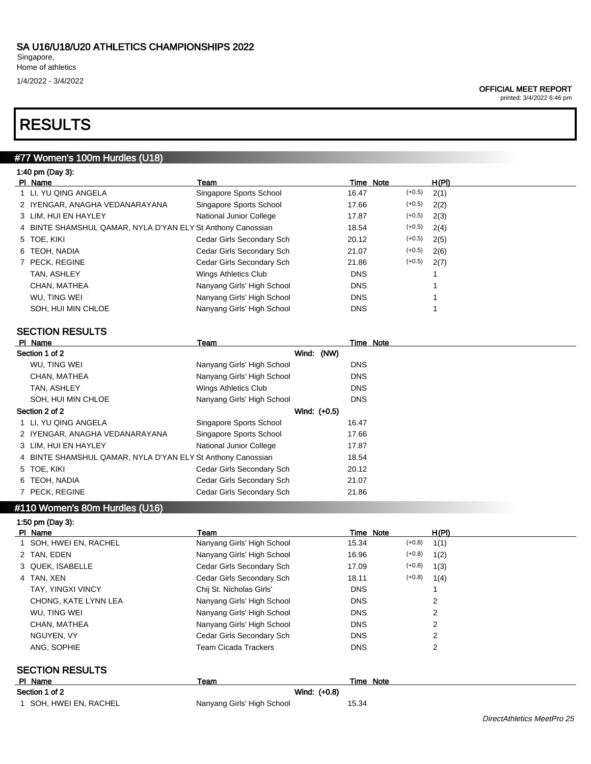Singapore, Home of athletics 1/4/2022 - 3/4/2022

### OFFICIAL MEET REPORT

printed: 3/4/2022 6:46 pm

# RESULTS

# #77 Women's 100m Hurdles (U18)

|  |  | 1:40 pm (Day 3): |  |
|--|--|------------------|--|
|--|--|------------------|--|

| PI Name                                                     | Team                       | Time Note  |          | H(PI) |
|-------------------------------------------------------------|----------------------------|------------|----------|-------|
| 1 LI, YU QING ANGELA                                        | Singapore Sports School    | 16.47      | $(+0.5)$ | 2(1)  |
| 2 IYENGAR, ANAGHA VEDANARAYANA                              | Singapore Sports School    | 17.66      | $(+0.5)$ | 2(2)  |
| 3 LIM, HUI EN HAYLEY                                        | National Junior College    | 17.87      | $(+0.5)$ | 2(3)  |
| 4 BINTE SHAMSHUL QAMAR, NYLA D'YAN ELY St Anthony Canossian |                            | 18.54      | $(+0.5)$ | 2(4)  |
| 5 TOE, KIKI                                                 | Cedar Girls Secondary Sch  | 20.12      | $(+0.5)$ | 2(5)  |
| 6 TEOH, NADIA                                               | Cedar Girls Secondary Sch  | 21.07      | $(+0.5)$ | 2(6)  |
| 7 PECK, REGINE                                              | Cedar Girls Secondary Sch  | 21.86      | $(+0.5)$ | 2(7)  |
| TAN, ASHLEY                                                 | Wings Athletics Club       | <b>DNS</b> |          |       |
| CHAN, MATHEA                                                | Nanyang Girls' High School | <b>DNS</b> |          |       |
| WU. TING WEI                                                | Nanyang Girls' High School | <b>DNS</b> |          |       |
| SOH, HUI MIN CHLOE                                          | Nanyang Girls' High School | <b>DNS</b> |          |       |
|                                                             |                            |            |          |       |

# SECTION RESULTS

| PI Name                                                     | Team                       |              |            | Time Note |
|-------------------------------------------------------------|----------------------------|--------------|------------|-----------|
| Section 1 of 2                                              |                            | Wind: (NW)   |            |           |
| WU. TING WEI                                                | Nanyang Girls' High School |              | <b>DNS</b> |           |
| CHAN, MATHEA                                                | Nanyang Girls' High School |              | <b>DNS</b> |           |
| TAN, ASHLEY                                                 | Wings Athletics Club       |              | <b>DNS</b> |           |
| SOH. HUI MIN CHLOE                                          | Nanyang Girls' High School |              | <b>DNS</b> |           |
| Section 2 of 2                                              |                            | Wind: (+0.5) |            |           |
| 1 LI, YU QING ANGELA                                        | Singapore Sports School    |              | 16.47      |           |
| 2 IYENGAR, ANAGHA VEDANARAYANA                              | Singapore Sports School    |              | 17.66      |           |
| 3 LIM, HUI EN HAYLEY                                        | National Junior College    |              | 17.87      |           |
| 4 BINTE SHAMSHUL QAMAR, NYLA D'YAN ELY St Anthony Canossian |                            |              | 18.54      |           |
| 5 TOE, KIKI                                                 | Cedar Girls Secondary Sch  |              | 20.12      |           |
| 6 TEOH, NADIA                                               | Cedar Girls Secondary Sch  |              | 21.07      |           |
| 7 PECK, REGINE                                              | Cedar Girls Secondary Sch  |              | 21.86      |           |

#### #110 Women's 80m Hurdles (U16) 1:50 pm (Day 3):

| $1.00$ pm (Day $3$ ).    |                            |                  |          |       |
|--------------------------|----------------------------|------------------|----------|-------|
| PI Name                  | Team                       | <b>Time Note</b> |          | H(PI) |
| 1 SOH, HWEI EN, RACHEL   | Nanyang Girls' High School | 15.34            | $(+0.8)$ | 1(1)  |
| 2 TAN, EDEN              | Nanyang Girls' High School | 16.96            | $(+0.8)$ | 1(2)  |
| 3 QUEK, ISABELLE         | Cedar Girls Secondary Sch  | 17.09            | $(+0.8)$ | 1(3)  |
| 4 TAN, XEN               | Cedar Girls Secondary Sch  | 18.11            | $(+0.8)$ | 1(4)  |
| <b>TAY, YINGXI VINCY</b> | Chij St. Nicholas Girls'   | <b>DNS</b>       |          |       |
| CHONG, KATE LYNN LEA     | Nanyang Girls' High School | <b>DNS</b>       |          | 2     |
| WU. TING WEI             | Nanyang Girls' High School | <b>DNS</b>       |          | 2     |
| CHAN, MATHEA             | Nanyang Girls' High School | <b>DNS</b>       |          | 2     |
| NGUYEN, VY               | Cedar Girls Secondary Sch  | <b>DNS</b>       |          | 2     |
| ANG, SOPHIE              | Team Cicada Trackers       | <b>DNS</b>       |          | 2     |
| <b>SECTION RESULTS</b>   |                            |                  |          |       |
| PI Name                  | Team                       | Time Note        |          |       |
| Section 1 of 2           | Wind: (+0.8)               |                  |          |       |

1 SOH, HWEI EN, RACHEL Nanyang Girls' High School 15.34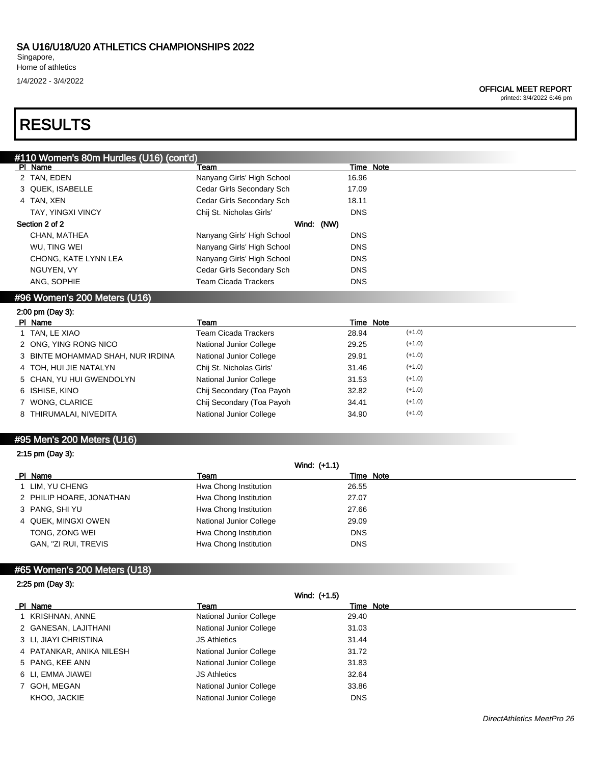Singapore, Home of athletics

## 1/4/2022 - 3/4/2022

#### OFFICIAL MEET REPORT

printed: 3/4/2022 6:46 pm

# RESULTS

| #110 Women's 80m Hurdles (U16) (cont'd) |                             |            |            |           |          |
|-----------------------------------------|-----------------------------|------------|------------|-----------|----------|
| PI Name                                 | Team                        |            |            | Time Note |          |
| 2 TAN, EDEN                             | Nanyang Girls' High School  |            | 16.96      |           |          |
| 3 QUEK, ISABELLE                        | Cedar Girls Secondary Sch   |            | 17.09      |           |          |
| 4 TAN, XEN                              | Cedar Girls Secondary Sch   |            | 18.11      |           |          |
| <b>TAY, YINGXI VINCY</b>                | Chij St. Nicholas Girls'    |            | <b>DNS</b> |           |          |
| Section 2 of 2                          |                             | Wind: (NW) |            |           |          |
| CHAN, MATHEA                            | Nanyang Girls' High School  |            | <b>DNS</b> |           |          |
| WU, TING WEI                            | Nanyang Girls' High School  |            | <b>DNS</b> |           |          |
| CHONG, KATE LYNN LEA                    | Nanyang Girls' High School  |            | <b>DNS</b> |           |          |
| NGUYEN, VY                              | Cedar Girls Secondary Sch   |            | <b>DNS</b> |           |          |
| ANG, SOPHIE                             | <b>Team Cicada Trackers</b> |            | <b>DNS</b> |           |          |
| #96 Women's 200 Meters (U16)            |                             |            |            |           |          |
| 2:00 pm (Day 3):                        |                             |            |            |           |          |
|                                         |                             |            |            | Time Note |          |
| PI Name                                 | Team                        |            |            |           |          |
| TAN, LE XIAO                            | <b>Team Cicada Trackers</b> |            | 28.94      |           | $(+1.0)$ |
| 2 ONG, YING RONG NICO                   | National Junior College     |            | 29.25      |           | $(+1.0)$ |
| BINTE MOHAMMAD SHAH, NUR IRDINA         | National Junior College     |            | 29.91      |           | $(+1.0)$ |
| TOH, HUI JIE NATALYN                    | Chij St. Nicholas Girls'    |            | 31.46      |           | $(+1.0)$ |
| 5 CHAN, YU HUI GWENDOLYN                | National Junior College     |            | 31.53      |           | $(+1.0)$ |
| 6 ISHISE, KINO                          | Chij Secondary (Toa Payoh   |            | 32.82      |           | $(+1.0)$ |
| WONG, CLARICE                           | Chij Secondary (Toa Payoh   |            | 34.41      |           | $(+1.0)$ |
| 8 THIRUMALAI, NIVEDITA                  | National Junior College     |            | 34.90      |           | $(+1.0)$ |
|                                         |                             |            |            |           |          |

# 2:15 pm (Day 3):

| Wind: (+1.1)             |                                |            |  |
|--------------------------|--------------------------------|------------|--|
| PI Name                  | Team                           | Time Note  |  |
| 1 LIM, YU CHENG          | Hwa Chong Institution          | 26.55      |  |
| 2 PHILIP HOARE, JONATHAN | Hwa Chong Institution          | 27.07      |  |
| 3 PANG, SHI YU           | Hwa Chong Institution          | 27.66      |  |
| 4 QUEK, MINGXI OWEN      | <b>National Junior College</b> | 29.09      |  |
| TONG, ZONG WEI           | Hwa Chong Institution          | <b>DNS</b> |  |
| GAN, "ZI RUI, TREVIS     | Hwa Chong Institution          | <b>DNS</b> |  |
|                          |                                |            |  |

# #65 Women's 200 Meters (U18)

|  |  | 2:25 pm (Day 3): |  |
|--|--|------------------|--|
|--|--|------------------|--|

|                          | Wind: (+1.5)            |            |
|--------------------------|-------------------------|------------|
| PI Name                  | Team                    | Time Note  |
| 1 KRISHNAN, ANNE         | National Junior College | 29.40      |
| 2 GANESAN, LAJITHANI     | National Junior College | 31.03      |
| 3 LI, JIAYI CHRISTINA    | <b>JS Athletics</b>     | 31.44      |
| 4 PATANKAR, ANIKA NILESH | National Junior College | 31.72      |
| 5 PANG, KEE ANN          | National Junior College | 31.83      |
| 6 LI, EMMA JIAWEI        | <b>JS Athletics</b>     | 32.64      |
| 7 GOH, MEGAN             | National Junior College | 33.86      |
| KHOO, JACKIE             | National Junior College | <b>DNS</b> |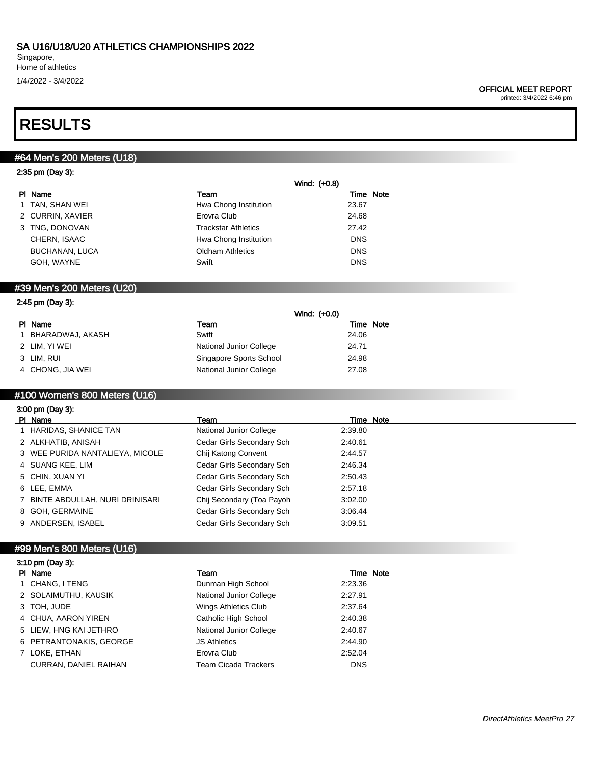printed: 3/4/2022 6:46 pm

# RESULTS

# #64 Men's 200 Meters (U18)

### 2:35 pm (Day 3):

|                       | Wind: (+0.8)               |            |
|-----------------------|----------------------------|------------|
| PI Name               | Team                       | Time Note  |
| 1 TAN, SHAN WEI       | Hwa Chong Institution      | 23.67      |
| 2 CURRIN, XAVIER      | Erovra Club                | 24.68      |
| 3 TNG, DONOVAN        | <b>Trackstar Athletics</b> | 27.42      |
| CHERN, ISAAC          | Hwa Chong Institution      | <b>DNS</b> |
| <b>BUCHANAN, LUCA</b> | <b>Oldham Athletics</b>    | <b>DNS</b> |
| GOH, WAYNE            | Swift                      | <b>DNS</b> |
|                       |                            |            |

### #39 Men's 200 Meters (U20)

| 2:45 pm (Day 3): |                         |                |  |  |  |
|------------------|-------------------------|----------------|--|--|--|
|                  |                         | Wind: $(+0.0)$ |  |  |  |
| PI Name          | Team                    | Time Note      |  |  |  |
| BHARADWAJ, AKASH | Swift                   | 24.06          |  |  |  |
| 2 LIM, YI WEI    | National Junior College | 24.71          |  |  |  |
| 3 LIM, RUI       | Singapore Sports School | 24.98          |  |  |  |
| 4 CHONG, JIA WEI | National Junior College | 27.08          |  |  |  |

# #100 Women's 800 Meters (U16)

| $3:00 \text{ pm}$ (Day 3):       |                           |           |  |  |
|----------------------------------|---------------------------|-----------|--|--|
| PI Name                          | Team                      | Time Note |  |  |
| 1 HARIDAS, SHANICE TAN           | National Junior College   | 2:39.80   |  |  |
| 2 ALKHATIB, ANISAH               | Cedar Girls Secondary Sch | 2:40.61   |  |  |
| 3 WEE PURIDA NANTALIEYA, MICOLE  | Chij Katong Convent       | 2:44.57   |  |  |
| 4 SUANG KEE, LIM                 | Cedar Girls Secondary Sch | 2:46.34   |  |  |
| 5 CHIN. XUAN YI                  | Cedar Girls Secondary Sch | 2:50.43   |  |  |
| 6 LEE. EMMA                      | Cedar Girls Secondary Sch | 2:57.18   |  |  |
| 7 BINTE ABDULLAH, NURI DRINISARI | Chij Secondary (Toa Payoh | 3:02.00   |  |  |
| 8 GOH, GERMAINE                  | Cedar Girls Secondary Sch | 3:06.44   |  |  |
| 9 ANDERSEN, ISABEL               | Cedar Girls Secondary Sch | 3:09.51   |  |  |

## #99 Men's 800 Meters (U16)

## 3:10 pm (Day 3):

| PI Name                      | Team                    | Time Note |
|------------------------------|-------------------------|-----------|
| 1 CHANG, I TENG              | Dunman High School      | 2:23.36   |
| 2 SOLAIMUTHU, KAUSIK         | National Junior College | 2:27.91   |
| 3 TOH, JUDE                  | Wings Athletics Club    | 2:37.64   |
| 4 CHUA, AARON YIREN          | Catholic High School    | 2:40.38   |
| 5 LIEW, HNG KAI JETHRO       | National Junior College | 2:40.67   |
| 6 PETRANTONAKIS, GEORGE      | <b>JS Athletics</b>     | 2:44.90   |
| 7 LOKE, ETHAN                | Erovra Club             | 2:52.04   |
| <b>CURRAN, DANIEL RAIHAN</b> | Team Cicada Trackers    | DNS       |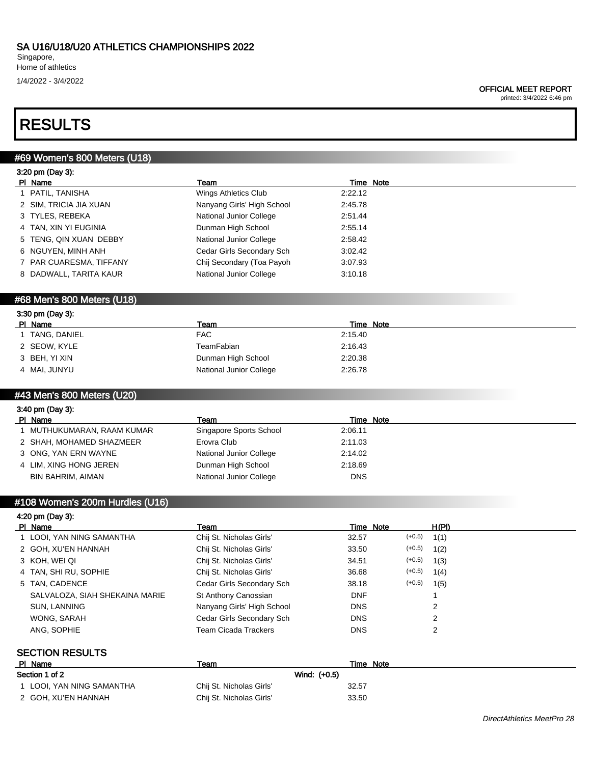Singapore, Home of athletics 1/4/2022 - 3/4/2022

#### OFFICIAL MEET REPORT

printed: 3/4/2022 6:46 pm

# RESULTS

# #69 Women's 800 Meters (U18)

|  | 3:20 pm (Day 3): |  |
|--|------------------|--|
|  |                  |  |

| PI Name                 | Team                       | Time Note |  |
|-------------------------|----------------------------|-----------|--|
| 1 PATIL, TANISHA        | Wings Athletics Club       | 2:22.12   |  |
| 2 SIM, TRICIA JIA XUAN  | Nanyang Girls' High School | 2:45.78   |  |
| 3 TYLES, REBEKA         | National Junior College    | 2:51.44   |  |
| 4 TAN, XIN YI EUGINIA   | Dunman High School         | 2:55.14   |  |
| 5 TENG, QIN XUAN DEBBY  | National Junior College    | 2:58.42   |  |
| 6 NGUYEN, MINH ANH      | Cedar Girls Secondary Sch  | 3:02.42   |  |
| 7 PAR CUARESMA, TIFFANY | Chij Secondary (Toa Payoh  | 3:07.93   |  |
| 8 DADWALL, TARITA KAUR  | National Junior College    | 3:10.18   |  |
|                         |                            |           |  |

## #68 Men's 800 Meters (U18)

| 3:30 pm (Day 3): |                         |           |  |  |
|------------------|-------------------------|-----------|--|--|
| PI Name          | Team                    | Time Note |  |  |
| TANG, DANIEL     | FAC.                    | 2:15.40   |  |  |
| 2 SEOW, KYLE     | TeamFabian              | 2:16.43   |  |  |
| 3 BEH, YI XIN    | Dunman High School      | 2:20.38   |  |  |
| 4 MAI, JUNYU     | National Junior College | 2:26.78   |  |  |

# #43 Men's 800 Meters (U20)

| 3:40 pm (Day 3):           |                         |                  |  |  |
|----------------------------|-------------------------|------------------|--|--|
| PI Name                    | Team                    | <b>Time Note</b> |  |  |
| I MUTHUKUMARAN, RAAM KUMAR | Singapore Sports School | 2:06.11          |  |  |
| 2 SHAH, MOHAMED SHAZMEER   | Erovra Club             | 2:11.03          |  |  |
| 3 ONG, YAN ERN WAYNE       | National Junior College | 2:14.02          |  |  |
| 4 LIM, XING HONG JEREN     | Dunman High School      | 2:18.69          |  |  |
| BIN BAHRIM, AIMAN          | National Junior College | <b>DNS</b>       |  |  |

# #108 Women's 200m Hurdles (U16)

### 4:20 pm (Day 3):

| PI Name                        | Team                       | Time Note  |          | H(PI) |
|--------------------------------|----------------------------|------------|----------|-------|
| 1 LOOI, YAN NING SAMANTHA      | Chij St. Nicholas Girls'   | 32.57      | $(+0.5)$ | 1(1)  |
| 2 GOH, XU'EN HANNAH            | Chij St. Nicholas Girls'   | 33.50      | $(+0.5)$ | 1(2)  |
| 3 KOH, WEI QI                  | Chij St. Nicholas Girls'   | 34.51      | $(+0.5)$ | 1(3)  |
| 4 TAN, SHI RU, SOPHIE          | Chij St. Nicholas Girls'   | 36.68      | $(+0.5)$ | 1(4)  |
| 5 TAN, CADENCE                 | Cedar Girls Secondary Sch  | 38.18      | $(+0.5)$ | 1(5)  |
| SALVALOZA, SIAH SHEKAINA MARIE | St Anthony Canossian       | <b>DNF</b> |          |       |
| SUN, LANNING                   | Nanyang Girls' High School | <b>DNS</b> |          | 2     |
| WONG, SARAH                    | Cedar Girls Secondary Sch  | <b>DNS</b> |          | 2     |
| ANG, SOPHIE                    | Team Cicada Trackers       | <b>DNS</b> |          | 2     |
|                                |                            |            |          |       |

## SECTION RESULTS

| PI Name                   | Team                     | Note<br>Time |
|---------------------------|--------------------------|--------------|
| Section 1 of 2            | Wind: (+0.5)             |              |
| 1 LOOI, YAN NING SAMANTHA | Chij St. Nicholas Girls' | 32.57        |
| 2 GOH. XU'EN HANNAH       | Chij St. Nicholas Girls' | 33.50        |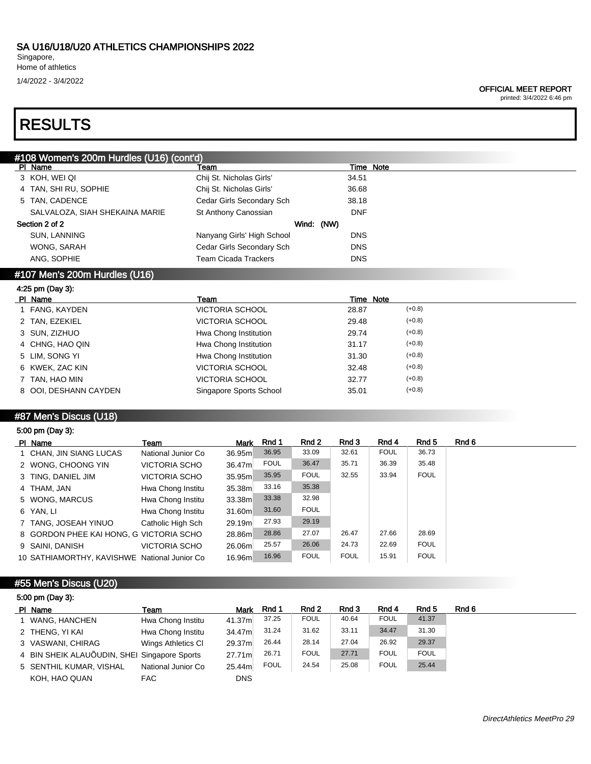Singapore, Home of athletics

1/4/2022 - 3/4/2022

#### OFFICIAL MEET REPORT

printed: 3/4/2022 6:46 pm

# RESULTS

| #108 Women's 200m Hurdles (U16) (cont'd) |                            |            |  |  |
|------------------------------------------|----------------------------|------------|--|--|
| PI Name                                  | Team                       | Time Note  |  |  |
| 3 KOH, WEI QI                            | Chij St. Nicholas Girls'   | 34.51      |  |  |
| 4 TAN, SHI RU, SOPHIE                    | Chij St. Nicholas Girls'   | 36.68      |  |  |
| 5 TAN, CADENCE                           | Cedar Girls Secondary Sch  | 38.18      |  |  |
| SALVALOZA, SIAH SHEKAINA MARIE           | St Anthony Canossian       | <b>DNF</b> |  |  |
| Section 2 of 2                           |                            | Wind: (NW) |  |  |
| SUN, LANNING                             | Nanyang Girls' High School | <b>DNS</b> |  |  |
| WONG, SARAH                              | Cedar Girls Secondary Sch  | <b>DNS</b> |  |  |
| ANG. SOPHIE                              | Team Cicada Trackers       | <b>DNS</b> |  |  |
| #107 Men's 200m Hurdles (U16)            |                            |            |  |  |

### 4:25 pm (Day 3):

| PI Name |                       | Team                    | Time Note |          |
|---------|-----------------------|-------------------------|-----------|----------|
|         | 1 FANG, KAYDEN        | VICTORIA SCHOOL         | 28.87     | $(+0.8)$ |
|         | 2 TAN, EZEKIEL        | <b>VICTORIA SCHOOL</b>  | 29.48     | $(+0.8)$ |
|         | 3 SUN, ZIZHUO         | Hwa Chong Institution   | 29.74     | $(+0.8)$ |
|         | 4 CHNG, HAO QIN       | Hwa Chong Institution   | 31.17     | $(+0.8)$ |
|         | 5 LIM, SONG YI        | Hwa Chong Institution   | 31.30     | $(+0.8)$ |
|         | 6 KWEK, ZAC KIN       | <b>VICTORIA SCHOOL</b>  | 32.48     | $(+0.8)$ |
|         | 7 TAN, HAO MIN        | <b>VICTORIA SCHOOL</b>  | 32.77     | $(+0.8)$ |
|         | 8 OOI, DESHANN CAYDEN | Singapore Sports School | 35.01     | $(+0.8)$ |

## #87 Men's Discus (U18)

| 5:00 pm (Day 3):                             |                      |        |             |             |             |             |             |
|----------------------------------------------|----------------------|--------|-------------|-------------|-------------|-------------|-------------|
| PI Name                                      | Team                 | Mark   | Rnd 1       | Rnd 2       | Rnd 3       | Rnd 4       | Rnd 5       |
| 1 CHAN, JIN SIANG LUCAS                      | National Junior Co   | 36.95m | 36.95       | 33.09       | 32.61       | <b>FOUL</b> | 36.73       |
| 2 WONG, CHOONG YIN                           | <b>VICTORIA SCHO</b> | 36.47m | <b>FOUL</b> | 36.47       | 35.71       | 36.39       | 35.48       |
| 3 TING, DANIEL JIM                           | <b>VICTORIA SCHO</b> | 35.95m | 35.95       | <b>FOUL</b> | 32.55       | 33.94       | <b>FOUL</b> |
| 4 THAM, JAN                                  | Hwa Chong Institu    | 35.38m | 33.16       | 35.38       |             |             |             |
| 5 WONG, MARCUS                               | Hwa Chong Institu    | 33.38m | 33.38       | 32.98       |             |             |             |
| 6 YAN. LI                                    | Hwa Chong Institu    | 31.60m | 31.60       | <b>FOUL</b> |             |             |             |
| 7 TANG, JOSEAH YINUO                         | Catholic High Sch    | 29.19m | 27.93       | 29.19       |             |             |             |
| 8 GORDON PHEE KAI HONG, G VICTORIA SCHO      |                      | 28.86m | 28.86       | 27.07       | 26.47       | 27.66       | 28.69       |
| 9 SAINI, DANISH                              | <b>VICTORIA SCHO</b> | 26.06m | 25.57       | 26.06       | 24.73       | 22.69       | <b>FOUL</b> |
| 10 SATHIAMORTHY, KAVISHWE National Junior Co |                      | 16.96m | 16.96       | <b>FOUL</b> | <b>FOUL</b> | 15.91       | <b>FOUL</b> |

### #55 Men's Discus (U20)

| 5:00 pm (Day 3): |  |
|------------------|--|
|------------------|--|

| PI Name                                      | Team               | <b>Mark</b> | Rnd 1       | Rnd 2       | Rnd 3 | Rnd 4       | Rnd 5       | Rnd 6 |
|----------------------------------------------|--------------------|-------------|-------------|-------------|-------|-------------|-------------|-------|
| 1 WANG, HANCHEN                              | Hwa Chong Institu  | 41.37m      | 37.25       | <b>FOUL</b> | 40.64 | <b>FOUL</b> | 41.37       |       |
| 2 THENG, YI KAI                              | Hwa Chong Institu  | 34.47m      | 31.24       | 31.62       | 33.11 | 34.47       | 31.30       |       |
| 3 VASWANI, CHIRAG                            | Wings Athletics CI | 29.37m      | 26.44       | 28.14       | 27.04 | 26.92       | 29.37       |       |
| 4 BIN SHEIK ALAUÕUDIN, SHEI Singapore Sports |                    | 27.71m      | 26.71       | <b>FOUL</b> | 27.71 | <b>FOUL</b> | <b>FOUL</b> |       |
| 5 SENTHIL KUMAR, VISHAL                      | National Junior Co | 25.44m      | <b>FOUL</b> | 24.54       | 25.08 | <b>FOUL</b> | 25.44       |       |
| KOH, HAO QUAN                                | FAC.               | <b>DNS</b>  |             |             |       |             |             |       |